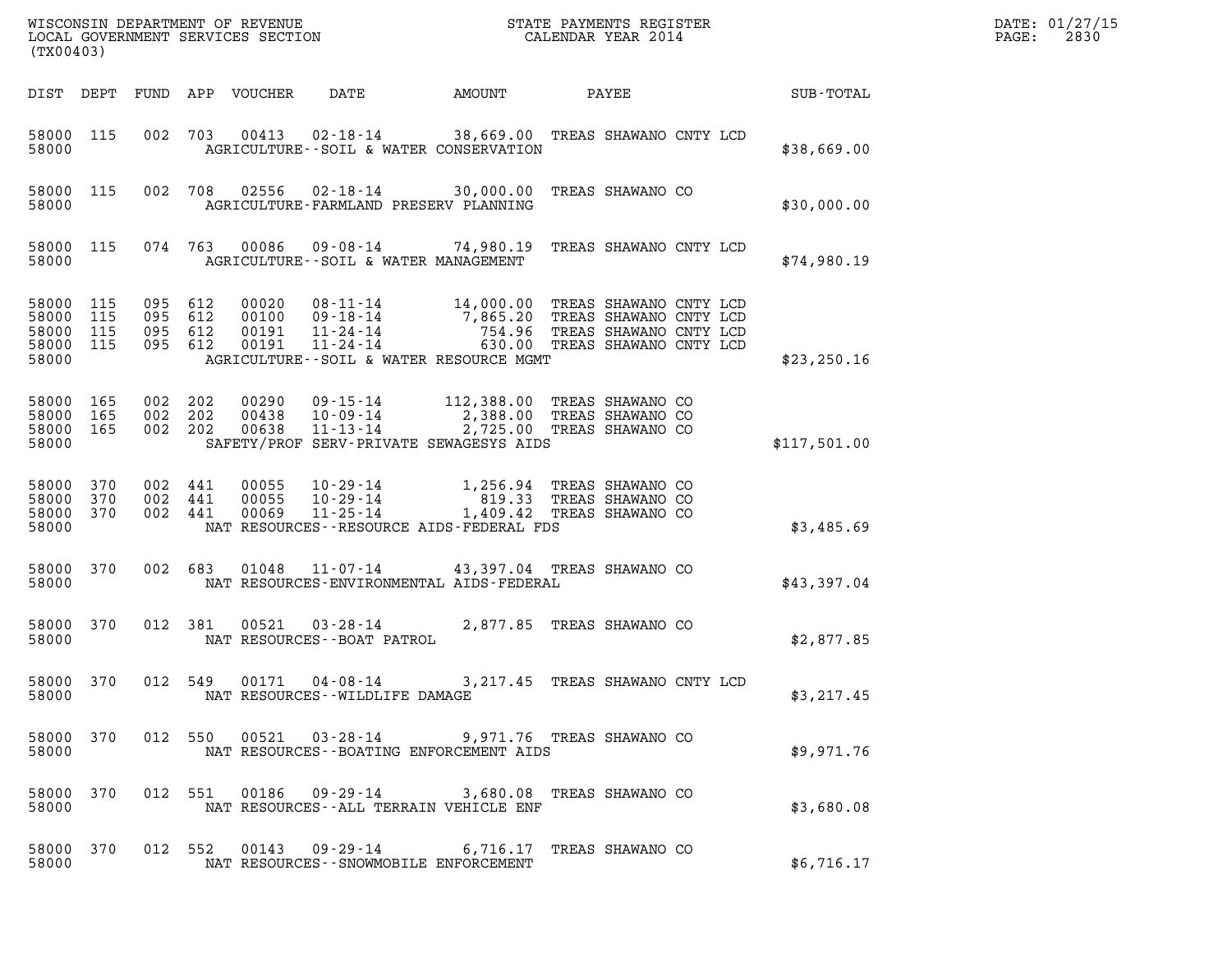| (TX00403)                                     |                   |                                      |         |                                  | WISCONSIN DEPARTMENT OF REVENUE<br>LOCAL GOVERNMENT SERVICES SECTION |                                                                                                                                                                              | STATE PAYMENTS REGISTER<br>CALENDAR YEAR 2014 |                               |              | DATE: 01/27/15<br>2830<br>PAGE: |
|-----------------------------------------------|-------------------|--------------------------------------|---------|----------------------------------|----------------------------------------------------------------------|------------------------------------------------------------------------------------------------------------------------------------------------------------------------------|-----------------------------------------------|-------------------------------|--------------|---------------------------------|
| DIST DEPT                                     |                   |                                      |         | FUND APP VOUCHER                 | DATE                                                                 | AMOUNT                                                                                                                                                                       | PAYEE                                         |                               | SUB-TOTAL    |                                 |
| 58000 115<br>58000                            |                   |                                      | 002 703 | 00413                            | 02-18-14                                                             | 38,669.00 TREAS SHAWANO CNTY LCD<br>AGRICULTURE--SOIL & WATER CONSERVATION                                                                                                   |                                               |                               | \$38,669.00  |                                 |
| 58000 115<br>58000                            |                   |                                      |         |                                  |                                                                      | 002 708 02556 02-18-14 30,000.00 TREAS SHAWANO CO<br>AGRICULTURE-FARMLAND PRESERV PLANNING                                                                                   |                                               |                               | \$30,000.00  |                                 |
| 58000 115<br>58000                            |                   |                                      |         |                                  |                                                                      | 074 763 00086 09-08-14 74,980.19 TREAS SHAWANO CNTY LCD<br>AGRICULTURE--SOIL & WATER MANAGEMENT                                                                              |                                               |                               | \$74,980.19  |                                 |
| 58000 115<br>58000<br>58000<br>58000<br>58000 | 115<br>115<br>115 | 095 612<br>095<br>095 612<br>095 612 | 612     | 00020<br>00100<br>00191<br>00191 | $11 - 24 - 14$                                                       | 08-11-14 14,000.00 TREAS SHAWANO CNTY LCD<br>09-18-14 7,865.20 TREAS SHAWANO CNTY LCD<br>11-24-14 754.96 TREAS SHAWANO CNTY LCD<br>AGRICULTURE -- SOIL & WATER RESOURCE MGMT |                                               | 630.00 TREAS SHAWANO CNTY LCD | \$23, 250.16 |                                 |
| 58000 165<br>58000<br>58000 165<br>58000      | 165               | 002<br>002 202<br>002 202            | 202     | 00290<br>00438<br>00638          | 09-15-14<br>10-09-14                                                 | 112,388.00 TREAS SHAWANO CO<br>2,388.00 TREAS SHAWANO CO<br>11-13-14 2,725.00 TREAS SHAWANO CO<br>SAFETY/PROF SERV-PRIVATE SEWAGESYS AIDS                                    |                                               |                               | \$117,501.00 |                                 |
| 58000<br>58000<br>58000<br>58000              | 370<br>370<br>370 | 002 441<br>002 441<br>002 441        |         | 00055<br>00055<br>00069          | $10 - 29 - 14$<br>10-29-14<br>11-25-14                               | 1,256.94 TREAS SHAWANO CO<br>819.33 TREAS SHAWANO CO<br>1,409.42 TREAS SHAWANO CO<br>NAT RESOURCES - - RESOURCE AIDS - FEDERAL FDS                                           |                                               |                               | \$3,485.69   |                                 |
| 58000 370<br>58000                            |                   | 002 683                              |         | 01048                            | 11-07-14                                                             | 43,397.04 TREAS SHAWANO CO<br>NAT RESOURCES-ENVIRONMENTAL AIDS-FEDERAL                                                                                                       |                                               |                               | \$43,397.04  |                                 |
| 58000 370<br>58000                            |                   | 012 381                              |         | 00521                            | $03 - 28 - 14$<br>NAT RESOURCES - - BOAT PATROL                      | 2,877.85 TREAS SHAWANO CO                                                                                                                                                    |                                               |                               | \$2,877.85   |                                 |
| 58000 370<br>58000                            |                   |                                      |         |                                  | NAT RESOURCES--WILDLIFE DAMAGE                                       | 012 549 00171 04-08-14 3, 217.45 TREAS SHAWANO CNTY LCD                                                                                                                      |                                               |                               | \$3,217.45   |                                 |
| 58000 370<br>58000                            |                   |                                      |         |                                  |                                                                      | 012 550 00521 03-28-14 9,971.76 TREAS SHAWANO CO<br>NAT RESOURCES--BOATING ENFORCEMENT AIDS                                                                                  |                                               |                               | \$9,971.76   |                                 |
| 58000 370<br>58000                            |                   |                                      |         |                                  |                                                                      | 012 551 00186 09-29-14 3,680.08 TREAS SHAWANO CO<br>NAT RESOURCES--ALL TERRAIN VEHICLE ENF                                                                                   |                                               |                               | \$3,680.08   |                                 |
| 58000 370<br>58000                            |                   |                                      |         |                                  |                                                                      | 012 552 00143 09-29-14 6,716.17 TREAS SHAWANO CO<br>NAT RESOURCES - - SNOWMOBILE ENFORCEMENT                                                                                 |                                               |                               | \$6,716.17   |                                 |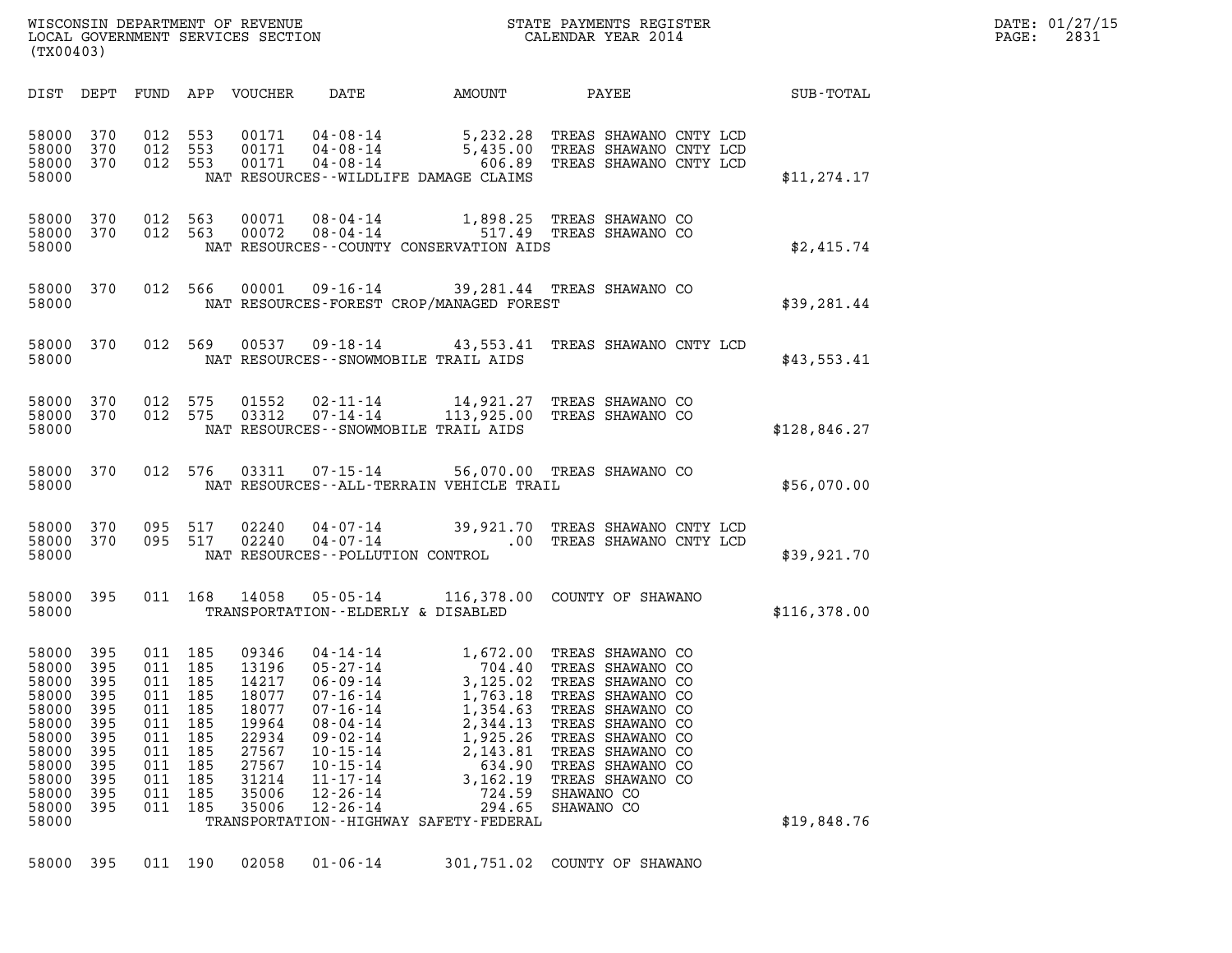| WISCONSIN DEPARTMENT OF REVENUE<br>LOCAL GOVERNMENT SERVICES SECTION<br>(TX00403) | STATE PAYMENTS REGISTER<br>CALENDAR YEAR 2014 | DATE: 01/27/15<br>2831<br>PAGE: |
|-----------------------------------------------------------------------------------|-----------------------------------------------|---------------------------------|

| (TX00403)                                                                                                         |                                                                                  |                                                                           |                                                                                      |                                                                                                          |                                                                                                                                                                                                    |                                                                                                                                                                                     |                                                                                                                                                                                                                                  |              |
|-------------------------------------------------------------------------------------------------------------------|----------------------------------------------------------------------------------|---------------------------------------------------------------------------|--------------------------------------------------------------------------------------|----------------------------------------------------------------------------------------------------------|----------------------------------------------------------------------------------------------------------------------------------------------------------------------------------------------------|-------------------------------------------------------------------------------------------------------------------------------------------------------------------------------------|----------------------------------------------------------------------------------------------------------------------------------------------------------------------------------------------------------------------------------|--------------|
| DIST                                                                                                              | DEPT                                                                             | FUND APP                                                                  |                                                                                      | VOUCHER                                                                                                  | DATE                                                                                                                                                                                               | AMOUNT                                                                                                                                                                              | PAYEE                                                                                                                                                                                                                            | SUB-TOTAL    |
| 58000<br>58000<br>58000<br>58000                                                                                  | 370<br>370<br>370                                                                | 012<br>012<br>012                                                         | 553<br>553<br>553                                                                    | 00171<br>00171<br>00171                                                                                  | 04-08-14<br>04-08-14<br>$04 - 08 - 14$                                                                                                                                                             | 5,232.28<br>5,435.00<br>606.89<br>NAT RESOURCES - WILDLIFE DAMAGE CLAIMS                                                                                                            | TREAS SHAWANO CNTY LCD<br>TREAS SHAWANO CNTY LCD<br>TREAS SHAWANO CNTY LCD                                                                                                                                                       | \$11, 274.17 |
| 58000<br>58000<br>58000                                                                                           | 370<br>370                                                                       | 012<br>012                                                                | 563<br>563                                                                           | 00071<br>00072                                                                                           |                                                                                                                                                                                                    | 517.49<br>NAT RESOURCES--COUNTY CONSERVATION AIDS                                                                                                                                   | 1,898.25 TREAS SHAWANO CO<br>TREAS SHAWANO CO                                                                                                                                                                                    | \$2,415.74   |
| 58000<br>58000                                                                                                    | 370                                                                              | 012                                                                       | 566                                                                                  | 00001                                                                                                    |                                                                                                                                                                                                    | NAT RESOURCES-FOREST CROP/MANAGED FOREST                                                                                                                                            | 09-16-14 39,281.44 TREAS SHAWANO CO                                                                                                                                                                                              | \$39,281.44  |
| 58000<br>58000                                                                                                    | 370                                                                              | 012                                                                       | 569                                                                                  |                                                                                                          |                                                                                                                                                                                                    | 00537 09-18-14 43,553.41<br>NAT RESOURCES - - SNOWMOBILE TRAIL AIDS                                                                                                                 | TREAS SHAWANO CNTY LCD                                                                                                                                                                                                           | \$43,553.41  |
| 58000<br>58000<br>58000                                                                                           | 370<br>370                                                                       | 012<br>012                                                                | 575<br>575                                                                           | 01552<br>03312                                                                                           | 02-11-14<br>07-14-14                                                                                                                                                                               | 14,921.27<br>NAT RESOURCES - - SNOWMOBILE TRAIL AIDS                                                                                                                                | TREAS SHAWANO CO<br>113,925.00 TREAS SHAWANO CO                                                                                                                                                                                  | \$128,846.27 |
| 58000<br>58000                                                                                                    | 370                                                                              | 012                                                                       | 576                                                                                  | 03311                                                                                                    | 07-15-14                                                                                                                                                                                           | NAT RESOURCES - - ALL - TERRAIN VEHICLE TRAIL                                                                                                                                       | 56,070.00 TREAS SHAWANO CO                                                                                                                                                                                                       | \$56,070.00  |
| 58000<br>58000<br>58000                                                                                           | 370<br>370                                                                       | 095<br>095                                                                | 517<br>517                                                                           | 02240<br>02240                                                                                           | NAT RESOURCES - - POLLUTION CONTROL                                                                                                                                                                | $04 - 07 - 14$ 39,921<br>$04 - 07 - 14$<br>$.00\,$                                                                                                                                  | 39,921.70 TREAS SHAWANO CNTY LCD<br>TREAS SHAWANO CNTY LCD                                                                                                                                                                       | \$39,921.70  |
| 58000<br>58000                                                                                                    | 395                                                                              | 011                                                                       | 168                                                                                  | 14058                                                                                                    | 05-05-14                                                                                                                                                                                           | TRANSPORTATION -- ELDERLY & DISABLED                                                                                                                                                | 116,378.00 COUNTY OF SHAWANO                                                                                                                                                                                                     | \$116,378.00 |
| 58000<br>58000<br>58000<br>58000<br>58000<br>58000<br>58000<br>58000<br>58000<br>58000<br>58000<br>58000<br>58000 | 395<br>395<br>395<br>395<br>395<br>395<br>395<br>395<br>395<br>395<br>395<br>395 | 011<br>011<br>011<br>011<br>011<br>011<br>011<br>011<br>011<br>011<br>011 | 185<br>185<br>185<br>185<br>185<br>185<br>011 185<br>185<br>185<br>185<br>185<br>185 | 09346<br>13196<br>14217<br>18077<br>18077<br>19964<br>22934<br>27567<br>27567<br>31214<br>35006<br>35006 | 04-14-14<br>$05 - 27 - 14$<br>06-09-14<br>$07 - 16 - 14$<br>$07 - 16 - 14$<br>$08 - 04 - 14$<br>$09 - 02 - 14$<br>$10 - 15 - 14$<br>$10 - 15 - 14$<br>$11 - 17 - 14$<br>12-26-14<br>$12 - 26 - 14$ | 1,672.00<br>704.40<br>3,125.02<br>1,763.18<br>1,354.63<br>2,344.13<br>1,925.26<br>2,143.81<br>634.90<br>3,162.19<br>724.59<br>294.65<br>TRANSPORTATION - - HIGHWAY SAFETY - FEDERAL | TREAS SHAWANO CO<br>TREAS SHAWANO CO<br>TREAS SHAWANO CO<br>TREAS SHAWANO CO<br>TREAS SHAWANO CO<br>TREAS SHAWANO CO<br>TREAS SHAWANO CO<br>TREAS SHAWANO CO<br>TREAS SHAWANO CO<br>TREAS SHAWANO CO<br>SHAWANO CO<br>SHAWANO CO | \$19,848.76  |
| 58000                                                                                                             | 395                                                                              |                                                                           | 011 190                                                                              | 02058                                                                                                    | $01 - 06 - 14$                                                                                                                                                                                     |                                                                                                                                                                                     | 301,751.02 COUNTY OF SHAWANO                                                                                                                                                                                                     |              |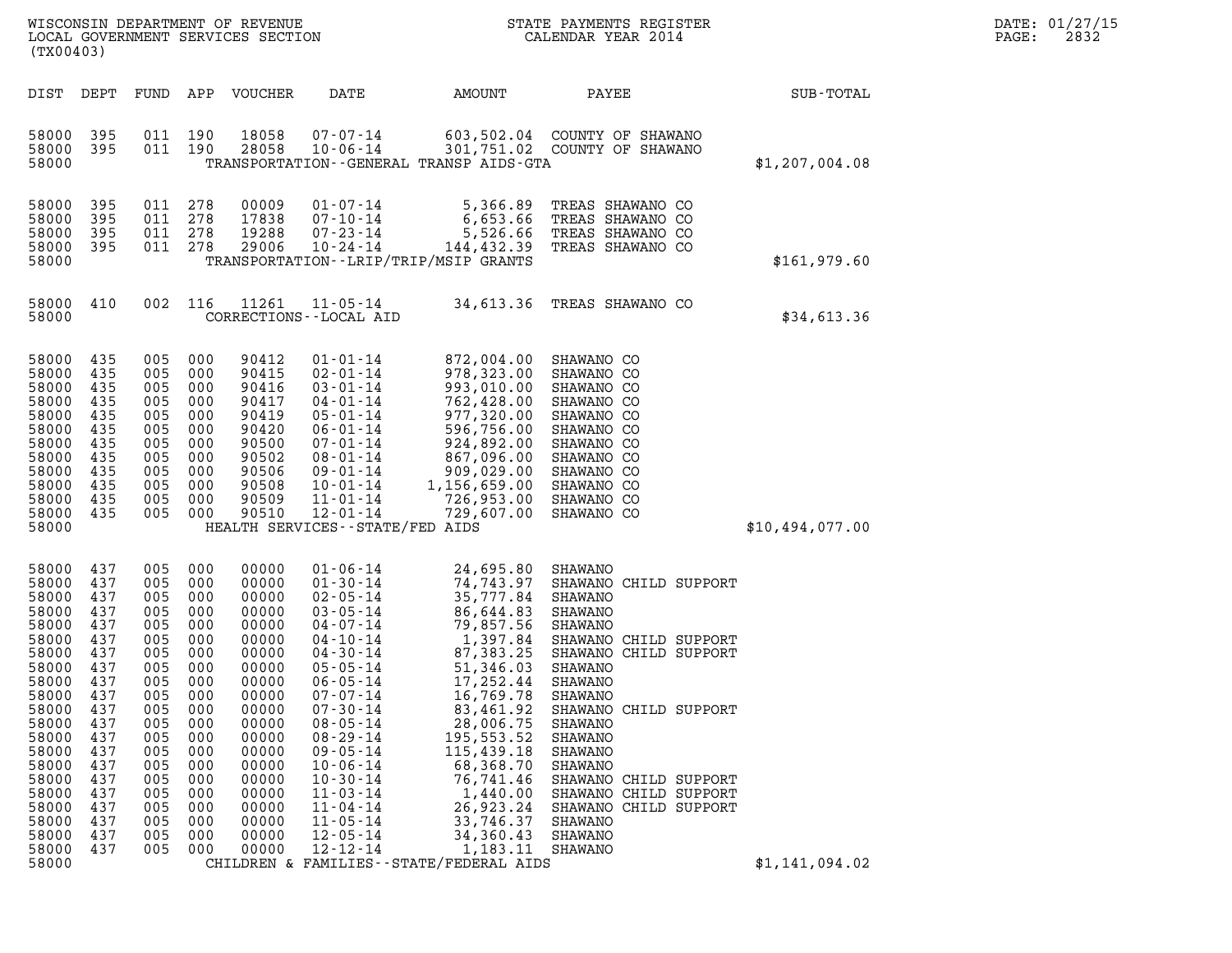| DATE: | 01/27/15 |
|-------|----------|
| PAGE: | 2832     |

| (TX00403)                                                                                                                                                                                          |                                                                                                                                                 |                                                                                                                                                 |                                                                                                                                                 | WISCONSIN DEPARTMENT OF REVENUE<br>LOCAL GOVERNMENT SERVICES SECTION                                                                                                                      |                                                                                                                                                                                                                                                                                                                                                                                        |                                                                                                                                                                                                                                                                                                                             | STATE PAYMENTS REGISTER<br>CALENDAR YEAR 2014<br>CALENDAR YEAR 2014                                                                                                                                                                                                                                                                                 |                 | DATE: 01/27/15<br>2832<br>PAGE: |
|----------------------------------------------------------------------------------------------------------------------------------------------------------------------------------------------------|-------------------------------------------------------------------------------------------------------------------------------------------------|-------------------------------------------------------------------------------------------------------------------------------------------------|-------------------------------------------------------------------------------------------------------------------------------------------------|-------------------------------------------------------------------------------------------------------------------------------------------------------------------------------------------|----------------------------------------------------------------------------------------------------------------------------------------------------------------------------------------------------------------------------------------------------------------------------------------------------------------------------------------------------------------------------------------|-----------------------------------------------------------------------------------------------------------------------------------------------------------------------------------------------------------------------------------------------------------------------------------------------------------------------------|-----------------------------------------------------------------------------------------------------------------------------------------------------------------------------------------------------------------------------------------------------------------------------------------------------------------------------------------------------|-----------------|---------------------------------|
| DIST DEPT                                                                                                                                                                                          |                                                                                                                                                 | FUND                                                                                                                                            |                                                                                                                                                 | APP VOUCHER                                                                                                                                                                               | DATE                                                                                                                                                                                                                                                                                                                                                                                   | AMOUNT                                                                                                                                                                                                                                                                                                                      | PAYEE                                                                                                                                                                                                                                                                                                                                               | SUB-TOTAL       |                                 |
| 58000<br>58000<br>58000                                                                                                                                                                            | 395<br>395                                                                                                                                      | 011 190<br>011 190                                                                                                                              |                                                                                                                                                 | 18058<br>28058                                                                                                                                                                            | $07 - 07 - 14$<br>$10 - 06 - 14$                                                                                                                                                                                                                                                                                                                                                       | TRANSPORTATION--GENERAL TRANSP AIDS-GTA                                                                                                                                                                                                                                                                                     | 603,502.04 COUNTY OF SHAWANO<br>301,751.02 COUNTY OF SHAWANO                                                                                                                                                                                                                                                                                        | \$1,207,004.08  |                                 |
| 58000<br>58000<br>58000<br>58000 395<br>58000                                                                                                                                                      | 395<br>395<br>395                                                                                                                               | 011 278<br>011 278<br>011<br>011 278                                                                                                            | 278                                                                                                                                             | 00009<br>17838<br>19288<br>29006                                                                                                                                                          | $01 - 07 - 14$<br>07-10-14<br>$07 - 23 - 14$<br>$10 - 24 - 14$                                                                                                                                                                                                                                                                                                                         | 5,366.89<br>6,653.66<br>5,526.66<br>144,432.39<br>TRANSPORTATION - - LRIP/TRIP/MSIP GRANTS                                                                                                                                                                                                                                  | TREAS SHAWANO CO<br>TREAS SHAWANO CO<br>TREAS SHAWANO CO<br>TREAS SHAWANO CO                                                                                                                                                                                                                                                                        | \$161,979.60    |                                 |
| 58000 410<br>58000                                                                                                                                                                                 |                                                                                                                                                 |                                                                                                                                                 | 002 116                                                                                                                                         | 11261                                                                                                                                                                                     | $11 - 05 - 14$<br>CORRECTIONS - - LOCAL AID                                                                                                                                                                                                                                                                                                                                            |                                                                                                                                                                                                                                                                                                                             | 34,613.36 TREAS SHAWANO CO                                                                                                                                                                                                                                                                                                                          | \$34,613.36     |                                 |
| 58000<br>58000<br>58000<br>58000<br>58000<br>58000<br>58000<br>58000<br>58000<br>58000<br>58000<br>58000 435<br>58000                                                                              | 435<br>435<br>435<br>435<br>435<br>435<br>435<br>435<br>435<br>435<br>435                                                                       | 005<br>005<br>005<br>005<br>005<br>005<br>005<br>005<br>005<br>005<br>005<br>005                                                                | 000<br>000<br>000<br>000<br>000<br>000<br>000<br>000<br>000<br>000<br>000<br>000                                                                | 90412<br>90415<br>90416<br>90417<br>90419<br>90420<br>90500<br>90502<br>90506<br>90508<br>90509<br>90510                                                                                  | $01 - 01 - 14$<br>$02 - 01 - 14$<br>$03 - 01 - 14$<br>$04 - 01 - 14$<br>$05 - 01 - 14$<br>$06 - 01 - 14$<br>$07 - 01 - 14$<br>$08 - 01 - 14$<br>09-01-14<br>$10 - 01 - 14$<br>$11 - 01 - 14$<br>$12 - 01 - 14$<br>HEALTH SERVICES - - STATE/FED AIDS                                                                                                                                   | 872,004.00<br>978,323.00<br>993,010.00<br>762,428.00<br>977,320.00<br>596,756.00<br>924,892.00<br>867,096.00<br>909,029.00<br>909,029.00<br>1,156,659.00<br>726,953.00<br>729,607.00                                                                                                                                        | SHAWANO CO<br>SHAWANO CO<br>SHAWANO CO<br>SHAWANO CO<br>SHAWANO CO<br>SHAWANO CO<br>SHAWANO CO<br>SHAWANO CO<br>SHAWANO CO<br>SHAWANO CO<br>SHAWANO CO<br>SHAWANO CO                                                                                                                                                                                | \$10,494,077.00 |                                 |
| 58000<br>58000<br>58000<br>58000<br>58000<br>58000<br>58000<br>58000<br>58000<br>58000<br>58000<br>58000<br>58000<br>58000<br>58000<br>58000<br>58000<br>58000<br>58000<br>58000<br>58000<br>58000 | 437<br>437<br>437<br>437<br>437<br>437<br>437<br>437<br>437<br>437<br>437<br>437<br>437<br>437<br>437<br>437<br>437<br>437<br>437<br>437<br>437 | 005<br>005<br>005<br>005<br>005<br>005<br>005<br>005<br>005<br>005<br>005<br>005<br>005<br>005<br>005<br>005<br>005<br>005<br>005<br>005<br>005 | 000<br>000<br>000<br>000<br>000<br>000<br>000<br>000<br>000<br>000<br>000<br>000<br>000<br>000<br>000<br>000<br>000<br>000<br>000<br>000<br>000 | 00000<br>00000<br>00000<br>00000<br>00000<br>00000<br>00000<br>00000<br>00000<br>00000<br>00000<br>00000<br>00000<br>00000<br>00000<br>00000<br>00000<br>00000<br>00000<br>00000<br>00000 | $01 - 06 - 14$<br>$01 - 30 - 14$<br>$02 - 05 - 14$<br>$03 - 05 - 14$<br>$04 - 07 - 14$<br>$04 - 10 - 14$<br>$04 - 30 - 14$<br>$05 - 05 - 14$<br>$06 - 05 - 14$<br>$07 - 07 - 14$<br>$07 - 30 - 14$<br>$08 - 05 - 14$<br>$08 - 29 - 14$<br>$09 - 05 - 14$<br>$10 - 06 - 14$<br>$10 - 30 - 14$<br>$11 - 03 - 14$<br>$11 - 04 - 14$<br>$11 - 05 - 14$<br>$12 - 05 - 14$<br>$12 - 12 - 14$ | 24,695.80<br>74,743.97<br>35,777.84<br>86,644.83<br>79,857.56<br>1,397.84<br>87,383.25<br>51,346.03<br>17,252.44<br>16,769.78<br>83,461.92<br>28,006.75<br>195, 553.52<br>115,439.18<br>68,368.70<br>76,741.46<br>1,440.00<br>26,923.24<br>33,746.37<br>34,360.43<br>1,183.11<br>CHILDREN & FAMILIES - - STATE/FEDERAL AIDS | SHAWANO<br>SHAWANO CHILD SUPPORT<br>SHAWANO<br><b>SHAWANO</b><br>SHAWANO<br>SHAWANO CHILD SUPPORT<br>SHAWANO CHILD SUPPORT<br>SHAWANO<br>SHAWANO<br>SHAWANO<br>SHAWANO CHILD SUPPORT<br>SHAWANO<br>SHAWANO<br>SHAWANO<br>SHAWANO<br>SHAWANO CHILD SUPPORT<br>SHAWANO CHILD SUPPORT<br>SHAWANO CHILD SUPPORT<br><b>SHAWANO</b><br>SHAWANO<br>SHAWANO | \$1,141,094.02  |                                 |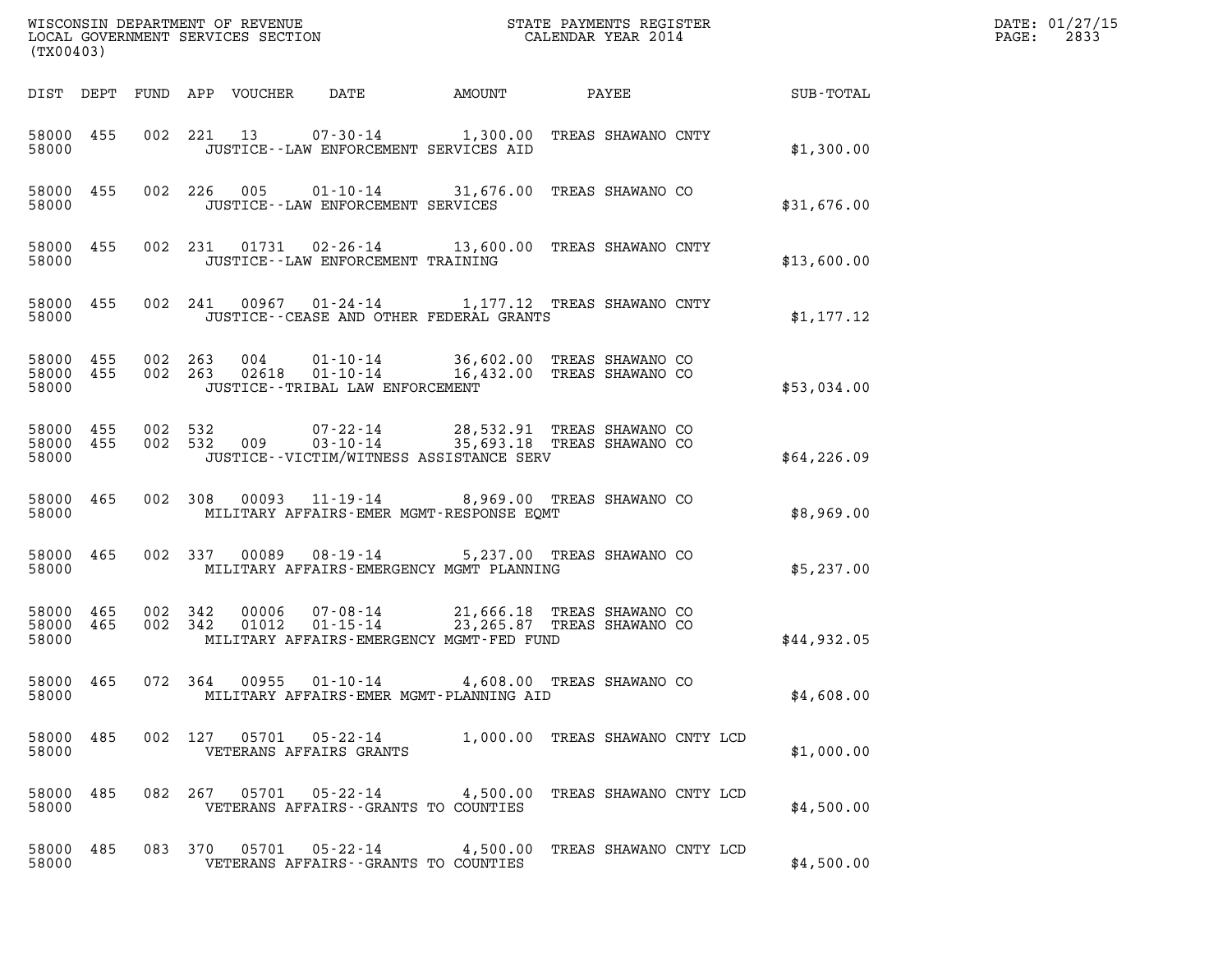| (TX00403)                       |                              |                                      |                                                                                                                                                                |       |                  |             | DATE: 01/27/15<br>2833<br>$\mathtt{PAGE:}$ |
|---------------------------------|------------------------------|--------------------------------------|----------------------------------------------------------------------------------------------------------------------------------------------------------------|-------|------------------|-------------|--------------------------------------------|
|                                 |                              | DIST DEPT FUND APP VOUCHER DATE      | AMOUNT                                                                                                                                                         | PAYEE | <b>SUB-TOTAL</b> |             |                                            |
| 58000 455<br>58000              |                              |                                      | 002 221 13 07-30-14 1,300.00 TREAS SHAWANO CNTY<br>JUSTICE -- LAW ENFORCEMENT SERVICES AID                                                                     |       |                  | \$1,300.00  |                                            |
| 58000 455<br>58000              |                              | JUSTICE -- LAW ENFORCEMENT SERVICES  | 002 226 005 01-10-14 31,676.00 TREAS SHAWANO CO                                                                                                                |       |                  | \$31,676.00 |                                            |
| 58000 455<br>58000              |                              | JUSTICE - - LAW ENFORCEMENT TRAINING | 002 231 01731 02-26-14 13,600.00 TREAS SHAWANO CNTY                                                                                                            |       |                  | \$13,600.00 |                                            |
| 58000                           |                              |                                      | 58000 455 002 241 00967 01-24-14 1,177.12 TREAS SHAWANO CNTY<br>JUSTICE - - CEASE AND OTHER FEDERAL GRANTS                                                     |       |                  | \$1,177.12  |                                            |
| 58000 455<br>58000              | 58000 455 002 263<br>002 263 | JUSTICE - - TRIBAL LAW ENFORCEMENT   | 004   01-10-14   36,602.00 TREAS SHAWANO CO<br>02618   01-10-14   16,432.00 TREAS SHAWANO CO                                                                   |       |                  | \$53,034.00 |                                            |
| 58000                           |                              |                                      | 58000 455 002 532 009 07-22-14 28,532.91 TREAS SHAWANO CO 58000 455 002 532 009 03-10-14 35,693.18 TREAS SHAWANO CO<br>JUSTICE--VICTIM/WITNESS ASSISTANCE SERV |       |                  | \$64,226.09 |                                            |
| 58000 465<br>58000              |                              |                                      | 002 308 00093 11-19-14 8,969.00 TREAS SHAWANO CO<br>MILITARY AFFAIRS-EMER MGMT-RESPONSE EOMT                                                                   |       |                  | \$8,969.00  |                                            |
| 58000 465<br>58000              |                              |                                      | 002 337 00089 08-19-14 5,237.00 TREAS SHAWANO CO<br>MILITARY AFFAIRS-EMERGENCY MGMT PLANNING                                                                   |       |                  | \$5,237.00  |                                            |
| 58000 465<br>58000 465<br>58000 | 002 342<br>002 342           | 01012                                | 00006  07-08-14  21,666.18  TREAS SHAWANO CO<br>01-15-14 23,265.87 TREAS SHAWANO CO<br>MILITARY AFFAIRS-EMERGENCY MGMT-FED FUND                                |       |                  | \$44,932.05 |                                            |
| 58000 465<br>58000              |                              |                                      | 072 364 00955 01-10-14 4,608.00 TREAS SHAWANO CO<br>MILITARY AFFAIRS-EMER MGMT-PLANNING AID                                                                    |       |                  | \$4,608.00  |                                            |
| 58000 485<br>58000              |                              | VETERANS AFFAIRS GRANTS              | 002 127 05701 05-22-14 1,000.00 TREAS SHAWANO CNTY LCD                                                                                                         |       |                  | \$1,000.00  |                                            |
| 58000 485<br>58000              |                              |                                      | 082  267  05701  05-22-14  4,500.00 TREAS SHAWANO CNTY LCD<br>VETERANS AFFAIRS -- GRANTS TO COUNTIES                                                           |       |                  | \$4,500.00  |                                            |
| 58000 485<br>58000              |                              |                                      | 083 370 05701 05-22-14 4,500.00 TREAS SHAWANO CNTY LCD<br>VETERANS AFFAIRS -- GRANTS TO COUNTIES                                                               |       |                  | \$4,500.00  |                                            |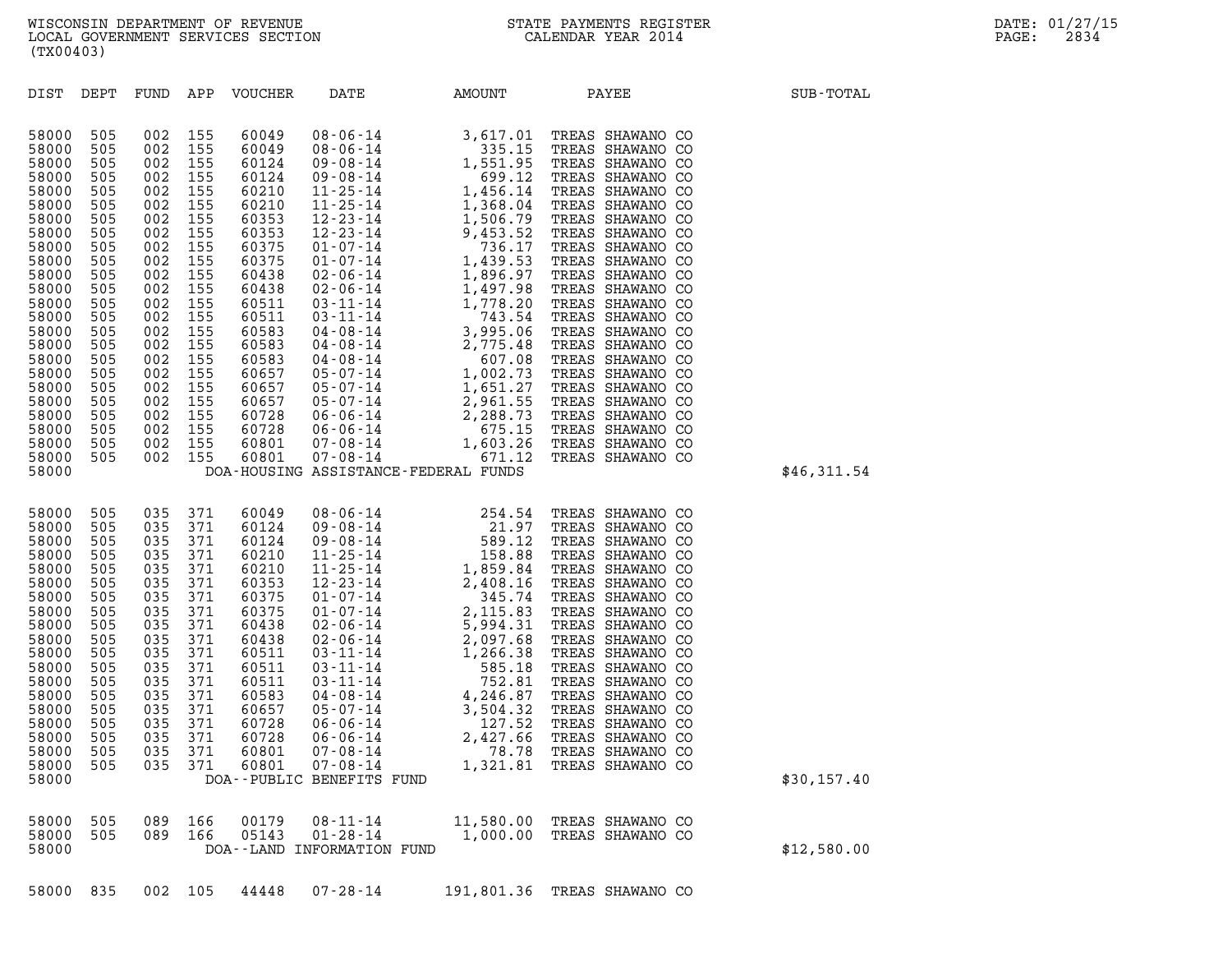| 58000                   | DOA--PUBLIC BENEFITS FUND |            |            |                |                                                              |          |                                                |             |  |  |
|-------------------------|---------------------------|------------|------------|----------------|--------------------------------------------------------------|----------|------------------------------------------------|-------------|--|--|
| 58000<br>58000<br>58000 | 505<br>505                | 089<br>089 | 166<br>166 | 00179<br>05143 | 08 - 11 - 14<br>$01 - 28 - 14$<br>DOA--LAND INFORMATION FUND | 1,000.00 | 11,580.00 TREAS SHAWANO CO<br>TREAS SHAWANO CO | \$12,580.00 |  |  |

| 58000                                                                                                                                                                            |                                                                                                                                   |                                                                                                                                   |                                                                                                                                   |                                                                                                                                                                         | DOA-HOUSING ASSISTANCE-FEDERAL FUNDS                                                                                                                                                                                                                                                                                                                                      |                                                                                                                                                                                                              |       |                                                                                                                                                                                                                                                                                                                                                                           |                   | \$46,311.54 |
|----------------------------------------------------------------------------------------------------------------------------------------------------------------------------------|-----------------------------------------------------------------------------------------------------------------------------------|-----------------------------------------------------------------------------------------------------------------------------------|-----------------------------------------------------------------------------------------------------------------------------------|-------------------------------------------------------------------------------------------------------------------------------------------------------------------------|---------------------------------------------------------------------------------------------------------------------------------------------------------------------------------------------------------------------------------------------------------------------------------------------------------------------------------------------------------------------------|--------------------------------------------------------------------------------------------------------------------------------------------------------------------------------------------------------------|-------|---------------------------------------------------------------------------------------------------------------------------------------------------------------------------------------------------------------------------------------------------------------------------------------------------------------------------------------------------------------------------|-------------------|-------------|
| 58000<br>58000<br>58000<br>58000<br>58000<br>58000<br>58000<br>58000<br>58000<br>58000<br>58000<br>58000<br>58000<br>58000<br>58000<br>58000<br>58000<br>58000<br>58000<br>58000 | 505<br>505<br>505<br>505<br>505<br>505<br>505<br>505<br>505<br>505<br>505<br>505<br>505<br>505<br>505<br>505<br>505<br>505<br>505 | 035<br>035<br>035<br>035<br>035<br>035<br>035<br>035<br>035<br>035<br>035<br>035<br>035<br>035<br>035<br>035<br>035<br>035<br>035 | 371<br>371<br>371<br>371<br>371<br>371<br>371<br>371<br>371<br>371<br>371<br>371<br>371<br>371<br>371<br>371<br>371<br>371<br>371 | 60049<br>60124<br>60124<br>60210<br>60210<br>60353<br>60375<br>60375<br>60438<br>60438<br>60511<br>60511<br>60511<br>60583<br>60657<br>60728<br>60728<br>60801<br>60801 | $08 - 06 - 14$<br>$09 - 08 - 14$<br>$09 - 08 - 14$<br>$11 - 25 - 14$<br>$11 - 25 - 14$<br>$12 - 23 - 14$<br>$01 - 07 - 14$<br>$01 - 07 - 14$<br>$02 - 06 - 14$<br>$02 - 06 - 14$<br>$03 - 11 - 14$<br>$03 - 11 - 14$<br>$03 - 11 - 14$<br>$04 - 08 - 14$<br>$05 - 07 - 14$<br>$06 - 06 - 14$<br>06-06-14<br>$07 - 08 - 14$<br>$07 - 08 - 14$<br>DOA--PUBLIC BENEFITS FUND | 254.54<br>21.97<br>589.12<br>158.88<br>1,859.84<br>2,408.16<br>345.74<br>2,115.83<br>5,994.31<br>2,097.68<br>1,266.38<br>585.18<br>752.81<br>4,246.87<br>3,504.32<br>127.52<br>2,427.66<br>78.78<br>1,321.81 | TREAS | TREAS SHAWANO CO<br>TREAS SHAWANO CO<br>TREAS SHAWANO<br>TREAS SHAWANO CO<br>TREAS SHAWANO CO<br>TREAS SHAWANO CO<br>TREAS SHAWANO CO<br>TREAS SHAWANO CO<br>TREAS SHAWANO CO<br>TREAS SHAWANO CO<br>TREAS SHAWANO CO<br>SHAWANO<br>TREAS SHAWANO CO<br>TREAS SHAWANO<br>TREAS SHAWANO CO<br>TREAS SHAWANO CO<br>TREAS SHAWANO CO<br>TREAS SHAWANO CO<br>TREAS SHAWANO CO | CO.<br>CO.<br>CO. | \$30,157.40 |
|                                                                                                                                                                                  |                                                                                                                                   |                                                                                                                                   |                                                                                                                                   |                                                                                                                                                                         |                                                                                                                                                                                                                                                                                                                                                                           |                                                                                                                                                                                                              |       |                                                                                                                                                                                                                                                                                                                                                                           |                   |             |

| (TX00403)                                                                                                                                                                                                                     |                                                                                                                                                                      |                                                                                                                                                                      |                                                                                                                                                                      |                                                                                                                                                                                                                      |                                                                                                                                                                                                      |                                                                                                                                                                                                                                                                                                                                                                                                                                                                                                         |                                                                                                                                                                                                                                                                                                                                                                                                                                                                                              |             |
|-------------------------------------------------------------------------------------------------------------------------------------------------------------------------------------------------------------------------------|----------------------------------------------------------------------------------------------------------------------------------------------------------------------|----------------------------------------------------------------------------------------------------------------------------------------------------------------------|----------------------------------------------------------------------------------------------------------------------------------------------------------------------|----------------------------------------------------------------------------------------------------------------------------------------------------------------------------------------------------------------------|------------------------------------------------------------------------------------------------------------------------------------------------------------------------------------------------------|---------------------------------------------------------------------------------------------------------------------------------------------------------------------------------------------------------------------------------------------------------------------------------------------------------------------------------------------------------------------------------------------------------------------------------------------------------------------------------------------------------|----------------------------------------------------------------------------------------------------------------------------------------------------------------------------------------------------------------------------------------------------------------------------------------------------------------------------------------------------------------------------------------------------------------------------------------------------------------------------------------------|-------------|
| DIST                                                                                                                                                                                                                          | DEPT                                                                                                                                                                 | FUND                                                                                                                                                                 | APP                                                                                                                                                                  | VOUCHER                                                                                                                                                                                                              | DATE                                                                                                                                                                                                 | AMOUNT                                                                                                                                                                                                                                                                                                                                                                                                                                                                                                  | PAYEE                                                                                                                                                                                                                                                                                                                                                                                                                                                                                        | SUB-TOTAL   |
| 58000<br>58000<br>58000<br>58000<br>58000<br>58000<br>58000<br>58000<br>58000<br>58000<br>58000<br>58000<br>58000<br>58000<br>58000<br>58000<br>58000<br>58000<br>58000<br>58000<br>58000<br>58000<br>58000<br>58000<br>58000 | 505<br>505<br>505<br>505<br>505<br>505<br>505<br>505<br>505<br>505<br>505<br>505<br>505<br>505<br>505<br>505<br>505<br>505<br>505<br>505<br>505<br>505<br>505<br>505 | 002<br>002<br>002<br>002<br>002<br>002<br>002<br>002<br>002<br>002<br>002<br>002<br>002<br>002<br>002<br>002<br>002<br>002<br>002<br>002<br>002<br>002<br>002<br>002 | 155<br>155<br>155<br>155<br>155<br>155<br>155<br>155<br>155<br>155<br>155<br>155<br>155<br>155<br>155<br>155<br>155<br>155<br>155<br>155<br>155<br>155<br>155<br>155 | 60049<br>60049<br>60124<br>60124<br>60210<br>60210<br>60353<br>60353<br>60375<br>60375<br>60438<br>60438<br>60511<br>60511<br>60583<br>60583<br>60583<br>60657<br>60657<br>60657<br>60728<br>60728<br>60801<br>60801 | $08 - 06 - 14$<br>08-06-14<br>11-25-14<br>$11 - 25 - 14$<br>$01 - 07 - 14$<br>02 - 06 - 14<br>02 - 06 - 14<br>04-08-14<br>$04 - 08 - 14$<br>$06 - 06 - 14$<br>$06 - 06 - 14$<br>07-08-14<br>07-08-14 | 3,617.01<br>335.15<br>09 - 08 - 14<br>09 - 08 - 14<br>09 - 08 - 14<br>699 - 12<br>1,456.14<br>1,368.04<br>$12 - 23 - 14$ 1,506.79<br>12 - 23 - 14 9,453 - 52<br>01 - 07 - 14 736 - 17<br>$736.17$<br>1,439.53<br>1,896.97<br>1,497.98<br>03-11-14<br>03-11-14<br>04-08-14<br>04-08-14<br>3,995.06<br>2,775.48<br>607.08<br>$04 - 08 - 14$ 607.08<br>05 - 07 - 14 1,002.73<br>05-07-14 1,651.27<br>05-07-14 2,961.55<br>2,288.73<br>675.15<br>1,603.26<br>671.12<br>DOA-HOUSING ASSISTANCE-FEDERAL FUNDS | TREAS SHAWANO CO<br>TREAS SHAWANO CO<br>TREAS SHAWANO CO<br>TREAS SHAWANO CO<br>TREAS SHAWANO CO<br>TREAS SHAWANO CO<br>TREAS SHAWANO CO<br>TREAS SHAWANO CO<br>TREAS SHAWANO CO<br>TREAS SHAWANO CO<br>TREAS SHAWANO CO<br>TREAS SHAWANO CO<br>TREAS SHAWANO CO<br>TREAS SHAWANO CO<br>TREAS SHAWANO CO<br>TREAS SHAWANO CO<br>TREAS SHAWANO CO<br>TREAS SHAWANO CO<br>TREAS SHAWANO CO<br>TREAS SHAWANO CO<br>TREAS SHAWANO CO<br>TREAS SHAWANO CO<br>TREAS SHAWANO CO<br>TREAS SHAWANO CO | \$46,311.54 |
|                                                                                                                                                                                                                               |                                                                                                                                                                      |                                                                                                                                                                      |                                                                                                                                                                      |                                                                                                                                                                                                                      |                                                                                                                                                                                                      |                                                                                                                                                                                                                                                                                                                                                                                                                                                                                                         |                                                                                                                                                                                                                                                                                                                                                                                                                                                                                              |             |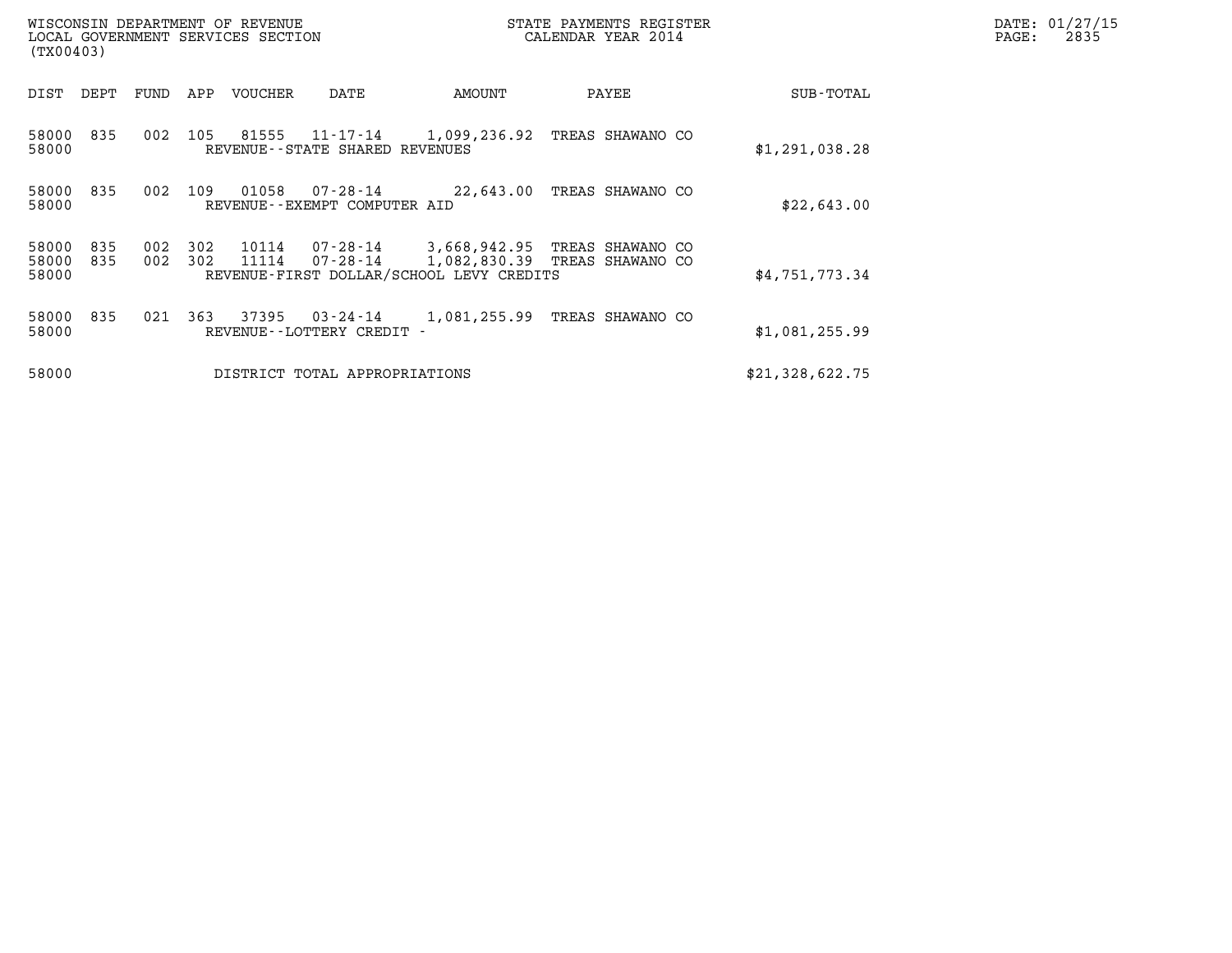| (TX00403)               |            |            |            | WISCONSIN DEPARTMENT OF REVENUE<br>LOCAL GOVERNMENT SERVICES SECTION |                                       | STATE PAYMENTS REGISTER                  | DATE: 01/27/15<br>PAGE:<br>2835                                                  |                 |  |
|-------------------------|------------|------------|------------|----------------------------------------------------------------------|---------------------------------------|------------------------------------------|----------------------------------------------------------------------------------|-----------------|--|
| DIST DEPT               |            | FUND       | APP        | VOUCHER                                                              | DATE                                  | AMOUNT                                   | PAYEE                                                                            | SUB-TOTAL       |  |
| 58000<br>58000          | 835        | 002        | 105        | 81555                                                                | REVENUE--STATE SHARED REVENUES        |                                          | 11-17-14 1,099,236.92 TREAS SHAWANO CO                                           | \$1,291,038.28  |  |
| 58000<br>58000          | 835        | 002        | 109        |                                                                      | REVENUE--EXEMPT COMPUTER AID          |                                          | 22,643.00 TREAS SHAWANO CO                                                       | \$22,643.00     |  |
| 58000<br>58000<br>58000 | 835<br>835 | 002<br>002 | 302<br>302 | 10114<br>11114                                                       |                                       | REVENUE-FIRST DOLLAR/SCHOOL LEVY CREDITS | 07-28-14 3,668,942.95 TREAS SHAWANO CO<br>07-28-14 1,082,830.39 TREAS SHAWANO CO | \$4,751,773.34  |  |
| 58000<br>58000          | 835        | 021        | 363        | 37395                                                                | 03-24-14<br>REVENUE--LOTTERY CREDIT - |                                          | 1,081,255.99 TREAS SHAWANO CO                                                    | \$1,081,255.99  |  |
| 58000                   |            |            |            |                                                                      | DISTRICT TOTAL APPROPRIATIONS         |                                          |                                                                                  | \$21,328,622.75 |  |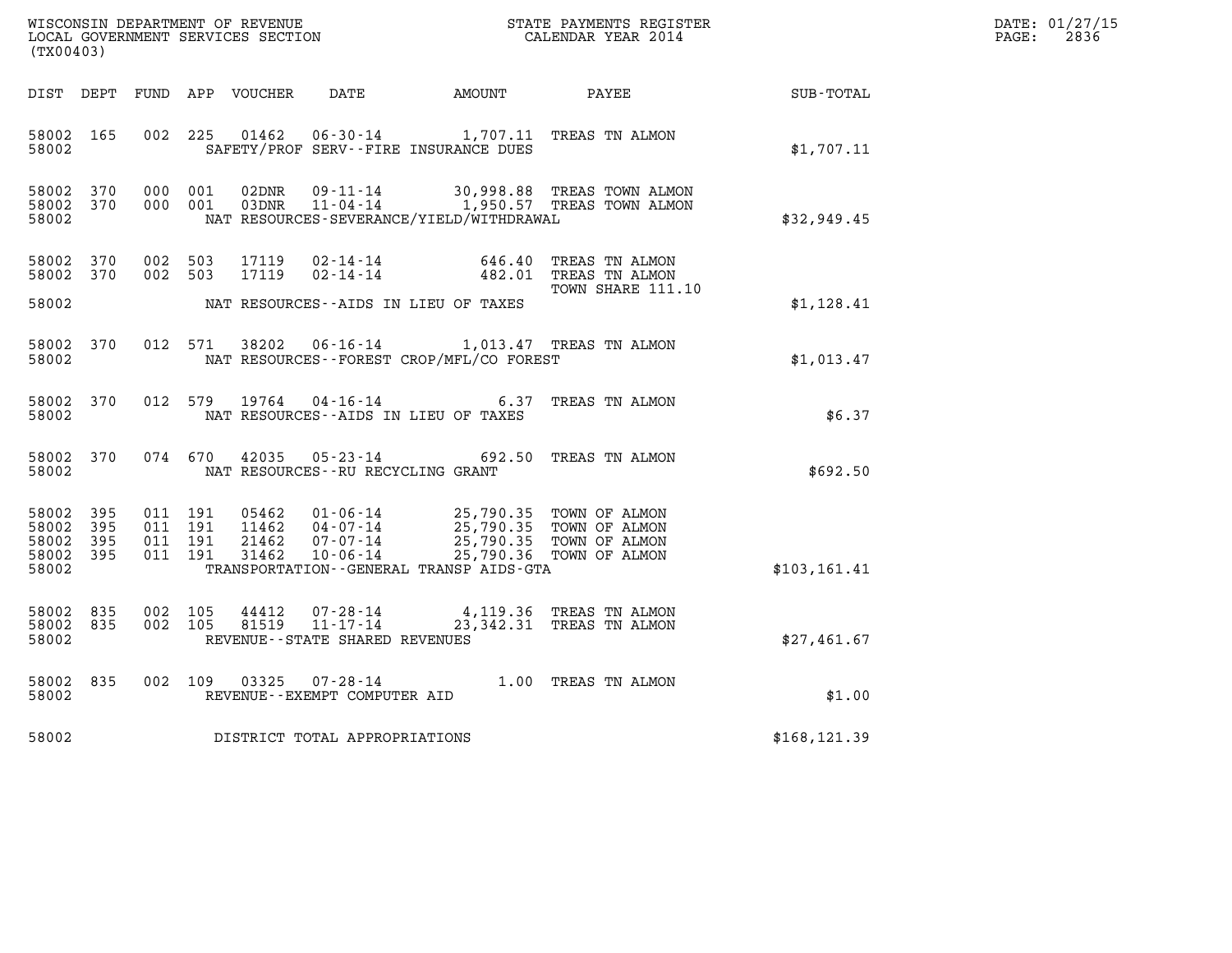| DATE: | 01/27/15 |
|-------|----------|
| PAGE: | 2836     |

| (TX00403)                                 |                          |                                                                     |                                                                 |                                                                                  | WISCONSIN DEPARTMENT OF REVENUE<br>LOCAL GOVERNMENT SERVICES SECTION<br>CALENDAR YEAR 2014 |               | DATE: 01/27/15<br>$\mathtt{PAGE:}$<br>2836 |
|-------------------------------------------|--------------------------|---------------------------------------------------------------------|-----------------------------------------------------------------|----------------------------------------------------------------------------------|--------------------------------------------------------------------------------------------|---------------|--------------------------------------------|
|                                           |                          |                                                                     |                                                                 |                                                                                  |                                                                                            |               |                                            |
| 58002 165<br>58002                        |                          | 002 225<br>01462                                                    |                                                                 | 06-30-14 1,707.11 TREAS TN ALMON<br>SAFETY/PROF SERV--FIRE INSURANCE DUES        |                                                                                            | \$1,707.11    |                                            |
| 58002<br>58002<br>58002                   | 370<br>370               | 000 001<br>02DNR<br>000 001<br>03DNR                                |                                                                 | NAT RESOURCES-SEVERANCE/YIELD/WITHDRAWAL                                         | 09-11-14 30,998.88 TREAS TOWN ALMON<br>11-04-14 1,950.57 TREAS TOWN ALMON                  | \$32,949.45   |                                            |
| 58002<br>58002                            | 370<br>370               | 002 503<br>17119<br>002 503<br>17119                                | 02 - 14 - 14<br>02 - 14 - 14                                    |                                                                                  | 646.40 TREAS TN ALMON<br>482.01 TREAS TN ALMON                                             |               |                                            |
| 58002                                     |                          |                                                                     |                                                                 | NAT RESOURCES--AIDS IN LIEU OF TAXES                                             | TOWN SHARE 111.10                                                                          | \$1,128.41    |                                            |
| 58002<br>58002                            | 370                      | 012 571<br>38202                                                    |                                                                 | 06-16-14 1,013.47 TREAS TN ALMON<br>NAT RESOURCES - - FOREST CROP/MFL/CO FOREST  |                                                                                            | \$1,013.47    |                                            |
| 58002<br>58002                            | 370                      | 012 579<br>19764                                                    |                                                                 | NAT RESOURCES -- AIDS IN LIEU OF TAXES                                           | 04-16-14 6.37 TREAS TN ALMON                                                               | \$6.37        |                                            |
| 58002 370<br>58002                        |                          | 074 670<br>42035                                                    | NAT RESOURCES--RU RECYCLING GRANT                               | 05-23-14 692.50 TREAS TN ALMON                                                   |                                                                                            | \$692.50      |                                            |
| 58002<br>58002<br>58002<br>58002<br>58002 | 395<br>395<br>395<br>395 | 011 191<br>05462<br>011 191<br>011 191<br>21462<br>011 191<br>31462 | 11462 04-07-14<br>07-07-14<br>$10 - 06 - 14$                    | 01-06-14 25,790.35 TOWN OF ALMON<br>TRANSPORTATION - - GENERAL TRANSP AIDS - GTA | 25,790.35 TOWN OF ALMON<br>25,790.35 TOWN OF ALMON<br>25,790.36 TOWN OF ALMON              | \$103, 161.41 |                                            |
| 58002 835<br>58002<br>58002               | 835                      | 002 105<br>44412<br>002 105<br>81519                                | 07-28-14<br>$11 - 17 - 14$<br>REVENUE - - STATE SHARED REVENUES |                                                                                  | 4,119.36 TREAS TN ALMON<br>23,342.31 TREAS TN ALMON                                        | \$27,461.67   |                                            |
| 58002<br>58002                            | 835                      | 002 109<br>03325                                                    | REVENUE--EXEMPT COMPUTER AID                                    | 07-28-14 1.00 TREAS TN ALMON                                                     |                                                                                            | \$1.00        |                                            |
| 58002                                     |                          | DISTRICT TOTAL APPROPRIATIONS                                       |                                                                 |                                                                                  |                                                                                            | \$168, 121.39 |                                            |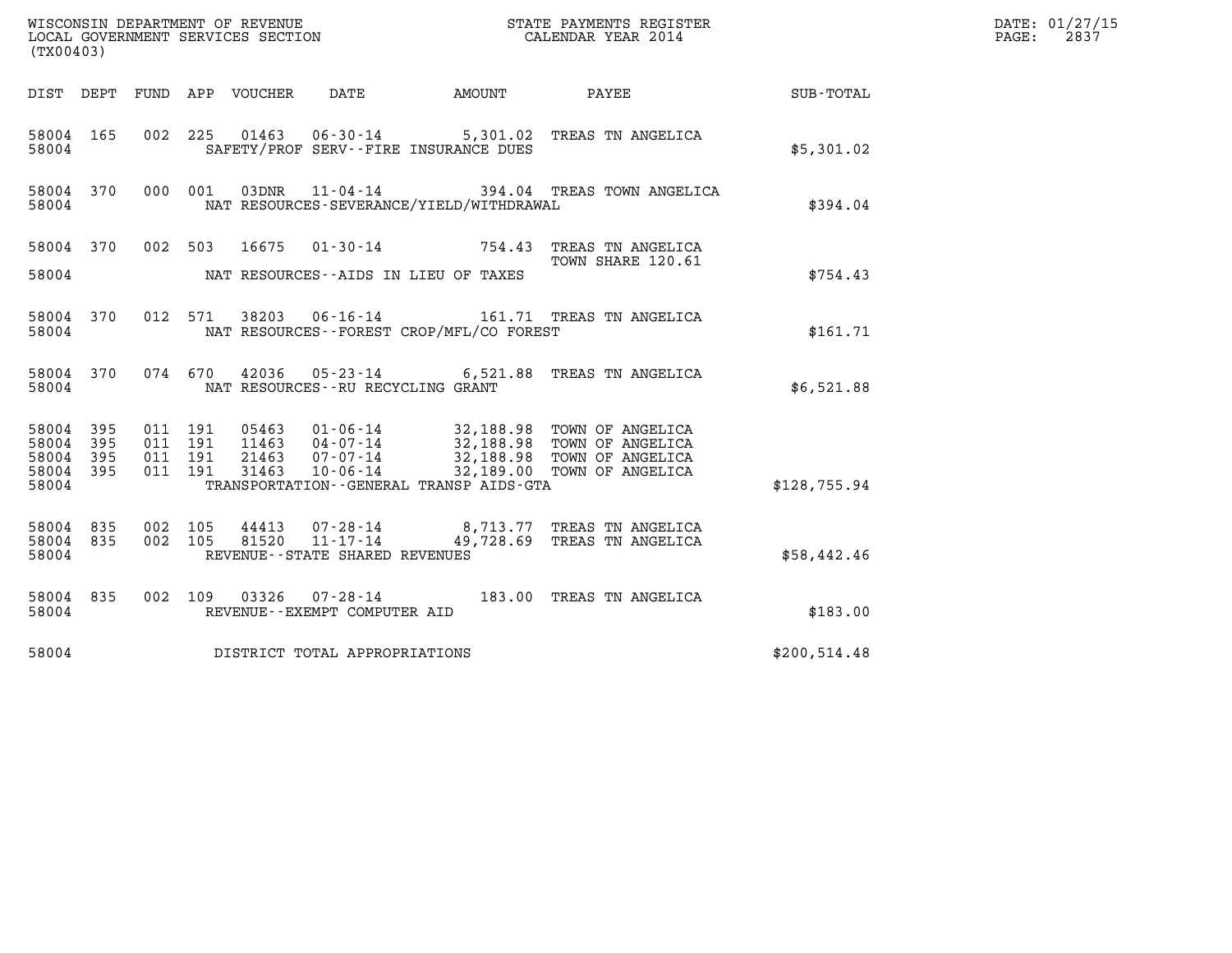| (TX00403)                                     |                     |                                          |                                      |                                                  |                                              |                                                                                                                                                                                                          |              | DATE: 01/27/15<br>2837<br>PAGE: |
|-----------------------------------------------|---------------------|------------------------------------------|--------------------------------------|--------------------------------------------------|----------------------------------------------|----------------------------------------------------------------------------------------------------------------------------------------------------------------------------------------------------------|--------------|---------------------------------|
|                                               |                     |                                          | DIST DEPT FUND APP VOUCHER           | DATE                                             |                                              | AMOUNT PAYEE                                                                                                                                                                                             | SUB-TOTAL    |                                 |
| 58004 165<br>58004                            |                     |                                          |                                      |                                                  | SAFETY/PROF SERV--FIRE INSURANCE DUES        | 002 225 01463 06-30-14 5,301.02 TREAS TN ANGELICA                                                                                                                                                        | \$5,301.02   |                                 |
| 58004 370<br>58004                            |                     |                                          | 000 001<br>03DNR                     |                                                  | NAT RESOURCES-SEVERANCE/YIELD/WITHDRAWAL     | 11-04-14 394.04 TREAS TOWN ANGELICA                                                                                                                                                                      | \$394.04     |                                 |
|                                               |                     |                                          |                                      |                                                  |                                              | 58004 370 002 503 16675 01-30-14 754.43 TREAS TN ANGELICA<br>TOWN SHARE 120.61                                                                                                                           |              |                                 |
| 58004                                         |                     |                                          | NAT RESOURCES--AIDS IN LIEU OF TAXES |                                                  |                                              |                                                                                                                                                                                                          | \$754.43     |                                 |
| 58004 370<br>58004                            |                     |                                          | 012 571                              |                                                  | NAT RESOURCES--FOREST CROP/MFL/CO FOREST     | 38203  06-16-14   161.71   TREAS TN ANGELICA                                                                                                                                                             | \$161.71     |                                 |
| 58004 370<br>58004                            |                     |                                          | 074 670                              | NAT RESOURCES -- RU RECYCLING GRANT              |                                              | 42036 05-23-14 6,521.88 TREAS TN ANGELICA                                                                                                                                                                | \$6,521.88   |                                 |
| 58004 395<br>58004<br>58004<br>58004<br>58004 | 395<br>- 395<br>395 | 011 191<br>011 191<br>011 191<br>011 191 | 21463<br>31463                       | $07 - 07 - 14$<br>$10 - 06 - 14$                 | TRANSPORTATION - - GENERAL TRANSP AIDS - GTA | 05463  01-06-14  32,188.98  TOWN OF ANGELICA<br>11463  04-07-14  32,188.98  TOWN OF ANGELICA<br>21463  07-07-14  22,188.98  TOWN OF ANGELICA<br>32,188.98 TOWN OF ANGELICA<br>32,189.00 TOWN OF ANGELICA | \$128,755.94 |                                 |
| 58004 835<br>58004 835<br>58004               |                     | 002 105<br>002 105                       | 44413<br>81520                       | $11 - 17 - 14$<br>REVENUE--STATE SHARED REVENUES |                                              | 07-28-14 8,713.77 TREAS TN ANGELICA<br>49,728.69 TREAS TN ANGELICA                                                                                                                                       | \$58,442.46  |                                 |
| 58004 835<br>58004                            |                     |                                          |                                      | REVENUE--EXEMPT COMPUTER AID                     |                                              | 002 109 03326 07-28-14 183.00 TREAS TN ANGELICA                                                                                                                                                          | \$183.00     |                                 |
| 58004                                         |                     |                                          | DISTRICT TOTAL APPROPRIATIONS        |                                                  |                                              |                                                                                                                                                                                                          | \$200,514.48 |                                 |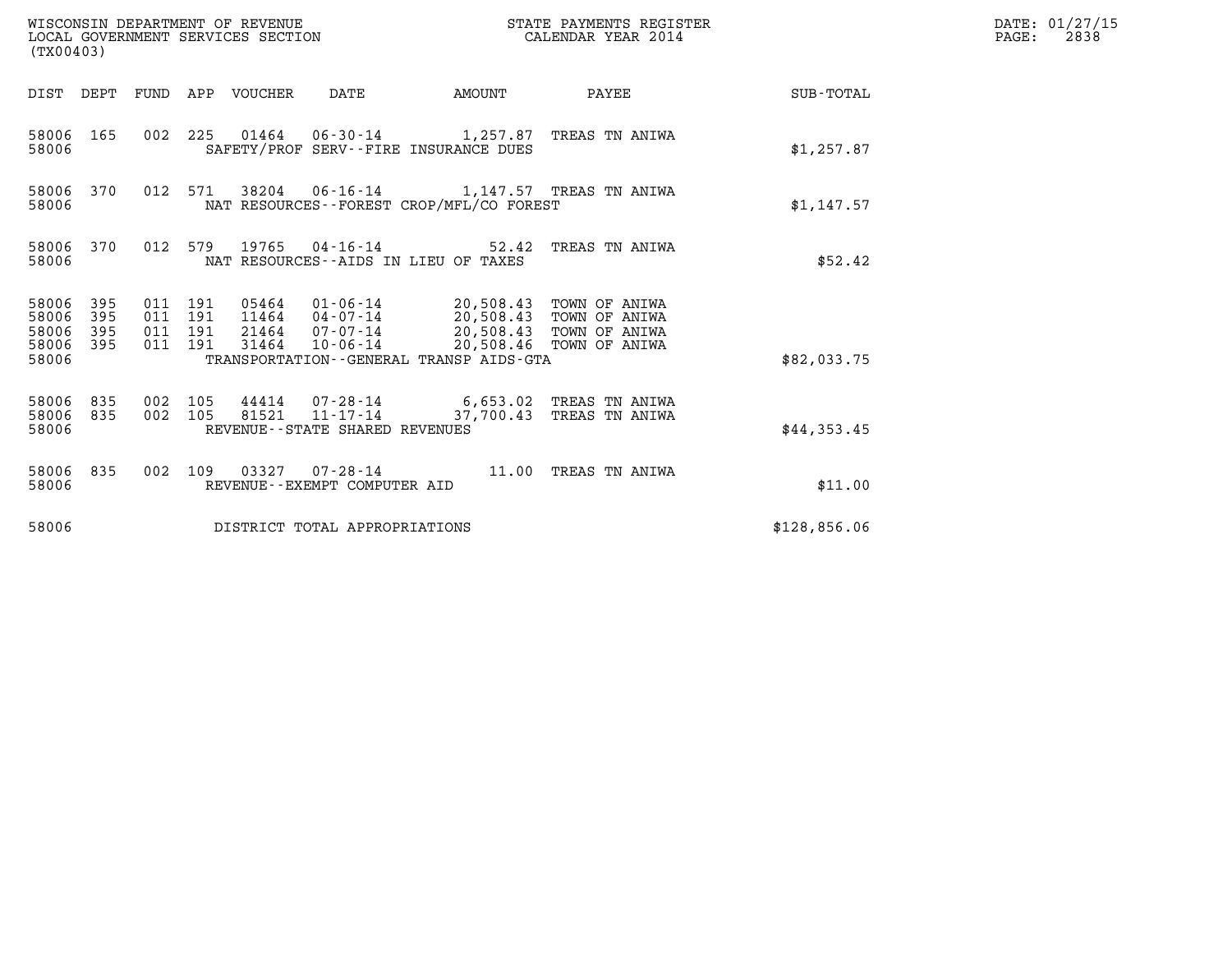| WISCONSIN DEPARTMENT OF REVENUE<br>(TX00403)                          | LOCAL GOVERNMENT SERVICES SECTION                                                                                                                                                                                    | STATE PAYMENTS REGISTER<br>CALENDAR YEAR 2014      |              | DATE: 01/27/15<br>$\mathtt{PAGE:}$<br>2838 |
|-----------------------------------------------------------------------|----------------------------------------------------------------------------------------------------------------------------------------------------------------------------------------------------------------------|----------------------------------------------------|--------------|--------------------------------------------|
|                                                                       | DIST DEPT FUND APP VOUCHER DATE<br>AMOUNT                                                                                                                                                                            | PAYEE                                              | SUB-TOTAL    |                                            |
| 58006 165<br>58006                                                    | 002 225 01464 06-30-14 1,257.87 TREAS TN ANIWA<br>SAFETY/PROF SERV--FIRE INSURANCE DUES                                                                                                                              |                                                    | \$1,257.87   |                                            |
| 58006 370<br>58006                                                    | 012 571<br>38204  06-16-14   1,147.57  TREAS TN ANIWA<br>NAT RESOURCES - - FOREST CROP/MFL/CO FOREST                                                                                                                 |                                                    | \$1,147.57   |                                            |
| 58006 370<br>58006                                                    | 012 579 19765 04-16-14<br>NAT RESOURCES--AIDS IN LIEU OF TAXES                                                                                                                                                       | 52.42 TREAS TN ANIWA                               | \$52.42      |                                            |
| 58006<br>395<br>395<br>58006<br>58006<br>395<br>58006<br>395<br>58006 | 011 191<br>05464  01-06-14  20,508.43  TOWN OF ANIWA<br>11464  04-07-14  20,508.43  TOWN OF ANIWA<br>011 191<br>21464 07-07-14<br>011 191<br>011 191<br>31464<br>10-06-14<br>TRANSPORTATION--GENERAL TRANSP AIDS-GTA | 20,508.43 TOWN OF ANIWA<br>20,508.46 TOWN OF ANIWA | \$82,033.75  |                                            |
| 58006 835<br>835<br>58006<br>58006                                    | 002 105<br>44414  07-28-14  6,653.02  TREAS TN ANIWA<br>81521 11-17-14<br>002 105<br>REVENUE - - STATE SHARED REVENUES                                                                                               | 37,700.43 TREAS TN ANIWA                           | \$44,353.45  |                                            |
| 58006 835<br>58006                                                    | 002 109 03327 07-28-14 11.00 TREAS TN ANIWA<br>REVENUE--EXEMPT COMPUTER AID                                                                                                                                          |                                                    | \$11.00      |                                            |
| 58006                                                                 | DISTRICT TOTAL APPROPRIATIONS                                                                                                                                                                                        |                                                    | \$128,856.06 |                                            |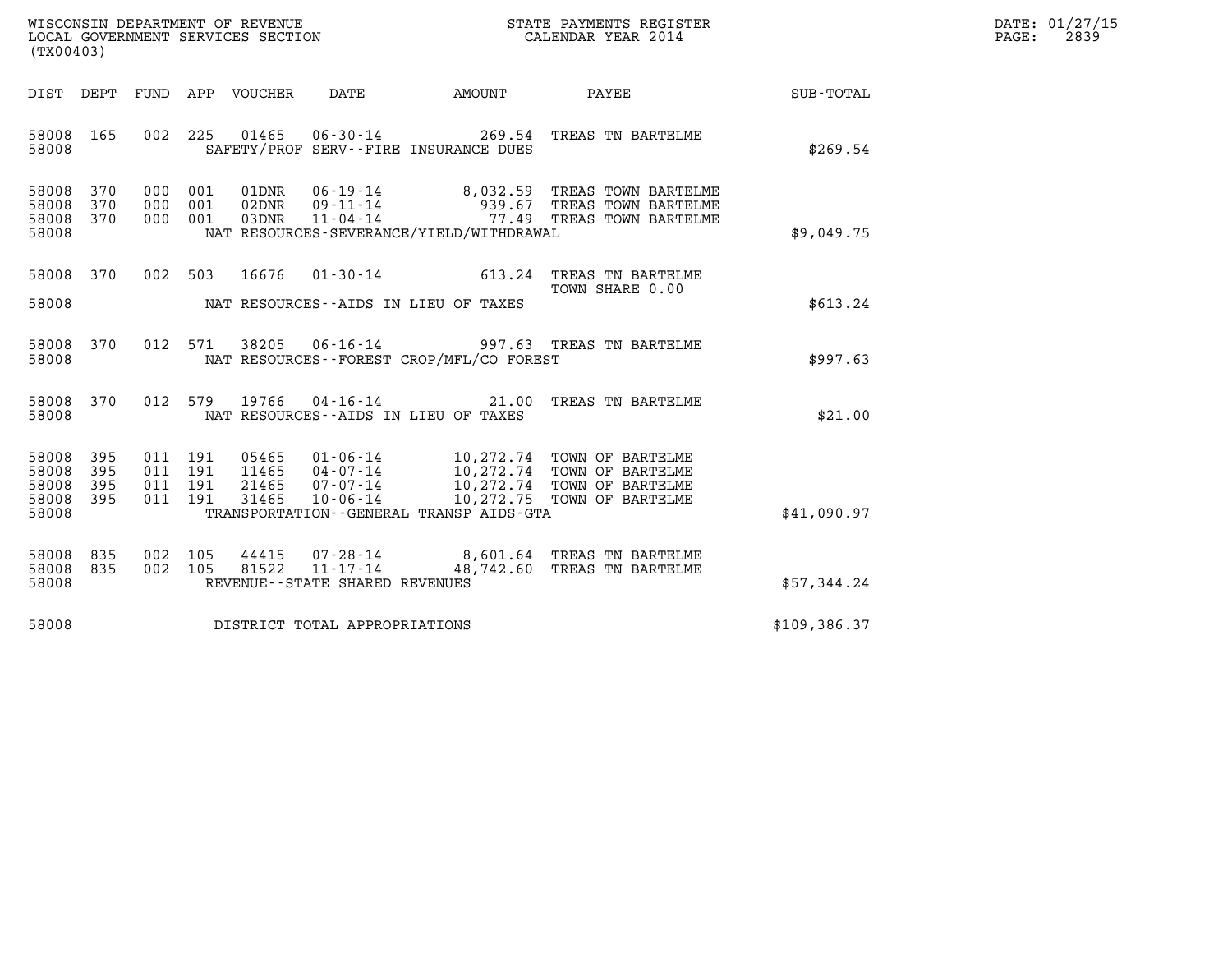| WISCONSIN DEPARTMENT OF REVENUE   | STATE PAYMENTS REGISTER | DATE: 01/27/15 |
|-----------------------------------|-------------------------|----------------|
| LOCAL GOVERNMENT SERVICES SECTION | CALENDAR YEAR 2014      | 2839<br>PAGE:  |

| (TX00403)                                                             |                          |                                                       |                                                                                                                                                                                                                                     |                              |               |
|-----------------------------------------------------------------------|--------------------------|-------------------------------------------------------|-------------------------------------------------------------------------------------------------------------------------------------------------------------------------------------------------------------------------------------|------------------------------|---------------|
| DIST<br>DEPT                                                          | FUND                     | APP VOUCHER                                           | DATE<br><b>EXAMPLE THE PROPERTY OF AMOUNT</b>                                                                                                                                                                                       | <b>PAYEE</b> FOUND THE PAYEE | SUB-TOTAL     |
| 58008<br>165<br>58008                                                 | 002                      | 225                                                   | 01465   06-30-14   269.54   TREAS TN BARTELME<br>SAFETY/PROF SERV--FIRE INSURANCE DUES                                                                                                                                              |                              | \$269.54      |
| 370<br>58008<br>58008<br>370<br>58008<br>370<br>58008                 | 000<br>000<br>000        | 001<br>001<br>001                                     | NAT RESOURCES-SEVERANCE/YIELD/WITHDRAWAL                                                                                                                                                                                            |                              | \$9,049.75    |
| 58008<br>370<br>58008                                                 | 002                      | 16676<br>503                                          | 01-30-14 613.24 TREAS TN BARTELME<br>NAT RESOURCES--AIDS IN LIEU OF TAXES                                                                                                                                                           | TOWN SHARE 0.00              | \$613.24      |
| 58008<br>370<br>58008                                                 | 012                      | 571<br>38205                                          | 06-16-14 997.63 TREAS TN BARTELME<br>NAT RESOURCES - - FOREST CROP/MFL/CO FOREST                                                                                                                                                    |                              | \$997.63      |
| 370<br>58008<br>58008                                                 | 012                      | 579                                                   | 19766 04-16-14 21.00<br>NAT RESOURCES -- AIDS IN LIEU OF TAXES                                                                                                                                                                      | TREAS TN BARTELME            | \$21.00       |
| 58008<br>395<br>395<br>58008<br>58008<br>395<br>395<br>58008<br>58008 | 011<br>011<br>011<br>011 | 191<br>191<br>191<br>191                              | 05465  01-06-14  10,272.74 TOWN OF BARTELME<br>11465  04-07-14  10,272.74 TOWN OF BARTELME<br>21465  07-07-14  10,272.74 TOWN OF BARTELME<br>31465  10-06-14  10,272.75 TOWN OF BARTELME<br>TRANSPORTATION--GENERAL TRANSP AIDS-GTA |                              | \$41,090.97   |
| 835<br>58008<br>58008<br>835<br>58008                                 | 002<br>002               | 105<br>81522<br>105<br>REVENUE--STATE SHARED REVENUES | $44415$ 07-28-14 8,601.64 TREAS TN BARTELME<br>11-17-14 48,742.60 TREAS TN BARTELME                                                                                                                                                 |                              | \$57,344.24   |
| 58008                                                                 |                          |                                                       | DISTRICT TOTAL APPROPRIATIONS                                                                                                                                                                                                       |                              | \$109, 386.37 |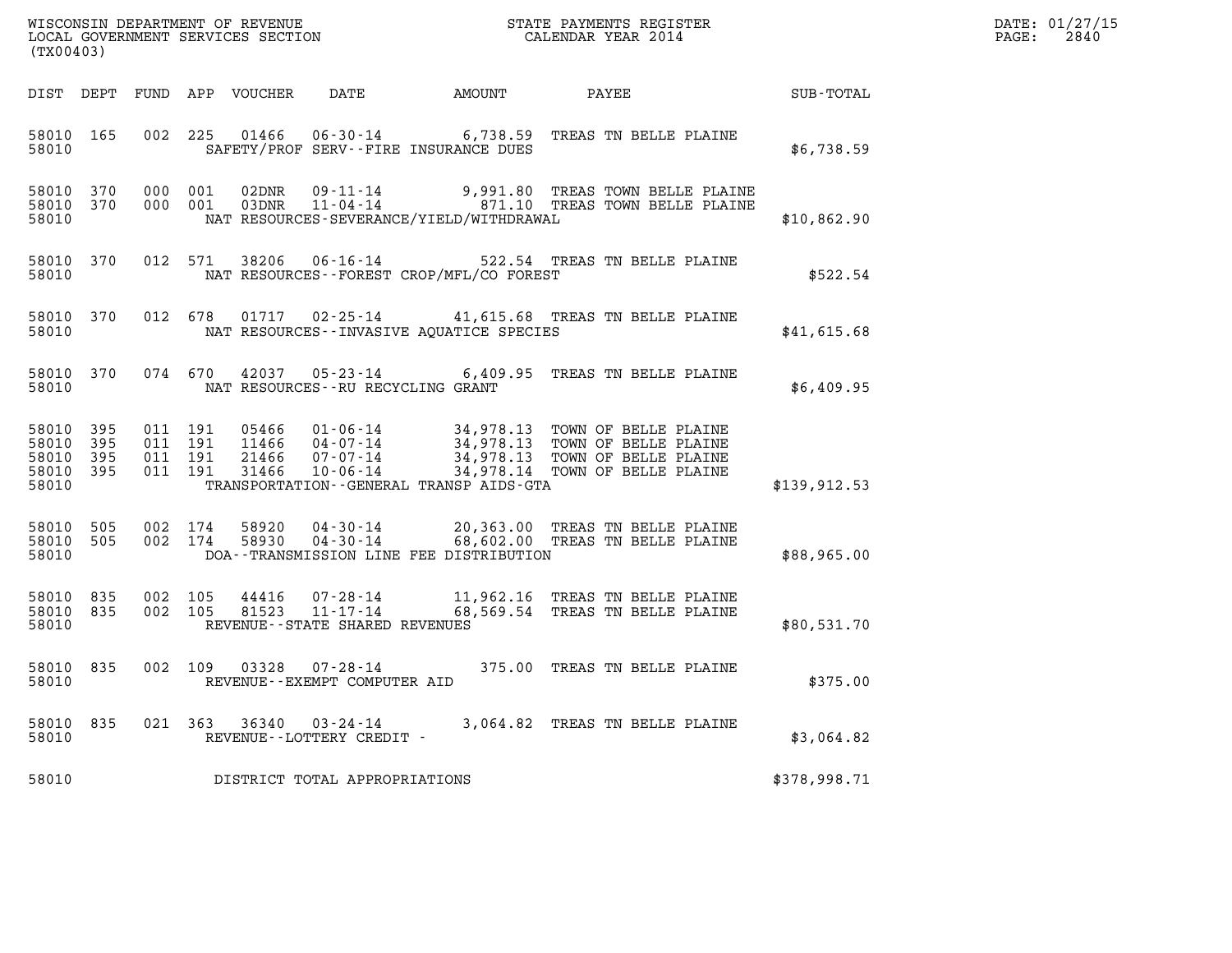| DATE: | 01/27/15 |
|-------|----------|
| PAGE: | 2840     |

|                                              | WISCONSIN DEPARTMENT OF REVENUE<br>LOCAL GOVERNMENT SERVICES SECTION<br>CALENDAR YEAR 2014<br>(TX00403) |                               |         |  |                                                     |                                                |                                                                                                                                                                                                  |              | DATE: 01/27/15<br>2840<br>$\mathtt{PAGE:}$ |
|----------------------------------------------|---------------------------------------------------------------------------------------------------------|-------------------------------|---------|--|-----------------------------------------------------|------------------------------------------------|--------------------------------------------------------------------------------------------------------------------------------------------------------------------------------------------------|--------------|--------------------------------------------|
|                                              |                                                                                                         |                               |         |  |                                                     |                                                | DIST DEPT FUND APP VOUCHER DATE AMOUNT PAYEE SUB-TOTAL                                                                                                                                           |              |                                            |
| 58010                                        |                                                                                                         |                               |         |  |                                                     | SAFETY/PROF SERV--FIRE INSURANCE DUES          | 58010 165 002 225 01466 06-30-14 6,738.59 TREAS TN BELLE PLAINE                                                                                                                                  | \$6,738.59   |                                            |
| 58010                                        |                                                                                                         |                               |         |  |                                                     | NAT RESOURCES - SEVERANCE/YIELD/WITHDRAWAL     | 58010 370 000 001 02DNR 09-11-14 9,991.80 TREAS TOWN BELLE PLAINE 58010 370 000 001 03DNR 11-04-14 9,991.10 TREAS TOWN BELLE PLAINE                                                              | \$10,862.90  |                                            |
|                                              |                                                                                                         |                               |         |  |                                                     | 58010 NAT RESOURCES--FOREST CROP/MFL/CO FOREST | 58010 370 012 571 38206 06-16-14 522.54 TREAS TN BELLE PLAINE                                                                                                                                    | \$522.54     |                                            |
|                                              |                                                                                                         |                               |         |  |                                                     |                                                | 58010 370 012 678 01717 02-25-14 41,615.68 TREAS TN BELLE PLAINE<br>58010 NAT RESOURCES--INVASIVE AQUATICE SPECIES                                                                               | \$41,615.68  |                                            |
|                                              |                                                                                                         |                               |         |  |                                                     | 58010 NAT RESOURCES--RU RECYCLING GRANT        | 58010 370 074 670 42037 05-23-14 6,409.95 TREAS TN BELLE PLAINE                                                                                                                                  | \$6,409.95   |                                            |
| 58010 395<br>58010 395<br>58010 395<br>58010 | 58010 395                                                                                               | 011 191<br>011 191<br>011 191 | 011 191 |  |                                                     | TRANSPORTATION--GENERAL TRANSP AIDS-GTA        | 05466 01-06-14 34,978.13 TOWN OF BELLE PLAINE<br>11466 04-07-14 34,978.13 TOWN OF BELLE PLAINE<br>21466 07-07-14 34,978.13 TOWN OF BELLE PLAINE<br>31466 10-06-14 34,978.14 TOWN OF BELLE PLAINE | \$139,912.53 |                                            |
| 58010                                        |                                                                                                         |                               |         |  |                                                     |                                                | 58010 505 002 174 58920 04-30-14 20,363.00 TREAS TN BELLE PLAINE<br>58010 505 002 174 58930 04-30-14 68,602.00 TREAS TN BELLE PLAINE<br>DOA--TRANSMISSION LINE FEE DISTRIBUTION                  | \$88,965.00  |                                            |
| 58010                                        |                                                                                                         |                               |         |  | REVENUE - - STATE SHARED REVENUES                   |                                                | 58010 835 002 105 44416 07-28-14 11,962.16 TREAS TN BELLE PLAINE<br>58010 835 002 105 81523 11-17-14 68,569.54 TREAS TN BELLE PLAINE                                                             | \$80,531.70  |                                            |
| 58010                                        |                                                                                                         |                               |         |  | REVENUE--EXEMPT COMPUTER AID                        |                                                | 58010 835 002 109 03328 07-28-14 375.00 TREAS TN BELLE PLAINE                                                                                                                                    | \$375.00     |                                            |
| 58010 835<br>58010                           |                                                                                                         |                               |         |  | 021 363 36340 03-24-14<br>REVENUE--LOTTERY CREDIT - |                                                | 3,064.82 TREAS TN BELLE PLAINE                                                                                                                                                                   | \$3,064.82   |                                            |
| 58010                                        |                                                                                                         |                               |         |  | DISTRICT TOTAL APPROPRIATIONS                       |                                                |                                                                                                                                                                                                  | \$378,998.71 |                                            |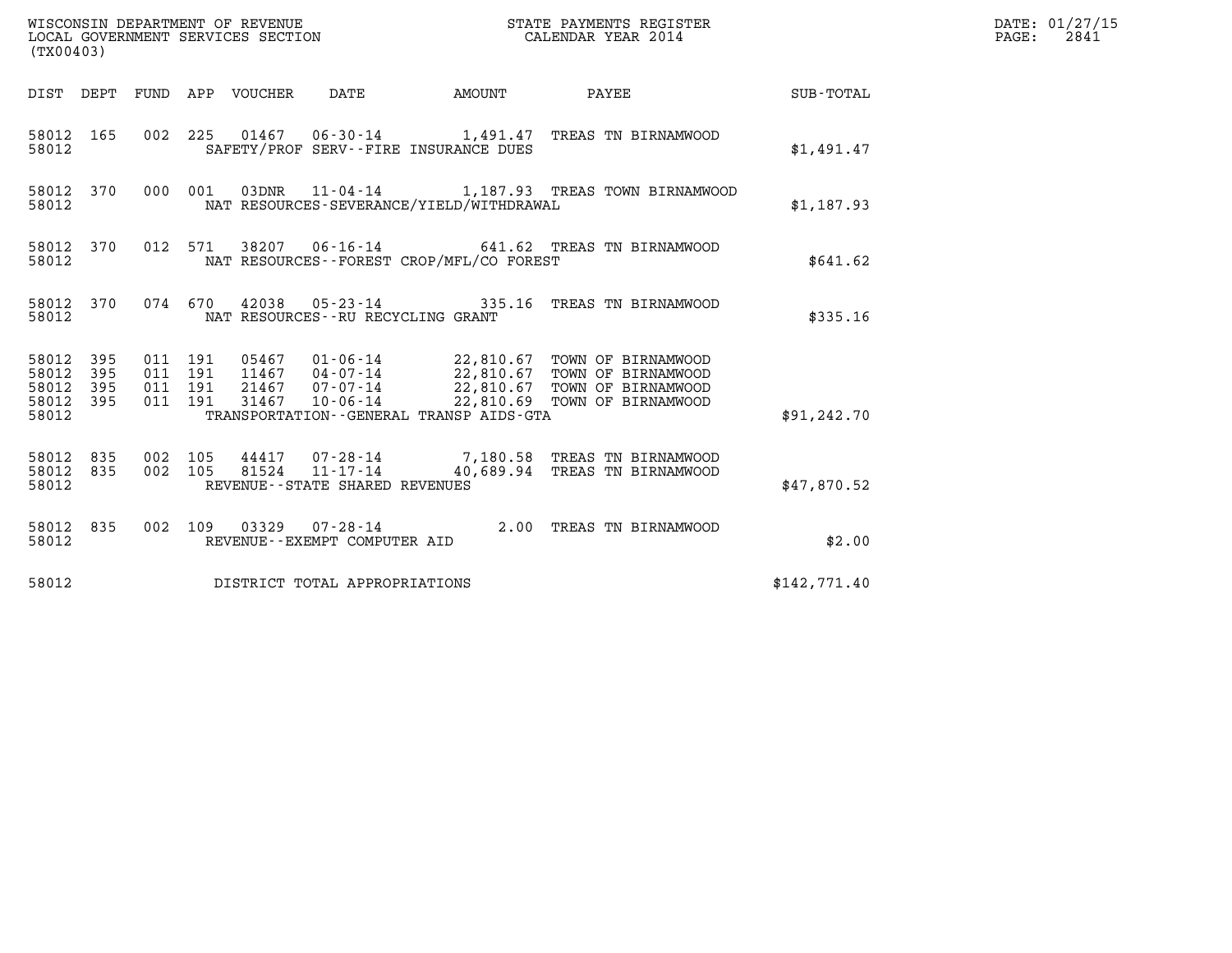| WISCONSIN DEPARTMENT OF REVENUE<br>LOCAL GOVERNMENT SERVICES SECTION<br>(TX00403) |            |                               |         |                                 |                                                        |                                             | STATE PAYMENTS REGISTER<br>CALENDAR YEAR 2014                                                                                                                    |              | DATE: 01/27/15<br>$\mathtt{PAGE:}$<br>2841 |
|-----------------------------------------------------------------------------------|------------|-------------------------------|---------|---------------------------------|--------------------------------------------------------|---------------------------------------------|------------------------------------------------------------------------------------------------------------------------------------------------------------------|--------------|--------------------------------------------|
|                                                                                   |            |                               |         | DIST DEPT FUND APP VOUCHER DATE |                                                        | <b>EXAMPLE THE AMOUNT</b>                   | PAYEE                                                                                                                                                            | SUB-TOTAL    |                                            |
| 58012 165<br>58012                                                                |            |                               |         |                                 |                                                        | SAFETY/PROF SERV--FIRE INSURANCE DUES       | 002 225 01467 06-30-14 1,491.47 TREAS TN BIRNAMWOOD                                                                                                              | \$1,491.47   |                                            |
| 58012 370<br>58012                                                                |            |                               | 000 001 |                                 |                                                        | NAT RESOURCES-SEVERANCE/YIELD/WITHDRAWAL    | 03DNR  11-04-14   1,187.93 TREAS TOWN BIRNAMWOOD                                                                                                                 | \$1,187.93   |                                            |
| 58012 370<br>58012                                                                |            |                               | 012 571 |                                 |                                                        | NAT RESOURCES - - FOREST CROP/MFL/CO FOREST | 38207  06-16-14  641.62  TREAS TN BIRNAMWOOD                                                                                                                     | \$641.62     |                                            |
| 58012 370<br>58012                                                                |            |                               |         |                                 | NAT RESOURCES - - RU RECYCLING GRANT                   |                                             | 074 670 42038 05-23-14 335.16 TREAS TN BIRNAMWOOD                                                                                                                | \$335.16     |                                            |
| 58012 395<br>58012<br>58012<br>58012 395<br>58012                                 | 395<br>395 | 011 191<br>011 191<br>011 191 | 011 191 | 31467                           | 21467 07-07-14<br>$10 - 06 - 14$                       | TRANSPORTATION--GENERAL TRANSP AIDS-GTA     | 05467  01-06-14  22,810.67  TOWN OF BIRNAMWOOD<br>11467  04-07-14  22,810.67  TOWN OF BIRNAMWOOD<br>22,810.67 TOWN OF BIRNAMWOOD<br>22,810.69 TOWN OF BIRNAMWOOD | \$91, 242.70 |                                            |
| 58012 835<br>58012<br>58012                                                       | 835        | 002 105<br>002 105            |         | 81524                           | 11-17-14<br>REVENUE--STATE SHARED REVENUES             |                                             | 44417 07-28-14 7,180.58 TREAS TN BIRNAMWOOD<br>40,689.94 TREAS TN BIRNAMWOOD                                                                                     | \$47,870.52  |                                            |
| 58012 835<br>58012                                                                |            |                               |         |                                 | 002 109 03329 07-28-14<br>REVENUE--EXEMPT COMPUTER AID |                                             | 2.00 TREAS TN BIRNAMWOOD                                                                                                                                         | \$2.00       |                                            |
| 58012                                                                             |            |                               |         |                                 | DISTRICT TOTAL APPROPRIATIONS                          |                                             |                                                                                                                                                                  | \$142,771.40 |                                            |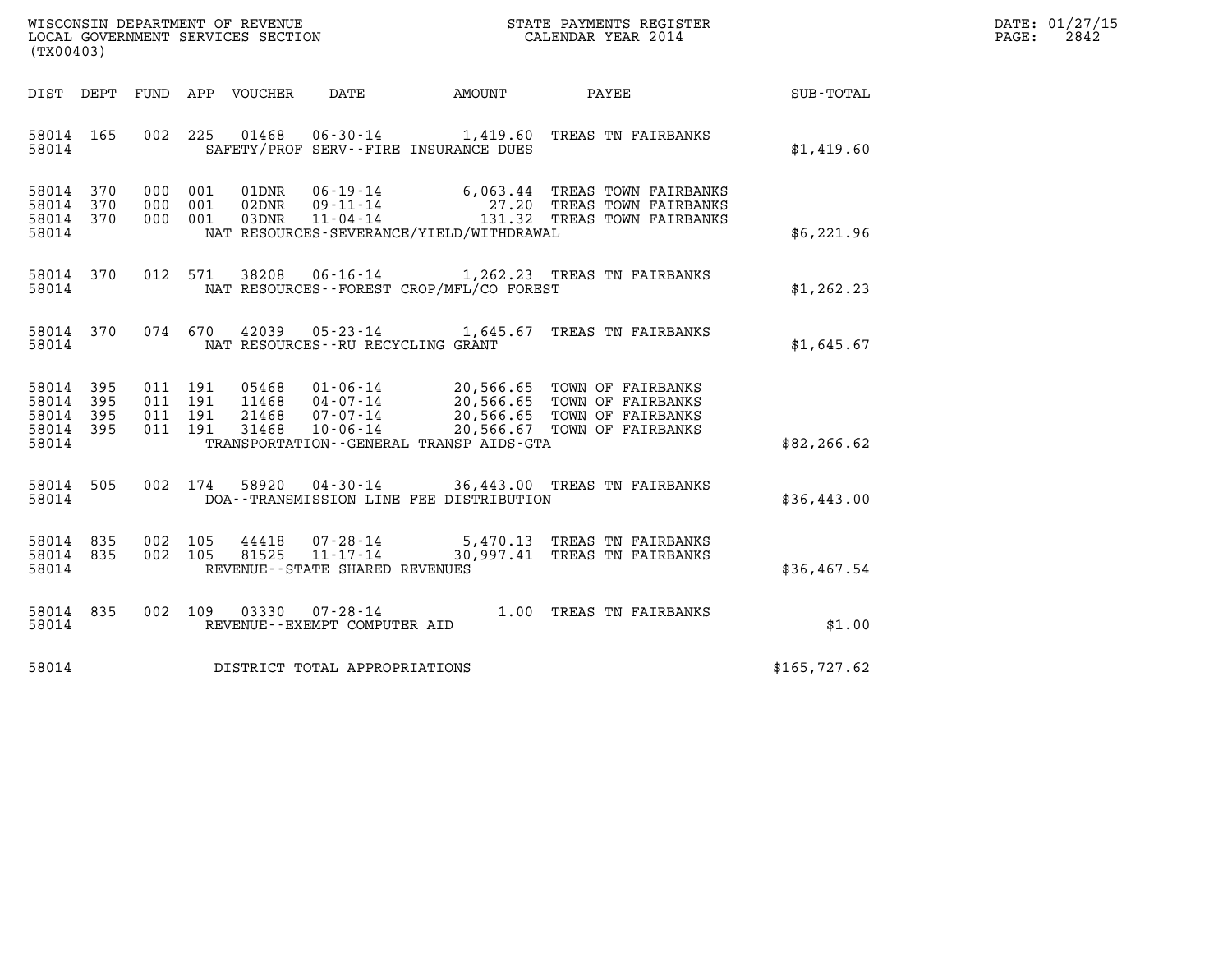| WISCONSIN DEPARTMENT OF REVENUE<br>LOCAL GOVERNMENT SERVICES SECTION | STATE PAYMENTS REGISTER<br>CALENDAR YEAR 2014 | DATE: 01/27/15<br>2842<br>PAGE: |
|----------------------------------------------------------------------|-----------------------------------------------|---------------------------------|

| WISCONSIN DEPARTMENT OF REVENUE<br>LOCAL GOVERNMENT SERVICES SECTION<br>CALENDAR YEAR 2014<br>(TX00403) |                    |         |                    |  |                                     |                                          |                                                                                                                                                                                                                                       | DATE: 01/27/15<br>PAGE: 2842                                 |  |
|---------------------------------------------------------------------------------------------------------|--------------------|---------|--------------------|--|-------------------------------------|------------------------------------------|---------------------------------------------------------------------------------------------------------------------------------------------------------------------------------------------------------------------------------------|--------------------------------------------------------------|--|
|                                                                                                         |                    |         |                    |  |                                     |                                          |                                                                                                                                                                                                                                       | DIST DEPT FUND APP VOUCHER DATE AMOUNT PAYEE PAYER SUB-TOTAL |  |
|                                                                                                         | 58014 165          | 58014   |                    |  |                                     | SAFETY/PROF SERV--FIRE INSURANCE DUES    | 002 225 01468 06-30-14 1,419.60 TREAS TN FAIRBANKS                                                                                                                                                                                    | \$1,419.60                                                   |  |
| 58014 370<br>58014 370<br>58014 370                                                                     | 58014              | 000 001 | 000 001<br>000 001 |  |                                     | NAT RESOURCES-SEVERANCE/YIELD/WITHDRAWAL | 01DNR 06-19-14 6,063.44 TREAS TOWN FAIRBANKS<br>02DNR 09-11-14 27.20 TREAS TOWN FAIRBANKS<br>03DNR 11-04-14 131.32 TREAS TOWN FAIRBANKS                                                                                               | \$6,221.96                                                   |  |
|                                                                                                         | 58014 370<br>58014 |         |                    |  |                                     | NAT RESOURCES--FOREST CROP/MFL/CO FOREST | 012 571 38208 06-16-14 1,262.23 TREAS TN FAIRBANKS                                                                                                                                                                                    | \$1,262.23                                                   |  |
|                                                                                                         | 58014 370          |         |                    |  |                                     | 58014 NAT RESOURCES--RU RECYCLING GRANT  | 074 670 42039 05-23-14 1,645.67 TREAS TN FAIRBANKS                                                                                                                                                                                    | \$1,645.67                                                   |  |
| 58014 395<br>58014 395<br>58014 395<br>58014 395<br>58014                                               |                    |         |                    |  |                                     | TRANSPORTATION--GENERAL TRANSP AIDS-GTA  | 011 191 05468 01-06-14 20,566.65 TOWN OF FAIRBANKS<br>011 191 11468 04-07-14 20,566.65 TOWN OF FAIRBANKS<br>011 191 21468 07-07-14 20,566.65 TOWN OF FAIRBANKS<br>011 191 31468 10-06-14 20,566.67 TOWN OF FAIRBANKS                  | \$82,266.62                                                  |  |
| 58014 505<br>58014                                                                                      |                    |         |                    |  |                                     | DOA--TRANSMISSION LINE FEE DISTRIBUTION  | 002 174 58920 04-30-14 36,443.00 TREAS TN FAIRBANKS                                                                                                                                                                                   | \$36,443.00                                                  |  |
|                                                                                                         | 58014              |         |                    |  | REVENUE--STATE SHARED REVENUES      |                                          | $\begin{array}{cccc} 58014 & 835 & 002 & 105 & 44418 & 07\text{-}28\text{-}14 & 5,470.13 & \text{TREAS TN FAIRBANKS} \\ 58014 & 835 & 002 & 105 & 81525 & 11\text{-}17\text{-}14 & 30,997.41 & \text{TREAS TN FAIRBANKS} \end{array}$ | \$36,467.54                                                  |  |
|                                                                                                         | 58014 835<br>58014 |         | 002 109            |  | REVENUE--EXEMPT COMPUTER AID        |                                          | 03330  07-28-14   1.00   TREAS TN FAIRBANKS                                                                                                                                                                                           | \$1.00                                                       |  |
|                                                                                                         |                    |         |                    |  | 58014 DISTRICT TOTAL APPROPRIATIONS |                                          |                                                                                                                                                                                                                                       | \$165,727.62                                                 |  |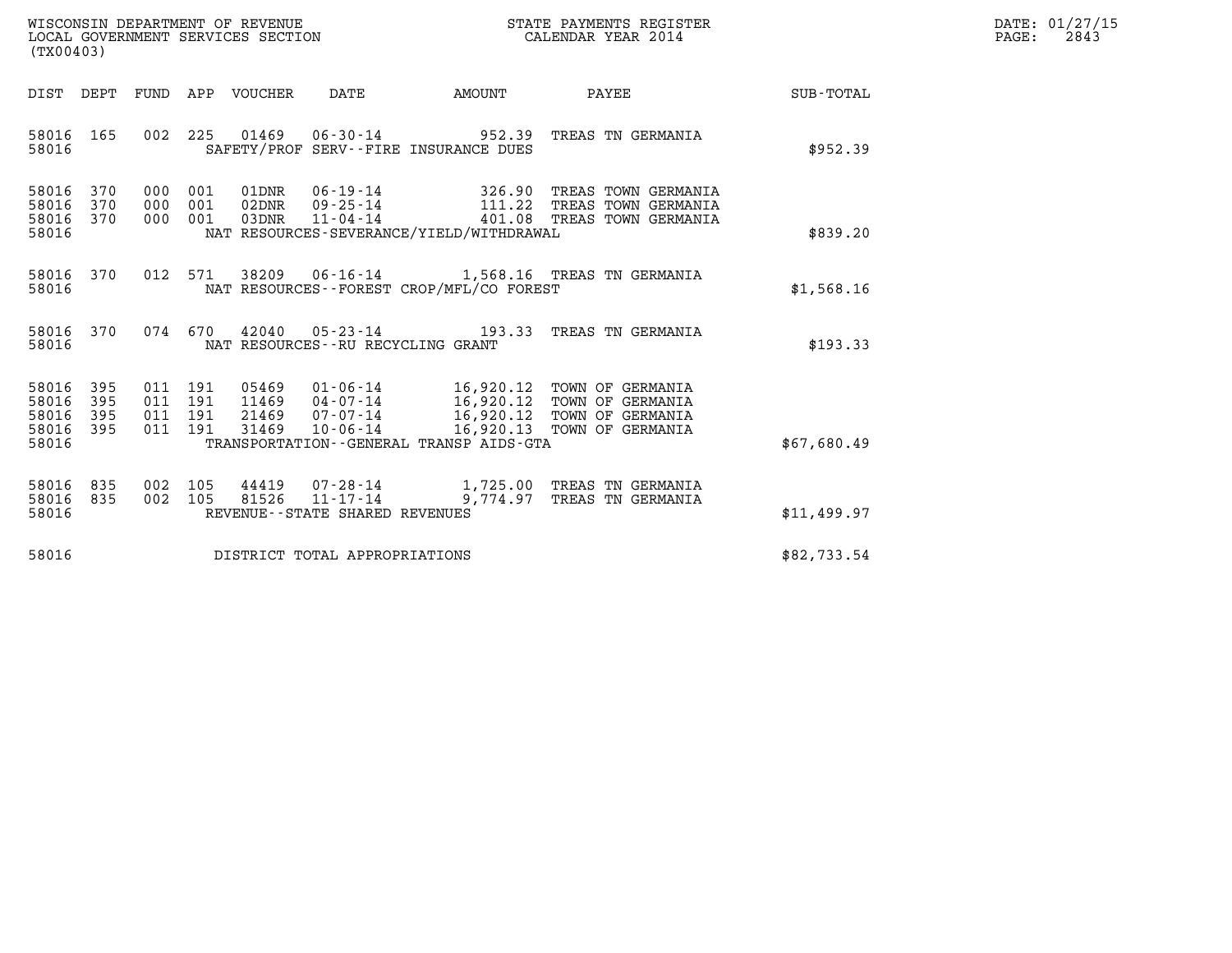| WISCONSIN DEPARTMENT OF REVENUE   | STATE PAYMENTS REGISTER | DATE: 01/27/15 |
|-----------------------------------|-------------------------|----------------|
| LOCAL GOVERNMENT SERVICES SECTION | CALENDAR YEAR 2014      | 2843<br>PAGE:  |

| (TX00403)                                 |                          |                          |                          |         |                                      |                                             |                                                                                                                                                                            |                  |
|-------------------------------------------|--------------------------|--------------------------|--------------------------|---------|--------------------------------------|---------------------------------------------|----------------------------------------------------------------------------------------------------------------------------------------------------------------------------|------------------|
| DIST                                      | DEPT                     | FUND                     | APP                      | VOUCHER | DATE                                 | <b>EXAMPLE THE PROPERTY OF AMOUNT</b>       | PAYEE                                                                                                                                                                      | <b>SUB-TOTAL</b> |
| 58016<br>58016                            | 165                      | 002                      | 225                      |         |                                      | SAFETY/PROF SERV--FIRE INSURANCE DUES       | 01469   06-30-14   952.39   TREAS TN GERMANIA                                                                                                                              | \$952.39         |
| 58016<br>58016<br>58016<br>58016          | 370<br>370<br>370        | 000<br>000<br>000        | 001<br>001<br>001        |         |                                      | NAT RESOURCES-SEVERANCE/YIELD/WITHDRAWAL    |                                                                                                                                                                            | \$839.20         |
| 58016<br>58016                            | 370                      | 012                      | 571                      |         |                                      | NAT RESOURCES - - FOREST CROP/MFL/CO FOREST | 38209  06-16-14   1,568.16  TREAS TN GERMANIA                                                                                                                              | \$1,568.16       |
| 58016<br>58016                            | 370                      | 074                      | 670                      | 42040   | NAT RESOURCES - - RU RECYCLING GRANT | $05 - 23 - 14$ 193.33                       | TREAS TN GERMANIA                                                                                                                                                          | \$193.33         |
| 58016<br>58016<br>58016<br>58016<br>58016 | 395<br>395<br>395<br>395 | 011<br>011<br>011<br>011 | 191<br>191<br>191<br>191 | 31469   | 10-06-14                             | TRANSPORTATION--GENERAL TRANSP AIDS-GTA     | 05469  01-06-14   16,920.12   TOWN OF GERMANIA<br>11469  04-07-14  16,920.12 TOWN OF GERMANIA<br>21469  07-07-14  16,920.12 TOWN OF GERMANIA<br>16,920.13 TOWN OF GERMANIA | \$67,680.49      |
| 58016<br>58016<br>58016                   | 835<br>835               | 002<br>002               | 105<br>105               | 81526   | REVENUE - - STATE SHARED REVENUES    | $11 - 17 - 14$ 9,774.97                     | 44419  07-28-14   1,725.00 TREAS TN GERMANIA<br>TREAS TN GERMANIA                                                                                                          | \$11,499.97      |
| 58016                                     |                          |                          |                          |         | DISTRICT TOTAL APPROPRIATIONS        |                                             |                                                                                                                                                                            | \$82,733.54      |
|                                           |                          |                          |                          |         |                                      |                                             |                                                                                                                                                                            |                  |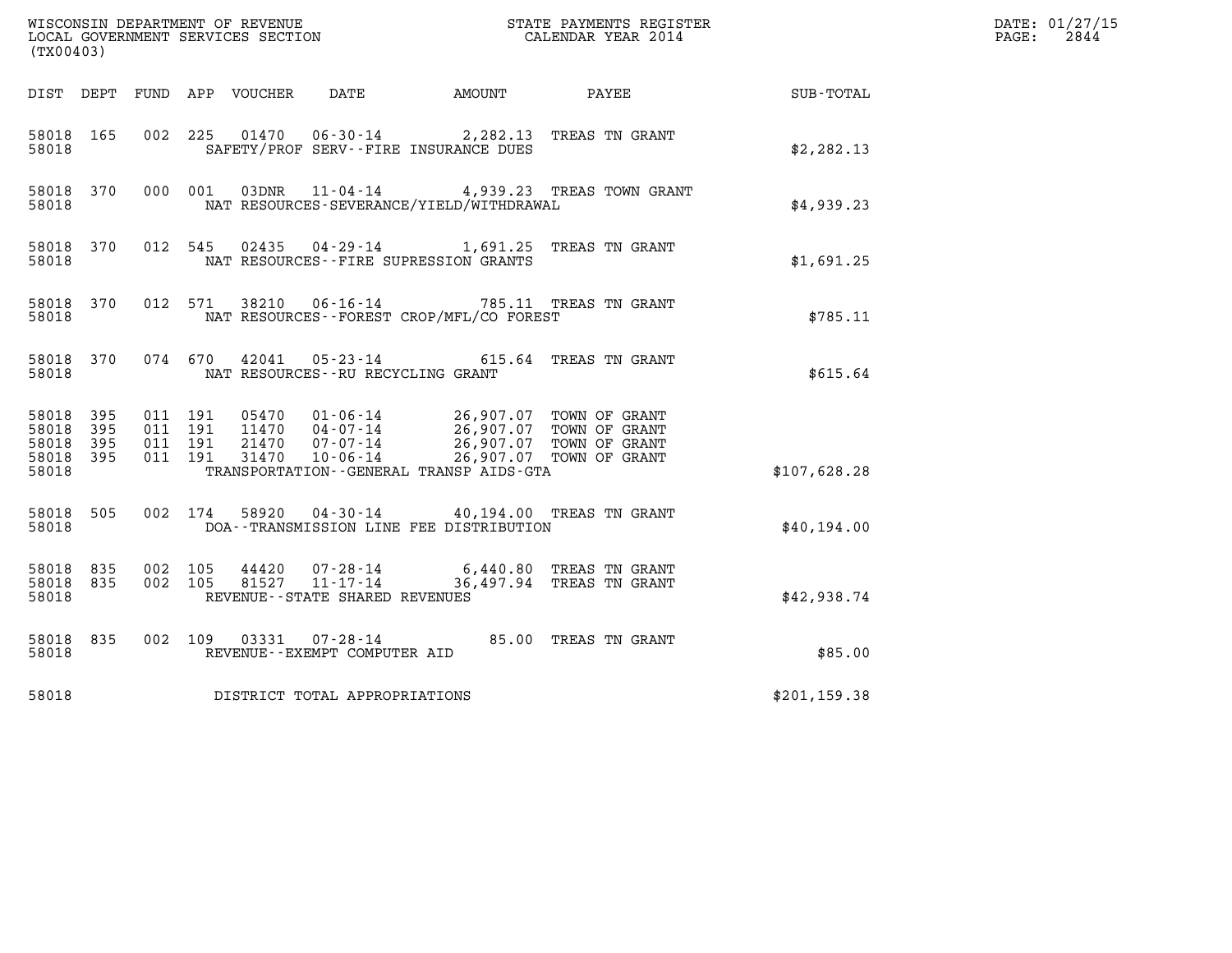| (TX00403)                       |           |                               |         |                |                                                                 |                                                                                                                                     |                                                     |               | DATE: 01/27/15<br>$\mathtt{PAGE:}$<br>2844 |
|---------------------------------|-----------|-------------------------------|---------|----------------|-----------------------------------------------------------------|-------------------------------------------------------------------------------------------------------------------------------------|-----------------------------------------------------|---------------|--------------------------------------------|
|                                 |           |                               |         |                |                                                                 | DIST DEPT FUND APP VOUCHER DATE AMOUNT                                                                                              | PAYEE                                               | SUB-TOTAL     |                                            |
| 58018 165<br>58018              |           |                               |         |                |                                                                 | 002 225 01470 06-30-14 2,282.13 TREAS TN GRANT<br>SAFETY/PROF SERV--FIRE INSURANCE DUES                                             |                                                     | \$2, 282.13   |                                            |
| 58018 370<br>58018              |           |                               | 000 001 |                |                                                                 | NAT RESOURCES-SEVERANCE/YIELD/WITHDRAWAL                                                                                            | 03DNR  11-04-14  4,939.23  TREAS TOWN GRANT         | \$4,939.23    |                                            |
| 58018 370<br>58018              |           |                               |         | 012 545 02435  |                                                                 | 04-29-14 1,691.25 TREAS TN GRANT<br>NAT RESOURCES -- FIRE SUPRESSION GRANTS                                                         |                                                     | \$1,691.25    |                                            |
| 58018 370<br>58018              |           | 012 571                       |         | 38210          |                                                                 | 06-16-14 785.11 TREAS TN GRANT<br>NAT RESOURCES - - FOREST CROP/MFL/CO FOREST                                                       |                                                     | \$785.11      |                                            |
| 58018                           | 58018 370 |                               | 074 670 |                |                                                                 | 42041  05-23-14  615.64  TREAS TN GRANT<br>NAT RESOURCES--RU RECYCLING GRANT                                                        |                                                     | \$615.64      |                                            |
| 58018<br>58018 395<br>58018 395 | 395       | 011 191<br>011 191<br>011 191 |         |                |                                                                 | 05470  01-06-14  26,907.07  TOWN OF GRANT<br>11470  04-07-14  26,907.07  TOWN OF GRANT<br>21470  07-07-14  26,907.07  TOWN OF GRANT |                                                     |               |                                            |
| 58018 395<br>58018              |           | 011 191                       |         |                | 31470 10-06-14                                                  | TRANSPORTATION--GENERAL TRANSP AIDS-GTA                                                                                             | 26,907.07 TOWN OF GRANT                             | \$107,628.28  |                                            |
| 58018<br>58018                  | 505       |                               | 002 174 |                |                                                                 | 58920  04-30-14  40,194.00 TREAS TN GRANT<br>DOA--TRANSMISSION LINE FEE DISTRIBUTION                                                |                                                     | \$40,194.00   |                                            |
| 58018<br>58018 835<br>58018     | 835       | 002 105<br>002 105            |         | 44420<br>81527 | 07-28-14<br>$11 - 17 - 14$<br>REVENUE - - STATE SHARED REVENUES |                                                                                                                                     | 6,440.80 TREAS TN GRANT<br>36,497.94 TREAS TN GRANT | \$42,938.74   |                                            |
| 58018 835<br>58018              |           |                               |         |                | REVENUE--EXEMPT COMPUTER AID                                    | 002 109 03331 07-28-14 85.00 TREAS TN GRANT                                                                                         |                                                     | \$85.00       |                                            |
| 58018                           |           |                               |         |                | DISTRICT TOTAL APPROPRIATIONS                                   |                                                                                                                                     |                                                     | \$201, 159.38 |                                            |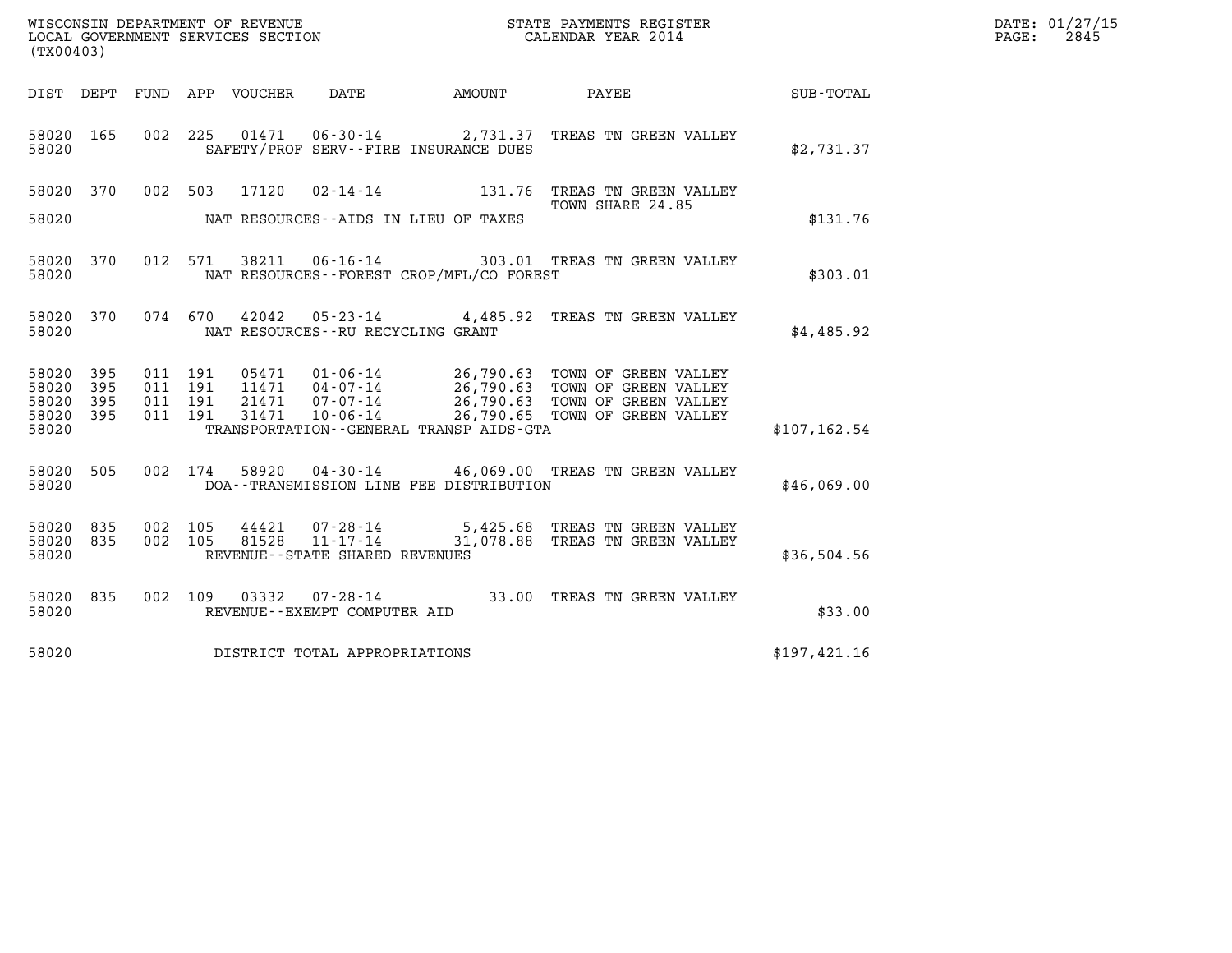| (TX00403)                       |            |                    |                               |                                                     |                                          |                                                                                                                                                                                                          |               | DATE: 01/27/15<br>2845<br>$\mathtt{PAGE:}$ |
|---------------------------------|------------|--------------------|-------------------------------|-----------------------------------------------------|------------------------------------------|----------------------------------------------------------------------------------------------------------------------------------------------------------------------------------------------------------|---------------|--------------------------------------------|
|                                 |            |                    | DIST DEPT FUND APP VOUCHER    | DATE                                                | AMOUNT PAYEE                             |                                                                                                                                                                                                          | SUB-TOTAL     |                                            |
| 58020 165<br>58020              |            | 002 225            |                               |                                                     | SAFETY/PROF SERV--FIRE INSURANCE DUES    | 01471  06-30-14  2,731.37  TREAS TN GREEN VALLEY                                                                                                                                                         | \$2,731.37    |                                            |
|                                 |            |                    | 58020 370 002 503 17120       |                                                     |                                          | 02-14-14 131.76 TREAS TN GREEN VALLEY<br>TOWN SHARE 24.85                                                                                                                                                |               |                                            |
| 58020                           |            |                    |                               |                                                     | NAT RESOURCES--AIDS IN LIEU OF TAXES     |                                                                                                                                                                                                          | \$131.76      |                                            |
| 58020 370<br>58020              |            | 012 571            |                               |                                                     | NAT RESOURCES--FOREST CROP/MFL/CO FOREST | 38211  06-16-14  303.01 TREAS TN GREEN VALLEY                                                                                                                                                            | \$303.01      |                                            |
| 58020 370<br>58020              |            |                    | 074 670                       | NAT RESOURCES -- RU RECYCLING GRANT                 |                                          | 42042  05-23-14  4,485.92  TREAS TN GREEN VALLEY                                                                                                                                                         | \$4,485.92    |                                            |
| 58020<br>58020                  | 395<br>395 | 011 191<br>011 191 |                               |                                                     |                                          |                                                                                                                                                                                                          |               |                                            |
| 58020<br>58020 395<br>58020     | 395        | 011 191<br>011 191 |                               |                                                     | TRANSPORTATION--GENERAL TRANSP AIDS-GTA  | 05471  01-06-14  26,790.63 TOWN OF GREEN VALLEY<br>11471  04-07-14  26,790.63 TOWN OF GREEN VALLEY<br>21471  07-07-14  26,790.63 TOWN OF GREEN VALLEY<br>31471  10-06-14  26,790.65 TOWN OF GREEN VALLEY | \$107, 162.54 |                                            |
| 58020 505<br>58020              |            |                    |                               |                                                     | DOA--TRANSMISSION LINE FEE DISTRIBUTION  | 002 174 58920 04-30-14 46,069.00 TREAS TN GREEN VALLEY                                                                                                                                                   | \$46,069.00   |                                            |
| 58020 835<br>58020 835<br>58020 |            | 002 105<br>002 105 | 44421<br>81528                | $11 - 17 - 14$<br>REVENUE - - STATE SHARED REVENUES |                                          | 07-28-14 5,425.68 TREAS TN GREEN VALLEY<br>31,078.88 TREAS TN GREEN VALLEY                                                                                                                               | \$36,504.56   |                                            |
| 58020 835<br>58020              |            |                    | 002 109                       | REVENUE--EXEMPT COMPUTER AID                        |                                          | 03332  07-28-14  33.00 TREAS TN GREEN VALLEY                                                                                                                                                             | \$33.00       |                                            |
| 58020                           |            |                    | DISTRICT TOTAL APPROPRIATIONS |                                                     |                                          |                                                                                                                                                                                                          | \$197,421.16  |                                            |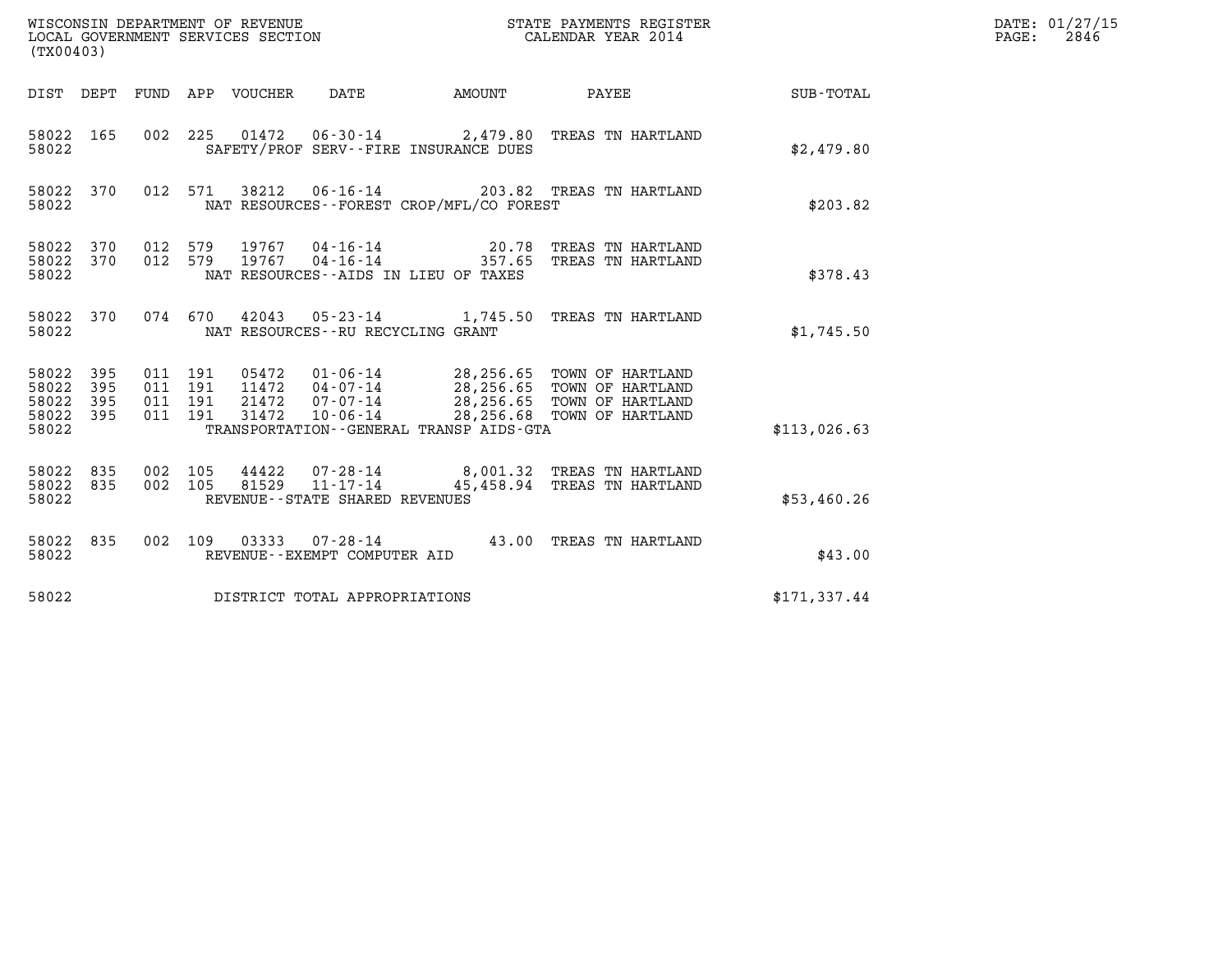| WISCONSIN DEPARTMENT OF REVENUE<br>LOCAL GOVERNMENT SERVICES SECTION<br>(TX00403) |            |                               |         |                                 |                                                     |                                          | STATE PAYMENTS REGISTER<br>CALENDAR YEAR 2014                                                                                                                              |                  | DATE: 01/27/15<br>$\mathtt{PAGE:}$<br>2846 |
|-----------------------------------------------------------------------------------|------------|-------------------------------|---------|---------------------------------|-----------------------------------------------------|------------------------------------------|----------------------------------------------------------------------------------------------------------------------------------------------------------------------------|------------------|--------------------------------------------|
|                                                                                   |            |                               |         | DIST DEPT FUND APP VOUCHER DATE |                                                     | <b>AMOUNT</b>                            | PAYEE                                                                                                                                                                      | <b>SUB-TOTAL</b> |                                            |
| 58022 165<br>58022                                                                |            |                               |         |                                 |                                                     | SAFETY/PROF SERV--FIRE INSURANCE DUES    | 002 225 01472 06-30-14 2,479.80 TREAS TN HARTLAND                                                                                                                          | \$2,479.80       |                                            |
| 58022 370<br>58022                                                                |            |                               |         |                                 |                                                     | NAT RESOURCES--FOREST CROP/MFL/CO FOREST | 012 571 38212 06-16-14 203.82 TREAS TN HARTLAND                                                                                                                            | \$203.82         |                                            |
| 58022 370<br>58022<br>58022                                                       | 370        | 012 579<br>012 579            |         | 19767<br>19767                  |                                                     | NAT RESOURCES -- AIDS IN LIEU OF TAXES   |                                                                                                                                                                            | \$378.43         |                                            |
| 58022 370<br>58022                                                                |            |                               |         |                                 | NAT RESOURCES--RU RECYCLING GRANT                   |                                          | 074 670 42043 05-23-14 1,745.50 TREAS TN HARTLAND                                                                                                                          | \$1,745.50       |                                            |
| 58022 395<br>58022<br>58022<br>58022 395<br>58022                                 | 395<br>395 | 011 191<br>011 191<br>011 191 | 011 191 | 31472                           | $10 - 06 - 14$                                      | TRANSPORTATION--GENERAL TRANSP AIDS-GTA  | 05472  01-06-14  28,256.65  TOWN OF HARTLAND<br>$11472$ $04-07-14$ $28,256.65$ TOWN OF HARTLAND<br>21472 07-07-14 28,256.65 TOWN OF HARTLAND<br>28,256.68 TOWN OF HARTLAND | \$113,026.63     |                                            |
| 58022 835<br>58022 835<br>58022                                                   |            | 002 105<br>002 105            |         | 81529                           | $11 - 17 - 14$<br>REVENUE - - STATE SHARED REVENUES |                                          | 44422 07-28-14 8,001.32 TREAS TN HARTLAND<br>45,458.94 TREAS TN HARTLAND                                                                                                   | \$53,460.26      |                                            |
| 58022 835<br>58022                                                                |            |                               |         |                                 | REVENUE--EXEMPT COMPUTER AID                        |                                          | 002 109 03333 07-28-14 43.00 TREAS TN HARTLAND                                                                                                                             | \$43.00          |                                            |
| 58022                                                                             |            |                               |         |                                 | DISTRICT TOTAL APPROPRIATIONS                       |                                          |                                                                                                                                                                            | \$171,337.44     |                                            |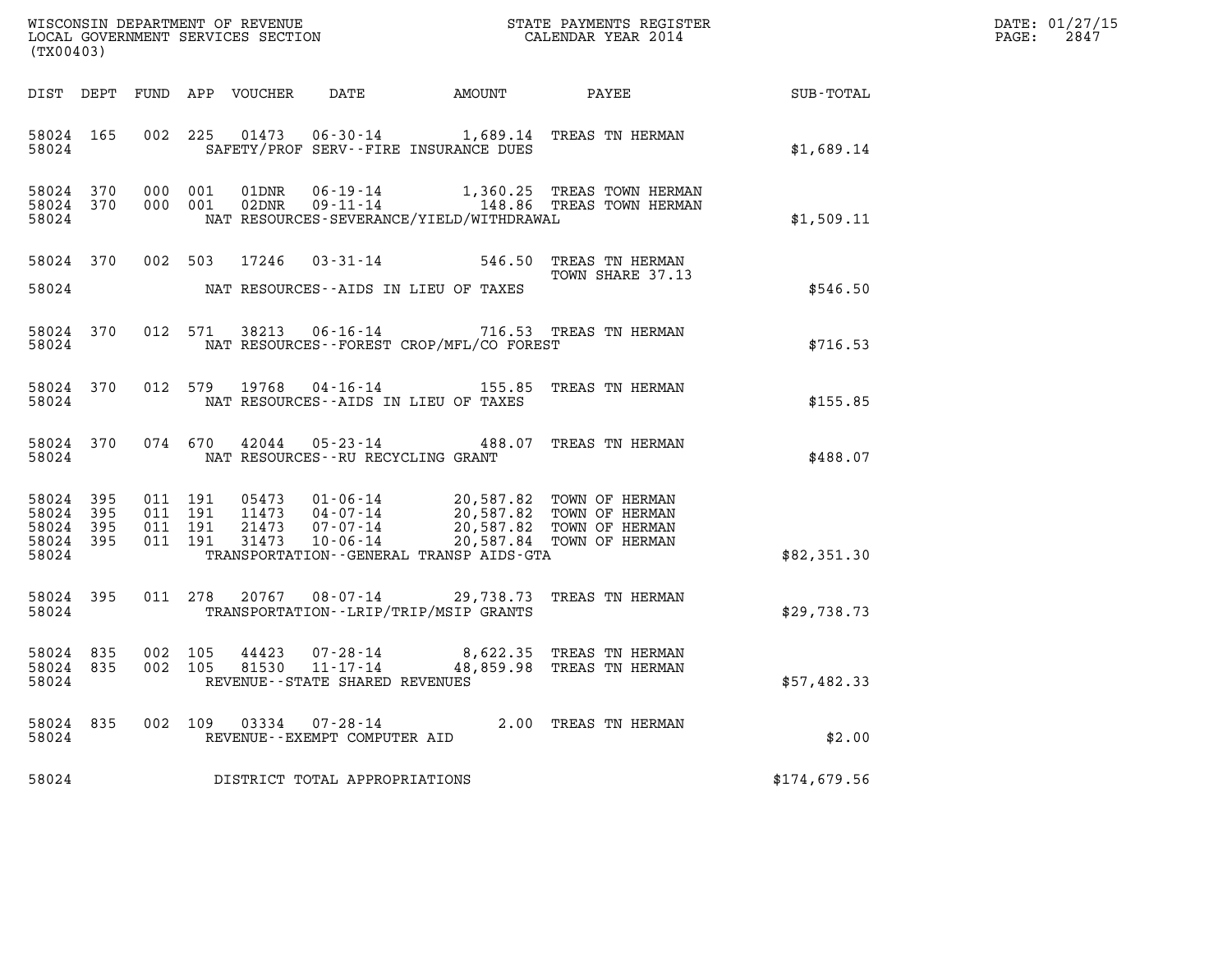| (TX00403)                                     |                   |                               |         |               |                                               |                                              |                                                                                                                                                                                      |              | DATE: 01/27/15<br>$\mathtt{PAGE:}$<br>2847 |
|-----------------------------------------------|-------------------|-------------------------------|---------|---------------|-----------------------------------------------|----------------------------------------------|--------------------------------------------------------------------------------------------------------------------------------------------------------------------------------------|--------------|--------------------------------------------|
|                                               |                   |                               |         |               |                                               |                                              |                                                                                                                                                                                      |              |                                            |
| 58024 165<br>58024                            |                   |                               |         |               |                                               | SAFETY/PROF SERV--FIRE INSURANCE DUES        | 002 225 01473 06-30-14 1,689.14 TREAS TN HERMAN                                                                                                                                      | \$1,689.14   |                                            |
| 58024                                         |                   |                               |         |               |                                               | NAT RESOURCES-SEVERANCE/YIELD/WITHDRAWAL     |                                                                                                                                                                                      | \$1,509.11   |                                            |
| 58024 370<br>58024                            |                   |                               |         |               |                                               | NAT RESOURCES--AIDS IN LIEU OF TAXES         | 002 503 17246 03-31-14 546.50 TREAS TN HERMAN<br>TOWN SHARE 37.13                                                                                                                    | \$546.50     |                                            |
| 58024                                         | 58024 370         |                               |         |               |                                               | NAT RESOURCES--FOREST CROP/MFL/CO FOREST     | 012 571 38213 06-16-14 716.53 TREAS TN HERMAN                                                                                                                                        | \$716.53     |                                            |
| 58024                                         | 58024 370         |                               |         |               |                                               | NAT RESOURCES--AIDS IN LIEU OF TAXES         | 012 579 19768 04-16-14 155.85 TREAS TN HERMAN                                                                                                                                        | \$155.85     |                                            |
| 58024                                         | 58024 370         |                               |         |               | NAT RESOURCES--RU RECYCLING GRANT             |                                              | 074 670 42044 05-23-14 488.07 TREAS TN HERMAN                                                                                                                                        | \$488.07     |                                            |
| 58024 395<br>58024<br>58024<br>58024<br>58024 | 395<br>395<br>395 | 011 191<br>011 191<br>011 191 | 011 191 |               |                                               | TRANSPORTATION - - GENERAL TRANSP AIDS - GTA | 05473  01-06-14  20,587.82  TOWN OF HERMAN<br>11473  04-07-14  20,587.82  TOWN OF HERMAN<br>21473  07-07-14  20,587.82  TOWN OF HERMAN<br>31473  10-06-14  20,587.84  TOWN OF HERMAN | \$82,351.30  |                                            |
| 58024 395<br>58024                            |                   |                               |         |               |                                               | TRANSPORTATION - - LRIP/TRIP/MSIP GRANTS     | 011 278 20767 08-07-14 29,738.73 TREAS TN HERMAN                                                                                                                                     | \$29,738.73  |                                            |
| 58024 835<br>58024 835<br>58024               |                   | 002 105<br>002 105            |         | 81530         | 11-17-14<br>REVENUE - - STATE SHARED REVENUES |                                              | 44423 07-28-14 8,622.35 TREAS TN HERMAN<br>48,859.98 TREAS TN HERMAN                                                                                                                 | \$57,482.33  |                                            |
| 58024 835<br>58024                            |                   |                               |         | 002 109 03334 | 07-28-14<br>REVENUE--EXEMPT COMPUTER AID      |                                              | 2.00 TREAS TN HERMAN                                                                                                                                                                 | \$2.00       |                                            |
| 58024                                         |                   |                               |         |               | DISTRICT TOTAL APPROPRIATIONS                 |                                              |                                                                                                                                                                                      | \$174,679.56 |                                            |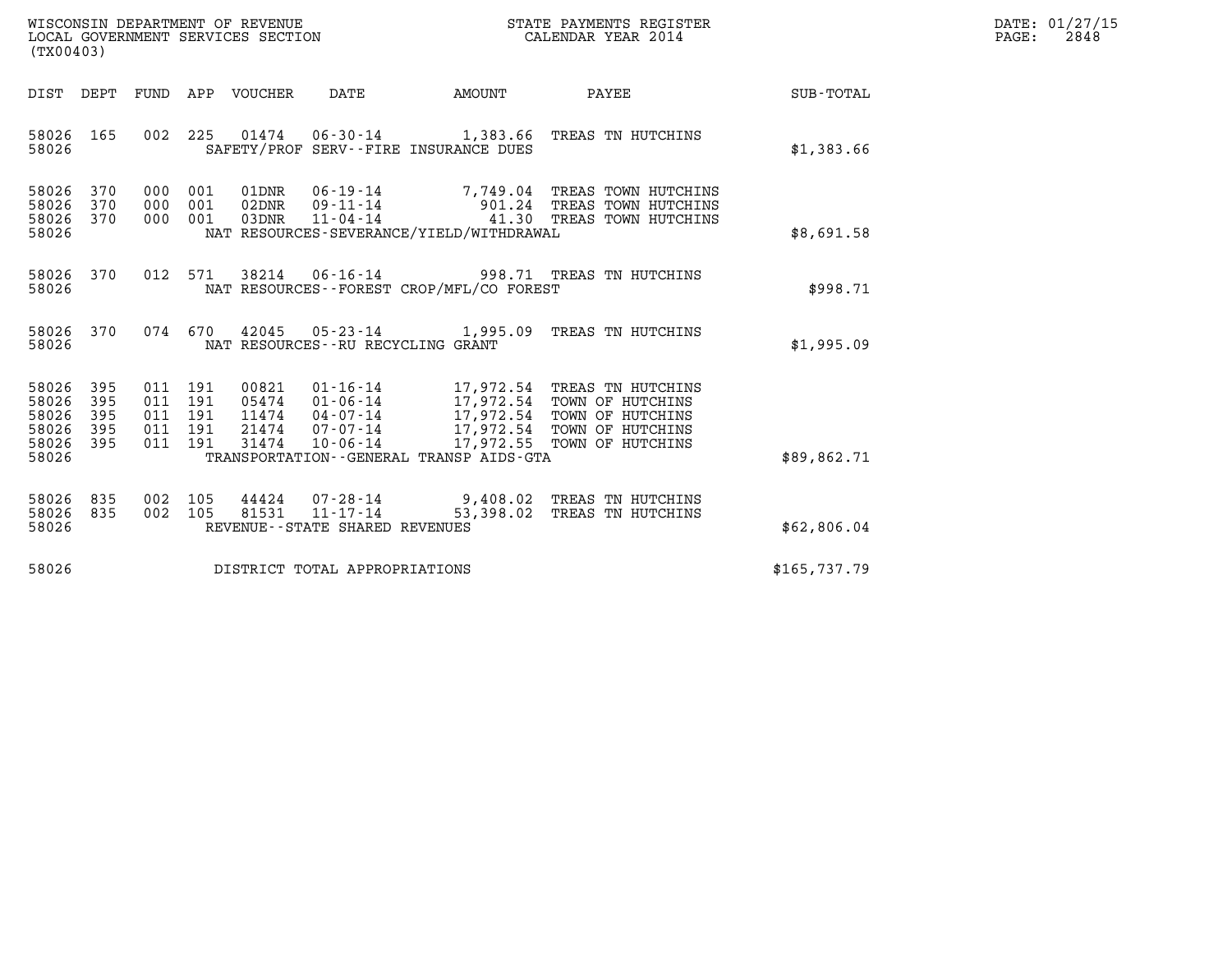| WISCONSIN DEPARTMENT OF REVENUE   | STATE PAYMENTS REGISTER | DATE: 01/27/15 |
|-----------------------------------|-------------------------|----------------|
| LOCAL GOVERNMENT SERVICES SECTION | CALENDAR YEAR 2014      | 2848<br>PAGE:  |

| (TX00403)                                                                             |                                 |                                 |                                           |                                                                                                     |                                                                                                                                                              |              |
|---------------------------------------------------------------------------------------|---------------------------------|---------------------------------|-------------------------------------------|-----------------------------------------------------------------------------------------------------|--------------------------------------------------------------------------------------------------------------------------------------------------------------|--------------|
| DIST<br>DEPT                                                                          | FUND                            | APP                             | VOUCHER                                   | DATE<br><b>AMOUNT</b>                                                                               | <b>PAYEE</b>                                                                                                                                                 | SUB-TOTAL    |
| 165<br>58026<br>58026                                                                 | 002                             | 225                             |                                           | SAFETY/PROF SERV--FIRE INSURANCE DUES                                                               | 01474  06-30-14  1,383.66  TREAS TN HUTCHINS                                                                                                                 | \$1,383.66   |
| 58026<br>370<br>58026<br>370<br>58026<br>370<br>58026                                 | 000<br>000<br>000               | 001<br>001<br>001               | 01DNR<br>02DNR<br>03DNR                   | NAT RESOURCES-SEVERANCE/YIELD/WITHDRAWAL                                                            | 06-19-14 7,749.04 TREAS TOWN HUTCHINS<br>09-11-14 901.24 TREAS TOWN HUTCHINS<br>11-04-14 41.30 TREAS TOWN HUTCHINS                                           | \$8,691.58   |
| 58026<br>370<br>58026                                                                 | 012                             | 571                             | 38214                                     | NAT RESOURCES - - FOREST CROP/MFL/CO FOREST                                                         | 06-16-14 998.71 TREAS TN HUTCHINS                                                                                                                            | \$998.71     |
| 58026<br>370<br>58026                                                                 | 074                             | 670                             |                                           | 42045 05-23-14 1,995.09<br>NAT RESOURCES - - RU RECYCLING GRANT                                     | TREAS TN HUTCHINS                                                                                                                                            | \$1,995.09   |
| 58026<br>395<br>58026<br>395<br>58026<br>395<br>58026<br>395<br>58026<br>395<br>58026 | 011<br>011<br>011<br>011<br>011 | 191<br>191<br>191<br>191<br>191 | 00821<br>05474<br>11474<br>21474<br>31474 | 01-06-14<br>$04 - 07 - 14$<br>07-07-14<br>$10 - 06 - 14$<br>TRANSPORTATION--GENERAL TRANSP AIDS-GTA | 01-16-14 17,972.54 TREAS TN HUTCHINS<br>17,972.54 TOWN OF HUTCHINS<br>17,972.54 TOWN OF HUTCHINS<br>17,972.54 TOWN OF HUTCHINS<br>17,972.55 TOWN OF HUTCHINS | \$89,862.71  |
| 58026<br>835<br>58026<br>835<br>58026                                                 | 002<br>002                      | 105<br>105                      | 81531                                     | $11 - 17 - 14$<br>REVENUE - - STATE SHARED REVENUES                                                 | 44424 07-28-14 9,408.02 TREAS TN HUTCHINS<br>53,398.02 TREAS TN HUTCHINS                                                                                     | \$62,806.04  |
| 58026                                                                                 |                                 |                                 |                                           | DISTRICT TOTAL APPROPRIATIONS                                                                       |                                                                                                                                                              | \$165,737.79 |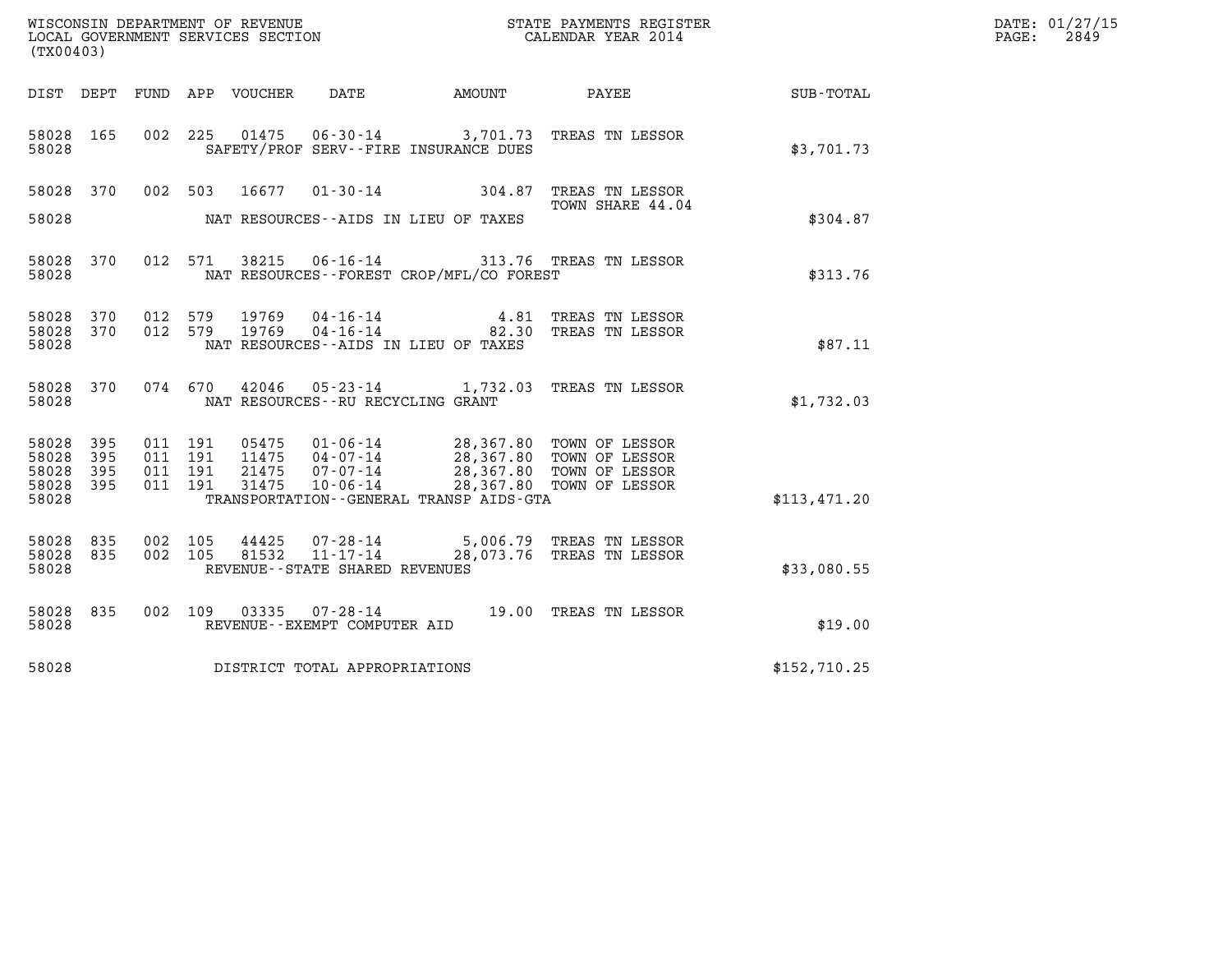| (TX00403)                                     |                    |                                      |                                         |                                                                 |                                                               |                                                                                                              |              | DATE: 01/27/15<br>PAGE:<br>2849 |
|-----------------------------------------------|--------------------|--------------------------------------|-----------------------------------------|-----------------------------------------------------------------|---------------------------------------------------------------|--------------------------------------------------------------------------------------------------------------|--------------|---------------------------------|
| DIST DEPT                                     |                    |                                      | FUND APP VOUCHER                        | DATE                                                            | AMOUNT                                                        | PAYEE                                                                                                        | SUB-TOTAL    |                                 |
| 58028 165<br>58028                            |                    |                                      |                                         |                                                                 | SAFETY/PROF SERV--FIRE INSURANCE DUES                         | 002 225 01475 06-30-14 3,701.73 TREAS TN LESSOR                                                              | \$3,701.73   |                                 |
| 58028 370<br>58028                            |                    | 002 503                              | 16677                                   |                                                                 | $01 - 30 - 14$ 304.87<br>NAT RESOURCES--AIDS IN LIEU OF TAXES | TREAS TN LESSOR<br>TOWN SHARE 44.04                                                                          | \$304.87     |                                 |
| 58028 370<br>58028                            |                    |                                      |                                         |                                                                 | NAT RESOURCES - - FOREST CROP/MFL/CO FOREST                   | 012 571 38215 06-16-14 313.76 TREAS TN LESSOR                                                                | \$313.76     |                                 |
| 58028 370<br>58028 370<br>58028               |                    | 012 579<br>012 579                   | 19769<br>19769                          | $04 - 16 - 14$<br>04-16-14                                      | NAT RESOURCES -- AIDS IN LIEU OF TAXES                        | 4.81 TREAS TN LESSOR<br>82.30 TREAS TN LESSOR                                                                | \$87.11      |                                 |
| 58028 370<br>58028                            |                    | 074 670                              | 42046                                   | NAT RESOURCES - - RU RECYCLING GRANT                            |                                                               | 05-23-14 1,732.03 TREAS TN LESSOR                                                                            | \$1,732.03   |                                 |
| 58028 395<br>58028<br>58028<br>58028<br>58028 | 395<br>-395<br>395 | 011 191<br>011 191<br>011<br>011 191 | 05475<br>11475<br>191<br>21475<br>31475 | $01 - 06 - 14$<br>$04 - 07 - 14$<br>07-07-14<br>$10 - 06 - 14$  | TRANSPORTATION - - GENERAL TRANSP AIDS - GTA                  | 28,367.80 TOWN OF LESSOR<br>28,367.80 TOWN OF LESSOR<br>28,367.80 TOWN OF LESSOR<br>28,367.80 TOWN OF LESSOR | \$113,471.20 |                                 |
| 58028 835<br>58028<br>58028                   | 835                | 002 105<br>002 105                   | 44425<br>81532                          | 07-28-14<br>$11 - 17 - 14$<br>REVENUE - - STATE SHARED REVENUES |                                                               | 5,006.79 TREAS TN LESSOR<br>28,073.76 TREAS TN LESSOR                                                        | \$33,080.55  |                                 |
| 58028 835<br>58028                            |                    | 002 109                              |                                         | REVENUE--EXEMPT COMPUTER AID                                    |                                                               | 03335  07-28-14  19.00 TREAS TN LESSOR                                                                       | \$19.00      |                                 |
| 58028                                         |                    |                                      | DISTRICT TOTAL APPROPRIATIONS           |                                                                 |                                                               |                                                                                                              | \$152,710.25 |                                 |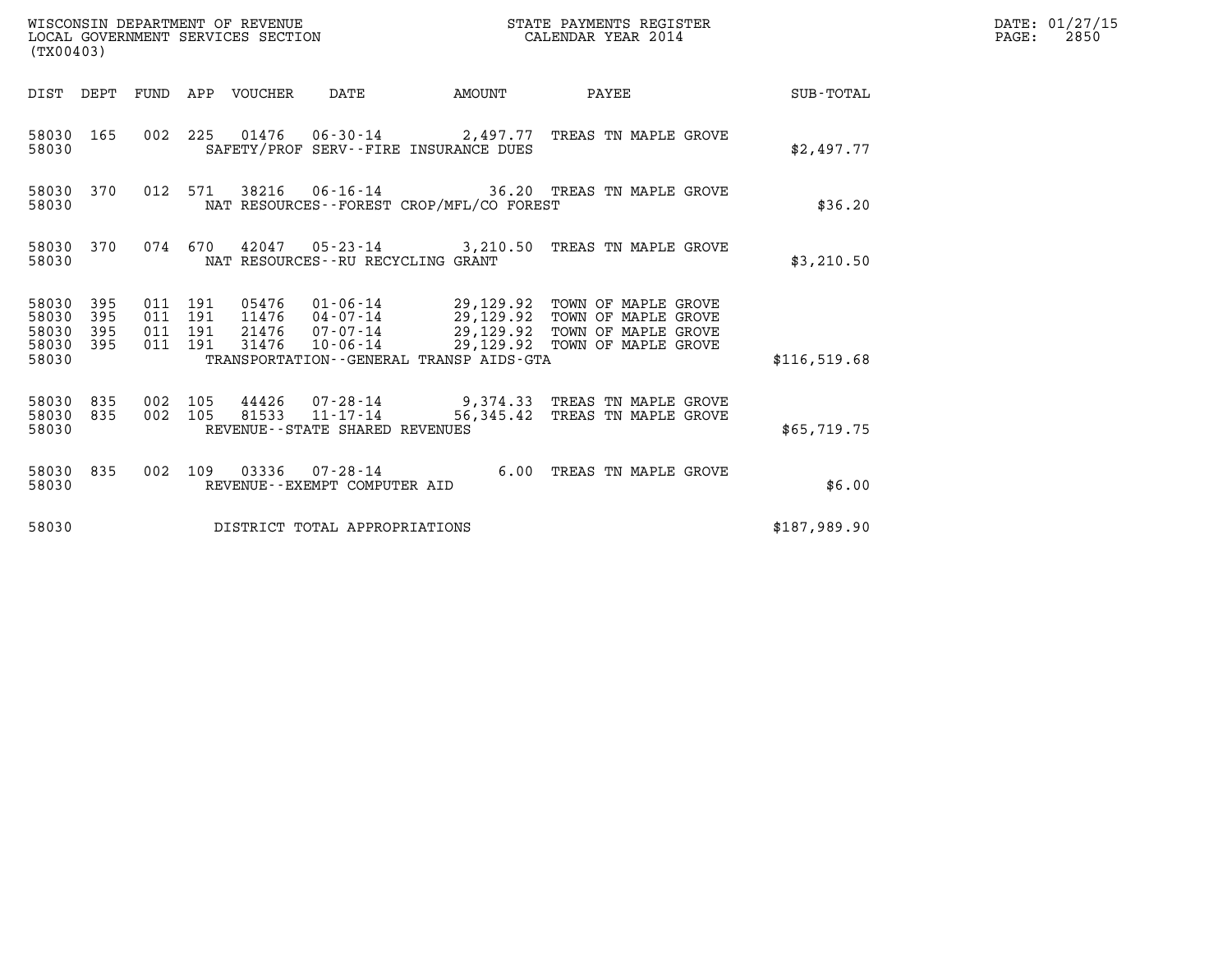| (TX00403)                                         |            |                                          |                                 | WISCONSIN DEPARTMENT OF REVENUE<br>LOCAL GOVERNMENT SERVICES SECTION |                                          | STATE PAYMENTS REGISTER<br>CALENDAR YEAR 2014                                                                                                                                                |              | DATE: 01/27/15<br>$\mathtt{PAGE:}$<br>2850 |
|---------------------------------------------------|------------|------------------------------------------|---------------------------------|----------------------------------------------------------------------|------------------------------------------|----------------------------------------------------------------------------------------------------------------------------------------------------------------------------------------------|--------------|--------------------------------------------|
|                                                   |            |                                          | DIST DEPT FUND APP VOUCHER DATE |                                                                      |                                          | AMOUNT PAYEE SUB-TOTAL                                                                                                                                                                       |              |                                            |
| 58030 165<br>58030                                |            |                                          |                                 |                                                                      | SAFETY/PROF SERV--FIRE INSURANCE DUES    | 002 225 01476 06-30-14 2,497.77 TREAS TN MAPLE GROVE                                                                                                                                         | \$2,497.77   |                                            |
| 58030                                             | 58030 370  |                                          |                                 |                                                                      | NAT RESOURCES--FOREST CROP/MFL/CO FOREST | 012 571 38216 06-16-14 36.20 TREAS TN MAPLE GROVE                                                                                                                                            | \$36.20      |                                            |
| 58030                                             | 58030 370  |                                          |                                 | NAT RESOURCES - - RU RECYCLING GRANT                                 |                                          | 074 670 42047 05-23-14 3,210.50 TREAS TN MAPLE GROVE                                                                                                                                         | \$3,210.50   |                                            |
| 58030 395<br>58030<br>58030<br>58030 395<br>58030 | 395<br>395 | 011 191<br>011 191<br>011 191<br>011 191 | 31476                           |                                                                      | TRANSPORTATION--GENERAL TRANSP AIDS-GTA  | 05476  01-06-14  29,129.92  TOWN OF MAPLE GROVE<br>11476  04-07-14  29,129.92  TOWN OF MAPLE GROVE<br>21476 07-07-14 29,129.92 TOWN OF MAPLE GROVE<br>10-06-14 29,129.92 TOWN OF MAPLE GROVE | \$116,519.68 |                                            |
| 58030 835<br>58030                                | 58030 835  | 002 105<br>002 105                       |                                 | $81533$ $11 - 17 - 14$<br>REVENUE--STATE SHARED REVENUES             |                                          | 44426 07-28-14 9,374.33 TREAS TN MAPLE GROVE<br>56,345.42 TREAS TN MAPLE GROVE                                                                                                               | \$65,719.75  |                                            |
| 58030                                             | 58030 835  |                                          |                                 | REVENUE--EXEMPT COMPUTER AID                                         |                                          | 002 109 03336 07-28-14 6.00 TREAS TN MAPLE GROVE                                                                                                                                             | \$6.00       |                                            |
| 58030                                             |            |                                          |                                 | DISTRICT TOTAL APPROPRIATIONS                                        |                                          |                                                                                                                                                                                              | \$187,989.90 |                                            |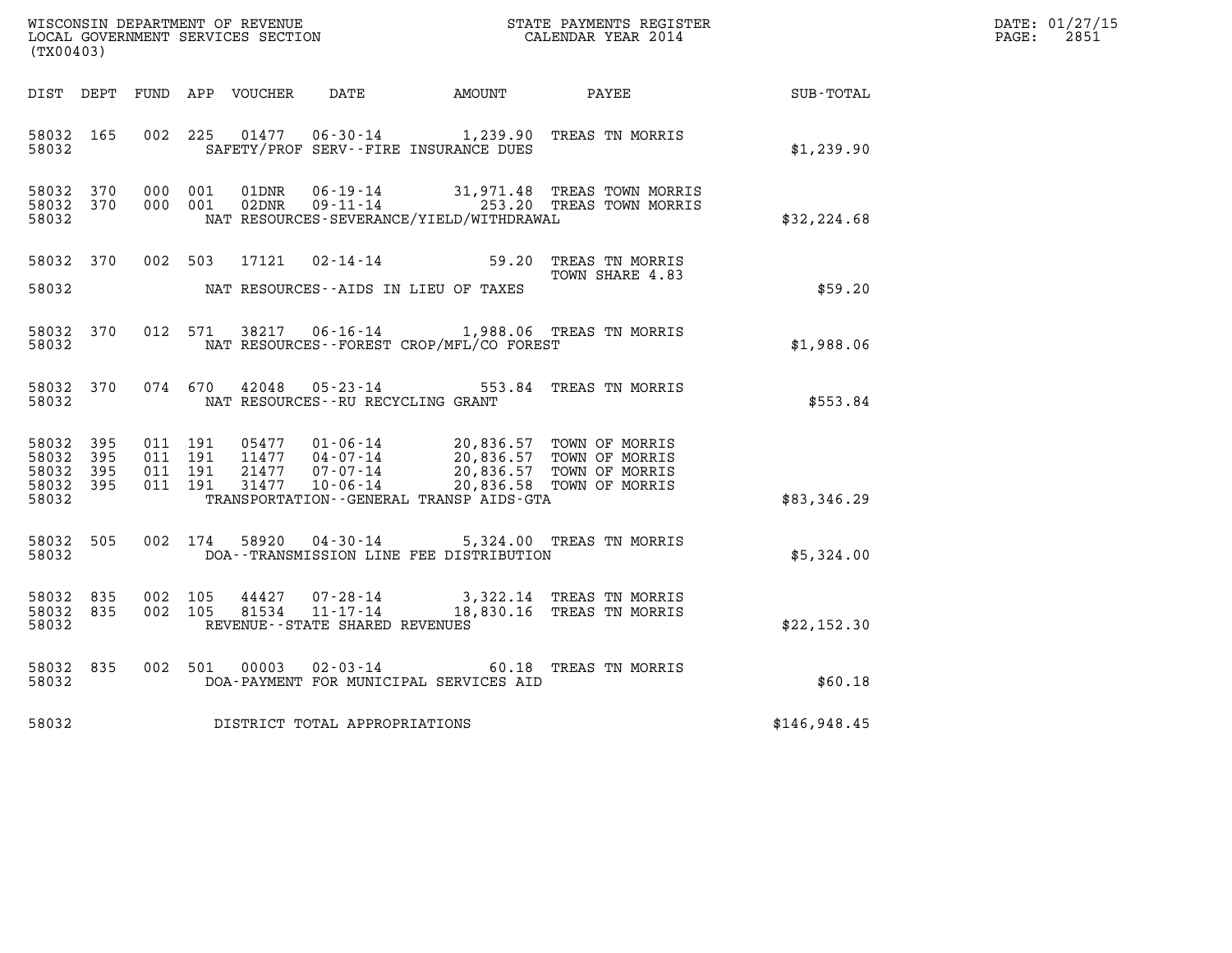| WISCONSIN DEPARTMENT OF REVENUE<br>LOCAL GOVERNMENT SERVICES SECTION | STATE PAYMENTS REGISTER<br>CALENDAR YEAR 2014 | DATE: 01/27/15<br>2851<br>PAGE: |
|----------------------------------------------------------------------|-----------------------------------------------|---------------------------------|

| WISCONSIN DEPARTMENT OF REVENUE<br>LOCAL GOVERNMENT SERVICES SECTION<br>CALENDAR YEAR 2014<br>(TX00403) |            |  |                    |               |                                   |                                                                                                                                                                                                                                                                                                                                                                                                          |                                                                                           |              | DATE: 01/27/15<br>$\mathtt{PAGE:}$<br>2851 |
|---------------------------------------------------------------------------------------------------------|------------|--|--------------------|---------------|-----------------------------------|----------------------------------------------------------------------------------------------------------------------------------------------------------------------------------------------------------------------------------------------------------------------------------------------------------------------------------------------------------------------------------------------------------|-------------------------------------------------------------------------------------------|--------------|--------------------------------------------|
|                                                                                                         |            |  |                    |               |                                   | DIST DEPT FUND APP VOUCHER DATE AMOUNT PAYEE                                                                                                                                                                                                                                                                                                                                                             |                                                                                           | SUB-TOTAL    |                                            |
| 58032                                                                                                   | 58032 165  |  |                    |               |                                   | SAFETY/PROF SERV--FIRE INSURANCE DUES                                                                                                                                                                                                                                                                                                                                                                    | 002 225 01477 06-30-14 1,239.90 TREAS TN MORRIS                                           | \$1,239.90   |                                            |
| 58032 370<br>58032                                                                                      | 58032 370  |  | 000 001<br>000 001 |               |                                   | NAT RESOURCES-SEVERANCE/YIELD/WITHDRAWAL                                                                                                                                                                                                                                                                                                                                                                 | 01DNR  06-19-14  31,971.48 TREAS TOWN MORRIS<br>02DNR  09-11-14  253.20 TREAS TOWN MORRIS | \$32, 224.68 |                                            |
| 58032                                                                                                   |            |  | 58032 370 002 503  |               |                                   | NAT RESOURCES--AIDS IN LIEU OF TAXES                                                                                                                                                                                                                                                                                                                                                                     | 17121  02-14-14  59.20 TREAS TN MORRIS<br>TOWN SHARE 4.83                                 | \$59.20      |                                            |
| 58032                                                                                                   | 58032 370  |  |                    |               |                                   | NAT RESOURCES - FOREST CROP/MFL/CO FOREST                                                                                                                                                                                                                                                                                                                                                                | 012 571 38217 06-16-14 1,988.06 TREAS TN MORRIS                                           | \$1,988.06   |                                            |
| 58032                                                                                                   | 58032 370  |  |                    | 074 670 42048 | $05 - 23 - 14$                    | NAT RESOURCES -- RU RECYCLING GRANT                                                                                                                                                                                                                                                                                                                                                                      | 553.84 TREAS TN MORRIS                                                                    | \$553.84     |                                            |
| 58032 395<br>58032<br>58032<br>58032 395<br>58032                                                       | 395<br>395 |  |                    |               |                                   | $\begin{array}{cccc} 011 & 191 & 05477 & 01\cdot 06\cdot 14 & 20,836.57 & \text{TOWN OF MORRIS} \\ 011 & 191 & 11477 & 04\cdot 07\cdot 14 & 20,836.57 & \text{TOWN OF MORRIS} \\ 011 & 191 & 21477 & 07\cdot 07\cdot 14 & 20,836.57 & \text{TOWN OF MORRIS} \\ 011 & 191 & 31477 & 10\cdot 06\cdot 14 & 20,836.58 & \text{TOWN OF MORRIS} \\ \end{array$<br>TRANSPORTATION - - GENERAL TRANSP AIDS - GTA |                                                                                           | \$83,346.29  |                                            |
| 58032                                                                                                   | 58032 505  |  |                    |               |                                   | DOA--TRANSMISSION LINE FEE DISTRIBUTION                                                                                                                                                                                                                                                                                                                                                                  | 002 174 58920 04-30-14 5,324.00 TREAS TN MORRIS                                           | \$5,324.00   |                                            |
| 58032 835<br>58032 835<br>58032                                                                         |            |  | 002 105<br>002 105 | 44427         | REVENUE - - STATE SHARED REVENUES |                                                                                                                                                                                                                                                                                                                                                                                                          | 07-28-14 3,322.14 TREAS TN MORRIS<br>81534  11-17-14  18,830.16  TREAS TN MORRIS          | \$22,152.30  |                                            |
| 58032                                                                                                   | 58032 835  |  |                    | 002 501 00003 |                                   | DOA-PAYMENT FOR MUNICIPAL SERVICES AID                                                                                                                                                                                                                                                                                                                                                                   | 02-03-14 60.18 TREAS TN MORRIS                                                            | \$60.18      |                                            |
| 58032                                                                                                   |            |  |                    |               | DISTRICT TOTAL APPROPRIATIONS     |                                                                                                                                                                                                                                                                                                                                                                                                          |                                                                                           | \$146,948.45 |                                            |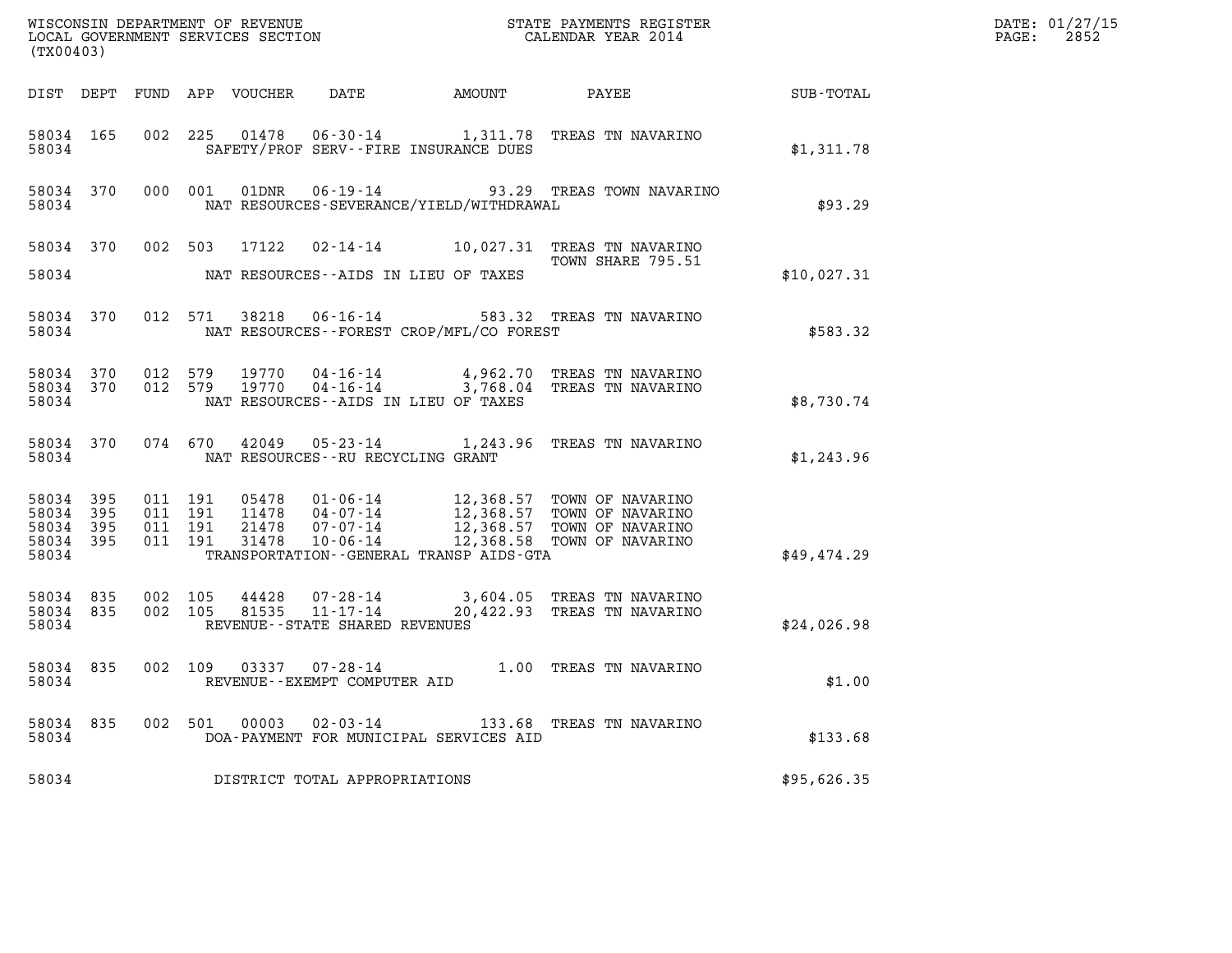| (TX00403)                            |                         |                                          |                            |                                   |                                             |                                                                                                                                                                               |             | DATE: 01/27/15<br>2852<br>$\mathtt{PAGE:}$ |
|--------------------------------------|-------------------------|------------------------------------------|----------------------------|-----------------------------------|---------------------------------------------|-------------------------------------------------------------------------------------------------------------------------------------------------------------------------------|-------------|--------------------------------------------|
|                                      |                         |                                          | DIST DEPT FUND APP VOUCHER | DATE                              |                                             |                                                                                                                                                                               |             |                                            |
| 58034                                | 58034 165               |                                          |                            |                                   | SAFETY/PROF SERV--FIRE INSURANCE DUES       | 002 225 01478 06-30-14 1,311.78 TREAS TN NAVARINO                                                                                                                             | \$1,311.78  |                                            |
| 58034                                | 58034 370               |                                          |                            |                                   | NAT RESOURCES-SEVERANCE/YIELD/WITHDRAWAL    | 000 001 01DNR 06-19-14 93.29 TREAS TOWN NAVARINO                                                                                                                              | \$93.29     |                                            |
|                                      |                         |                                          |                            |                                   |                                             | 58034 370 002 503 17122 02-14-14 10,027.31 TREAS TN NAVARINO<br>TOWN SHARE 795.51                                                                                             |             |                                            |
| 58034                                |                         |                                          |                            |                                   | NAT RESOURCES--AIDS IN LIEU OF TAXES        |                                                                                                                                                                               | \$10,027.31 |                                            |
| 58034                                | 58034 370               |                                          |                            |                                   | NAT RESOURCES - - FOREST CROP/MFL/CO FOREST | 012 571 38218 06-16-14 583.32 TREAS TN NAVARINO                                                                                                                               | \$583.32    |                                            |
| 58034                                | 58034 370               | 012 579                                  |                            |                                   | NAT RESOURCES--AIDS IN LIEU OF TAXES        | 19770  04-16-14  4,962.70  TREAS TN NAVARINO<br>58034 370 012 579 19770 04-16-14 3,768.04 TREAS TN NAVARINO                                                                   | \$8,730.74  |                                            |
| 58034                                |                         |                                          |                            | NAT RESOURCES--RU RECYCLING GRANT |                                             | 58034 370 074 670 42049 05-23-14 1,243.96 TREAS TN NAVARINO                                                                                                                   | \$1,243.96  |                                            |
| 58034 395<br>58034<br>58034<br>58034 | 395<br>395<br>58034 395 | 011 191<br>011 191<br>011 191<br>011 191 | 11478<br>21478<br>31478    |                                   | TRANSPORTATION--GENERAL TRANSP AIDS-GTA     | 05478  01-06-14  12,368.57  TOWN OF NAVARINO<br>04-07-14<br>07-07-14 12,368.57 TOWN OF NAVARINO<br>07-07-14 12,368.57 TOWN OF NAVARINO<br>10-06-14 12,368.58 TOWN OF NAVARINO | \$49,474.29 |                                            |
| 58034 835<br>58034                   | 58034 835               | 002 105<br>002 105                       | 44428<br>81535             | REVENUE - - STATE SHARED REVENUES |                                             | 07-28-14 3,604.05 TREAS TN NAVARINO<br>11-17-14 20,422.93 TREAS TN NAVARINO                                                                                                   | \$24,026.98 |                                            |
| 58034                                |                         |                                          |                            | REVENUE--EXEMPT COMPUTER AID      |                                             | 58034 835 002 109 03337 07-28-14 1.00 TREAS TN NAVARINO                                                                                                                       | \$1.00      |                                            |
| 58034 835<br>58034                   |                         |                                          | 002 501 00003 02-03-14     |                                   | DOA-PAYMENT FOR MUNICIPAL SERVICES AID      | 133.68 TREAS TN NAVARINO                                                                                                                                                      | \$133.68    |                                            |
| 58034                                |                         |                                          |                            | DISTRICT TOTAL APPROPRIATIONS     |                                             |                                                                                                                                                                               | \$95,626.35 |                                            |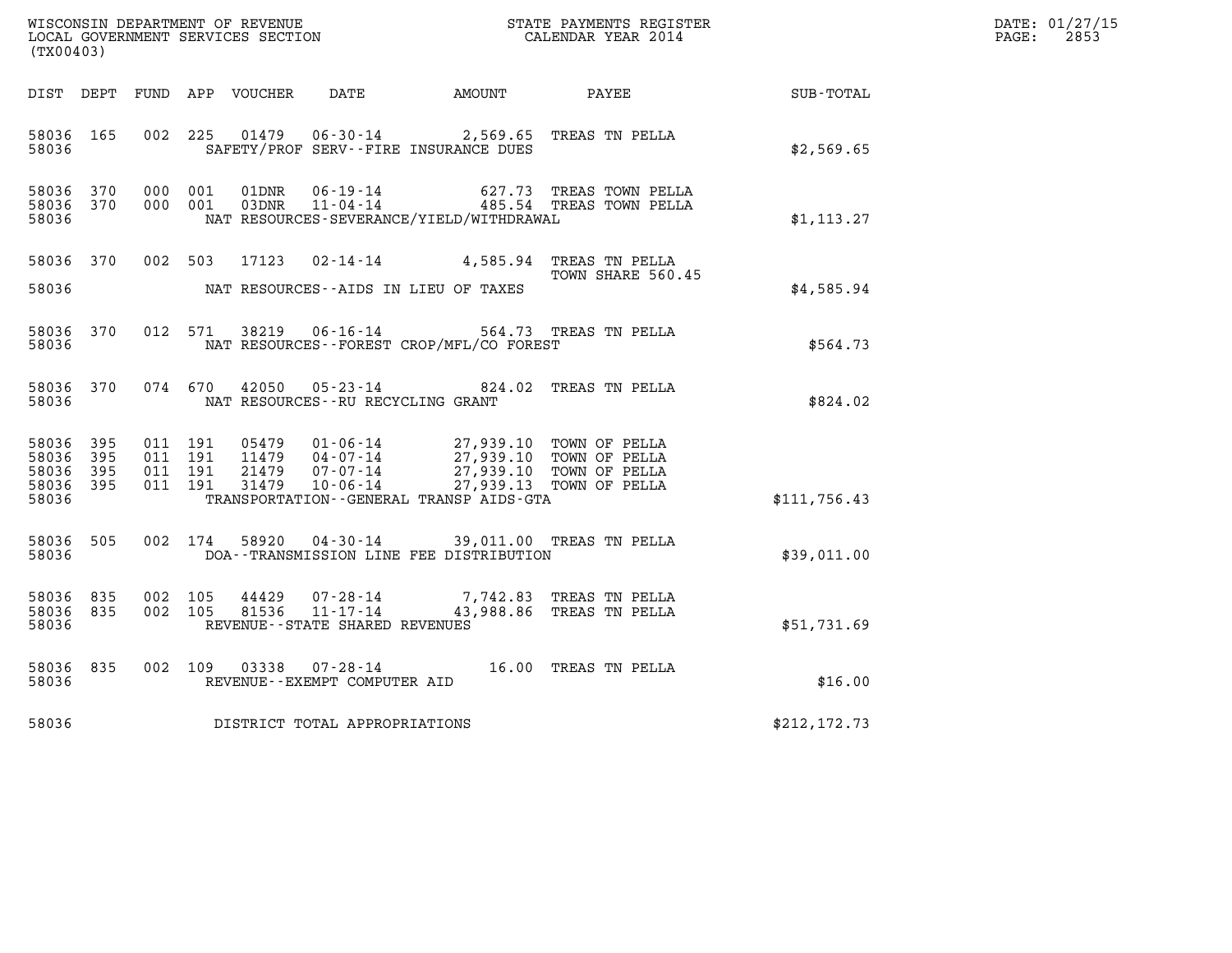| WISCONSIN DEPARTMENT OF REVENUE<br>LOCAL GOVERNMENT SERVICES SECTION<br>LOCAL GOVERNMENT SERVICES SECTION<br>CALENDAR YEAR 2014<br>(TX00403) |     |                    |                    |                            |                                                     |                                                                                                                                       |                                                                                      |               | DATE: 01/27/15<br>$\mathtt{PAGE:}$<br>2853 |
|----------------------------------------------------------------------------------------------------------------------------------------------|-----|--------------------|--------------------|----------------------------|-----------------------------------------------------|---------------------------------------------------------------------------------------------------------------------------------------|--------------------------------------------------------------------------------------|---------------|--------------------------------------------|
|                                                                                                                                              |     |                    |                    | DIST DEPT FUND APP VOUCHER |                                                     | DATE AMOUNT PAYEE                                                                                                                     |                                                                                      | SUB-TOTAL     |                                            |
| 58036 165<br>58036                                                                                                                           |     | 002 225            |                    |                            |                                                     | SAFETY/PROF SERV--FIRE INSURANCE DUES                                                                                                 | 01479  06-30-14  2,569.65  TREAS TN PELLA                                            | \$2,569.65    |                                            |
| 58036 370<br>58036 370<br>58036                                                                                                              |     |                    | 000 001<br>000 001 |                            |                                                     | NAT RESOURCES-SEVERANCE/YIELD/WITHDRAWAL                                                                                              | 01DNR  06-19-14  627.73 TREAS TOWN PELLA<br>03DNR  11-04-14  485.54 TREAS TOWN PELLA | \$1, 113.27   |                                            |
| 58036 370<br>58036                                                                                                                           |     |                    |                    |                            |                                                     | NAT RESOURCES--AIDS IN LIEU OF TAXES                                                                                                  | 002 503 17123 02-14-14 4,585.94 TREAS TN PELLA<br>TOWN SHARE 560.45                  | \$4,585.94    |                                            |
| 58036 370<br>58036                                                                                                                           |     |                    | 012 571            |                            |                                                     | NAT RESOURCES--FOREST CROP/MFL/CO FOREST                                                                                              | 38219  06-16-14  564.73  TREAS TN PELLA                                              | \$564.73      |                                            |
| 58036 370<br>58036                                                                                                                           |     |                    | 074 670            |                            | NAT RESOURCES - - RU RECYCLING GRANT                |                                                                                                                                       | 42050  05-23-14  824.02  TREAS TN PELLA                                              | \$824.02      |                                            |
| 58036 395<br>58036<br>58036 395<br>58036 395<br>58036                                                                                        | 395 | 011 191<br>011 191 | 011 191<br>011 191 | 11479<br>31479             | $04 - 07 - 14$<br>10-06-14                          | 05479  01-06-14  27,939.10  TOWN OF PELLA<br>21479  07-07-14  27,939.10 TOWN OF PELLA<br>TRANSPORTATION - - GENERAL TRANSP AIDS - GTA | 27,939.10 TOWN OF PELLA<br>27,939.13 TOWN OF PELLA                                   | \$111,756.43  |                                            |
| 58036 505<br>58036                                                                                                                           |     |                    | 002 174            |                            |                                                     | DOA--TRANSMISSION LINE FEE DISTRIBUTION                                                                                               | 58920  04-30-14  39,011.00 TREAS TN PELLA                                            | \$39,011.00   |                                            |
| 58036 835<br>58036 835<br>58036                                                                                                              |     | 002 105<br>002 105 |                    | 44429<br>81536             | $11 - 17 - 14$<br>REVENUE - - STATE SHARED REVENUES |                                                                                                                                       | 07-28-14 7,742.83 TREAS TN PELLA<br>43,988.86 TREAS TN PELLA                         | \$51,731.69   |                                            |
| 58036<br>58036                                                                                                                               | 835 |                    | 002 109            | 03338                      | REVENUE--EXEMPT COMPUTER AID                        |                                                                                                                                       | 07-28-14 16.00 TREAS TN PELLA                                                        | \$16.00       |                                            |
| 58036                                                                                                                                        |     |                    |                    |                            | DISTRICT TOTAL APPROPRIATIONS                       |                                                                                                                                       |                                                                                      | \$212, 172.73 |                                            |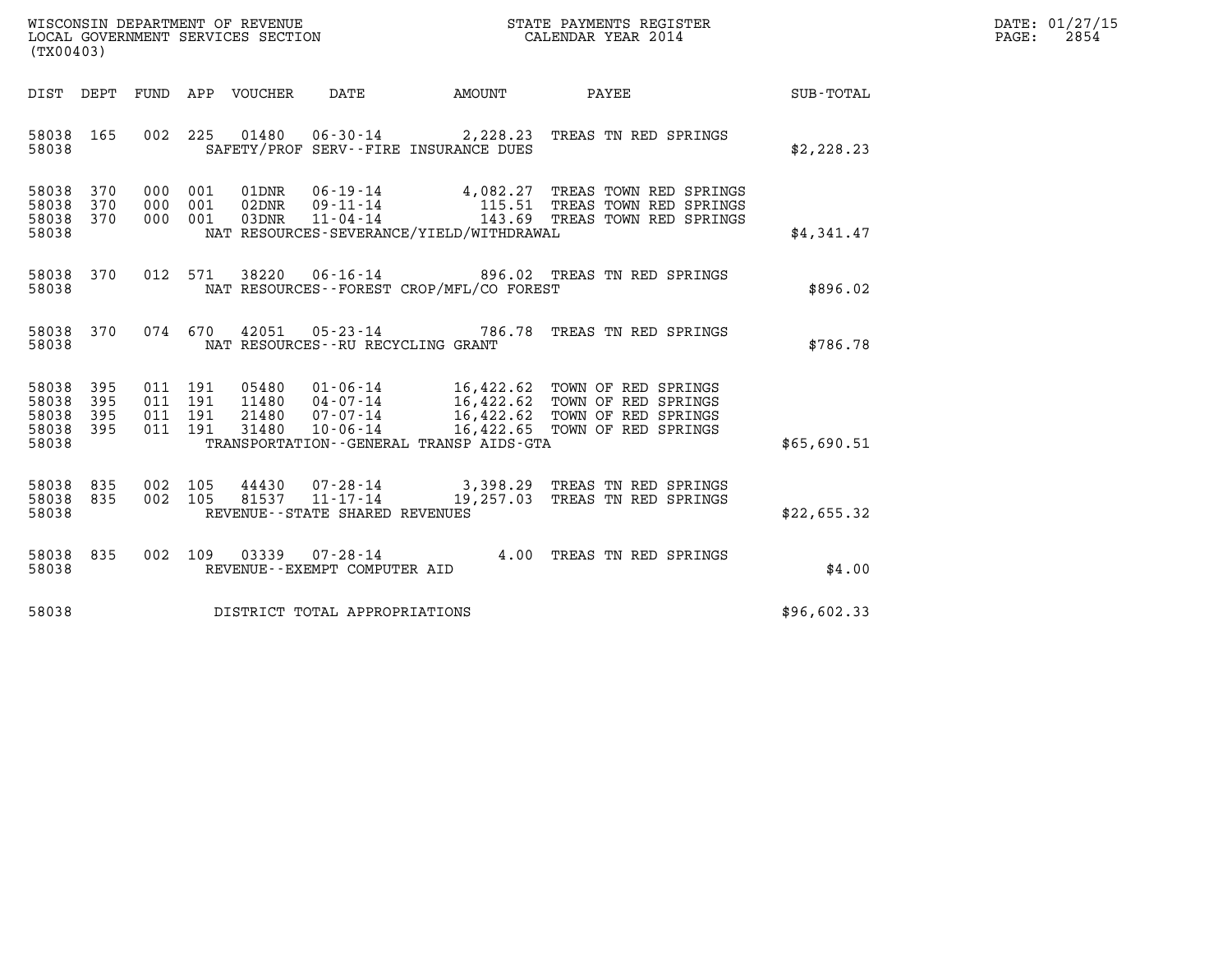| WISCONSIN DEPARTMENT OF REVENUE   | STATE PAYMENTS REGISTER | DATE: 01/27/15 |
|-----------------------------------|-------------------------|----------------|
| LOCAL GOVERNMENT SERVICES SECTION | CALENDAR YEAR 2014      | 2854<br>PAGE:  |

| (TX00403)                                                                                                                                                                                                                                 |                                                                                                                                                       |             | DATE: 01/27/15<br>PAGE:<br>2854 |
|-------------------------------------------------------------------------------------------------------------------------------------------------------------------------------------------------------------------------------------------|-------------------------------------------------------------------------------------------------------------------------------------------------------|-------------|---------------------------------|
| DIST DEPT                                                                                                                                                                                                                                 |                                                                                                                                                       | SUB-TOTAL   |                                 |
| 01480  06-30-14  2,228.23<br>58038 165<br>002 225<br>58038<br>SAFETY/PROF SERV--FIRE INSURANCE DUES                                                                                                                                       | TREAS TN RED SPRINGS                                                                                                                                  | \$2,228.23  |                                 |
| 58038 370<br>000<br>001<br>58038<br>370<br>001<br>000<br>58038<br>370<br>000 001<br>58038<br>NAT RESOURCES-SEVERANCE/YIELD/WITHDRAWAL                                                                                                     | 01DNR  06-19-14  4,082.27 TREAS TOWN RED SPRINGS<br>02DNR  09-11-14  115.51 TREAS TOWN RED SPRINGS<br>03DNR  11-04-14  143.69 TREAS TOWN RED SPRINGS  | \$4,341.47  |                                 |
| 012 571<br>58038 370<br>NAT RESOURCES - - FOREST CROP/MFL/CO FOREST<br>58038                                                                                                                                                              | 38220  06-16-14  896.02  TREAS TN RED SPRINGS                                                                                                         | \$896.02    |                                 |
| 074 670<br>58038 370<br>42051<br>58038<br>NAT RESOURCES--RU RECYCLING GRANT                                                                                                                                                               | 05-23-14 786.78 TREAS TN RED SPRINGS                                                                                                                  | \$786.78    |                                 |
| 58038 395<br>011 191<br>05480<br>58038<br>395<br>011 191<br>11480<br>58038<br>$07 - 07 - 14$<br>395<br>011<br>191<br>21480<br>395<br>011 191<br>31480<br>$10 - 06 - 14$<br>58038<br>58038<br>TRANSPORTATION - - GENERAL TRANSP AIDS - GTA | 01-06-14 16,422.62 TOWN OF RED SPRINGS<br>04-07-14 16,422.62 TOWN OF RED SPRINGS<br>16,422.62<br>TOWN OF RED SPRINGS<br>16,422.65 TOWN OF RED SPRINGS | \$65,690.51 |                                 |
| 58038<br>835<br>$07 - 28 - 14$ 3,398.29<br>002<br>105<br>44430<br>$11 - 17 - 14$<br>002 105<br>58038 835<br>81537<br>58038<br>REVENUE - - STATE SHARED REVENUES                                                                           | TREAS TN RED SPRINGS<br>19,257.03 TREAS TN RED SPRINGS                                                                                                | \$22,655.32 |                                 |
| 58038 835<br>002 109<br>03339<br>58038<br>REVENUE--EXEMPT COMPUTER AID                                                                                                                                                                    | $07 - 28 - 14$ 4.00 TREAS TN RED SPRINGS                                                                                                              | \$4.00      |                                 |
| 58038<br>DISTRICT TOTAL APPROPRIATIONS                                                                                                                                                                                                    |                                                                                                                                                       | \$96,602.33 |                                 |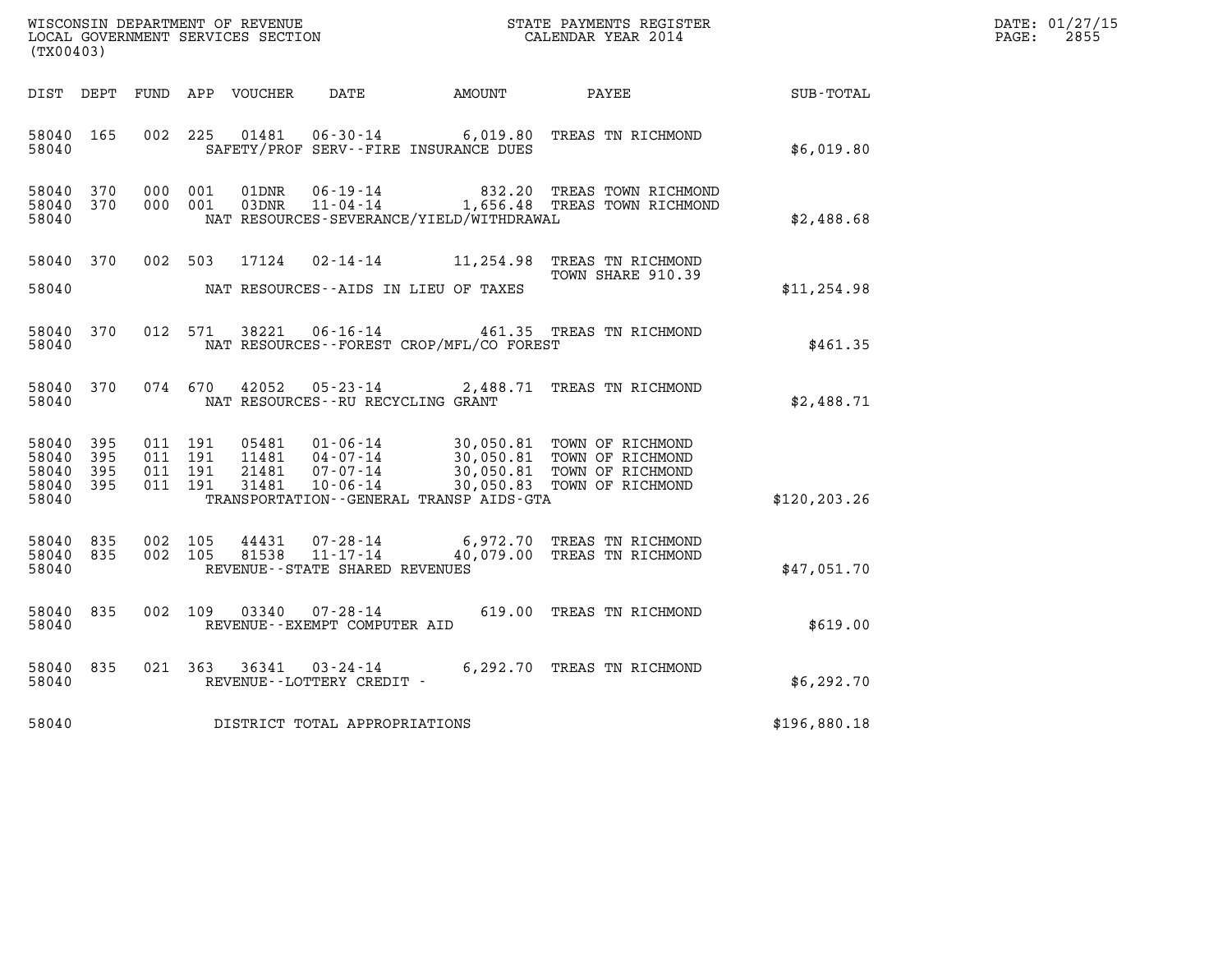| DATE: | 01/27/15 |
|-------|----------|
| PAGE: | 2855     |

| (TX00403)                                 |                          |                                          |         |                                  |                                              |                                              |                                                                                                                               |                  | DATE: 01/27/15<br>$\mathtt{PAGE:}$<br>2855 |
|-------------------------------------------|--------------------------|------------------------------------------|---------|----------------------------------|----------------------------------------------|----------------------------------------------|-------------------------------------------------------------------------------------------------------------------------------|------------------|--------------------------------------------|
|                                           |                          |                                          |         | DIST DEPT FUND APP VOUCHER       | DATE                                         | <b>EXAMPLE THE AMOUNT</b>                    | PAYEE                                                                                                                         | <b>SUB-TOTAL</b> |                                            |
| 58040 165<br>58040                        |                          | 002 225                                  |         | 01481                            |                                              | SAFETY/PROF SERV--FIRE INSURANCE DUES        | 06-30-14 6,019.80 TREAS TN RICHMOND                                                                                           | \$6,019.80       |                                            |
| 58040 370<br>58040 370<br>58040           |                          | 000 001<br>000 001                       |         | 01DNR                            | 06-19-14                                     | NAT RESOURCES-SEVERANCE/YIELD/WITHDRAWAL     | 832.20 TREAS TOWN RICHMOND<br>03DNR 11-04-14 1,656.48 TREAS TOWN RICHMOND                                                     | \$2,488.68       |                                            |
| 58040 370<br>58040                        |                          |                                          |         |                                  |                                              | NAT RESOURCES--AIDS IN LIEU OF TAXES         | 002 503 17124 02-14-14 11,254.98 TREAS TN RICHMOND<br>TOWN SHARE 910.39                                                       | \$11, 254.98     |                                            |
| 58040<br>58040                            | 370                      | 012 571                                  |         | 38221                            |                                              | NAT RESOURCES--FOREST CROP/MFL/CO FOREST     | 06-16-14 461.35 TREAS TN RICHMOND                                                                                             | \$461.35         |                                            |
| 58040 370<br>58040                        |                          |                                          | 074 670 | 42052                            | NAT RESOURCES - - RU RECYCLING GRANT         |                                              | 05-23-14 2,488.71 TREAS TN RICHMOND                                                                                           | \$2,488.71       |                                            |
| 58040<br>58040<br>58040<br>58040<br>58040 | 395<br>395<br>395<br>395 | 011 191<br>011 191<br>011 191<br>011 191 |         | 05481<br>11481<br>21481<br>31481 | $04 - 07 - 14$<br>$07 - 07 - 14$<br>10-06-14 | TRANSPORTATION - - GENERAL TRANSP AIDS - GTA | 01-06-14 30,050.81 TOWN OF RICHMOND<br>30,050.81 TOWN OF RICHMOND<br>30,050.81 TOWN OF RICHMOND<br>30,050.83 TOWN OF RICHMOND | \$120, 203.26    |                                            |
| 58040 835<br>58040 835<br>58040           |                          | 002 105<br>002 105                       |         | 44431<br>81538                   | REVENUE - - STATE SHARED REVENUES            |                                              | 07-28-14 6,972.70 TREAS TN RICHMOND<br>11-17-14 40,079.00 TREAS TN RICHMOND                                                   | \$47,051.70      |                                            |
| 58040 835<br>58040                        |                          |                                          | 002 109 | 03340                            | REVENUE--EXEMPT COMPUTER AID                 |                                              | 07-28-14 619.00 TREAS TN RICHMOND                                                                                             | \$619.00         |                                            |
| 58040<br>58040                            | 835                      | 021 363                                  |         | 36341                            | REVENUE--LOTTERY CREDIT -                    |                                              | 03-24-14 6,292.70 TREAS TN RICHMOND                                                                                           | \$6,292.70       |                                            |
| 58040                                     |                          |                                          |         |                                  | DISTRICT TOTAL APPROPRIATIONS                |                                              |                                                                                                                               | \$196,880.18     |                                            |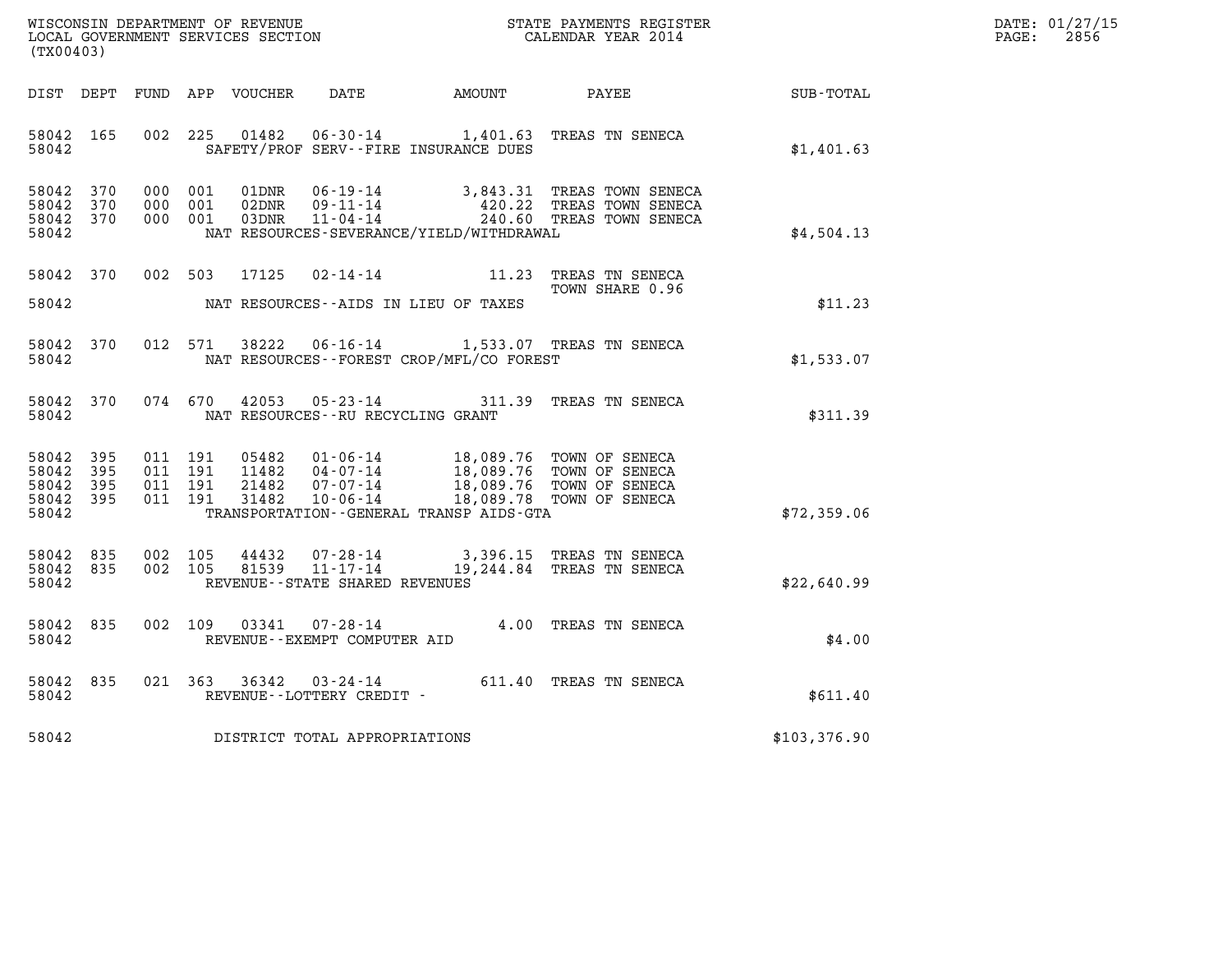| WISCONSIN DEPARTMENT OF REVENUE   | STATE PAYMENTS REGISTER | DATE: 01/27/15 |
|-----------------------------------|-------------------------|----------------|
| LOCAL GOVERNMENT SERVICES SECTION | CALENDAR YEAR 2014      | 2856<br>PAGE:  |

|                                           | WISCONSIN DEPARTMENT OF REVENUE<br>STATE PAYMENTS REGISTER<br>LOCAL GOVERNMENT SERVICES SECTION<br>CALENDAR YEAR 2014<br>(TX00403) |                          |                          |                                  |                                                                       |                                                                                             |                                                                      |              |
|-------------------------------------------|------------------------------------------------------------------------------------------------------------------------------------|--------------------------|--------------------------|----------------------------------|-----------------------------------------------------------------------|---------------------------------------------------------------------------------------------|----------------------------------------------------------------------|--------------|
| DIST                                      | DEPT                                                                                                                               | FUND                     | APP                      | VOUCHER                          | DATE                                                                  | AMOUNT                                                                                      | PAYEE                                                                | SUB-TOTAL    |
| 58042<br>58042                            | 165                                                                                                                                | 002                      | 225                      | 01482                            | $06 - 30 - 14$                                                        | 1,401.63<br>SAFETY/PROF SERV--FIRE INSURANCE DUES                                           | TREAS TN SENECA                                                      | \$1,401.63   |
| 58042<br>58042<br>58042<br>58042          | 370<br>370<br>370                                                                                                                  | 000<br>000<br>000        | 001<br>001<br>001        | 01DNR<br>02DNR<br>03DNR          | $06 - 19 - 14$<br>$09 - 11 - 14$<br>$11 - 04 - 14$                    | 3,843.31<br>420.22<br>NAT RESOURCES-SEVERANCE/YIELD/WITHDRAWAL                              | TREAS TOWN SENECA<br>TREAS TOWN SENECA<br>240.60 TREAS TOWN SENECA   | \$4,504.13   |
| 58042                                     | 370                                                                                                                                | 002                      | 503                      | 17125                            | $02 - 14 - 14$                                                        | 11.23                                                                                       | TREAS TN SENECA<br>TOWN SHARE 0.96                                   |              |
| 58042                                     |                                                                                                                                    |                          |                          |                                  |                                                                       | NAT RESOURCES - AIDS IN LIEU OF TAXES                                                       |                                                                      | \$11.23      |
| 58042<br>58042                            | 370                                                                                                                                | 012                      | 571                      | 38222                            | $06 - 16 - 14$                                                        | NAT RESOURCES - - FOREST CROP/MFL/CO FOREST                                                 | 1,533.07 TREAS TN SENECA                                             | \$1,533.07   |
| 58042<br>58042                            | 370                                                                                                                                | 074                      | 670                      | 42053                            | $05 - 23 - 14$<br>NAT RESOURCES - - RU RECYCLING GRANT                | 311.39                                                                                      | TREAS TN SENECA                                                      | \$311.39     |
| 58042<br>58042<br>58042<br>58042<br>58042 | 395<br>395<br>395<br>395                                                                                                           | 011<br>011<br>011<br>011 | 191<br>191<br>191<br>191 | 05482<br>11482<br>21482<br>31482 | $01 - 06 - 14$<br>$04 - 07 - 14$<br>$07 - 07 - 14$<br>$10 - 06 - 14$  | 18,089.76<br>18,089.76<br>18,089.76<br>18,089.78<br>TRANSPORTATION--GENERAL TRANSP AIDS-GTA | TOWN OF SENECA<br>TOWN OF SENECA<br>TOWN OF SENECA<br>TOWN OF SENECA | \$72,359.06  |
| 58042<br>58042<br>58042                   | 835<br>835                                                                                                                         | 002<br>002               | 105<br>105               | 44432<br>81539                   | $07 - 28 - 14$<br>$11 - 17 - 14$<br>REVENUE - - STATE SHARED REVENUES | 3,396.15<br>19,244.84                                                                       | TREAS TN SENECA<br>TREAS TN SENECA                                   | \$22,640.99  |
| 58042<br>58042                            | 835                                                                                                                                | 002                      | 109                      | 03341                            | $07 - 28 - 14$<br>REVENUE--EXEMPT COMPUTER AID                        | 4.00                                                                                        | TREAS TN SENECA                                                      | \$4.00       |
| 58042<br>58042                            | 835                                                                                                                                | 021                      | 363                      | 36342                            | $03 - 24 - 14$<br>REVENUE--LOTTERY CREDIT -                           | 611.40                                                                                      | TREAS TN SENECA                                                      | \$611.40     |
| 58042                                     |                                                                                                                                    |                          |                          |                                  | DISTRICT TOTAL APPROPRIATIONS                                         |                                                                                             |                                                                      | \$103,376.90 |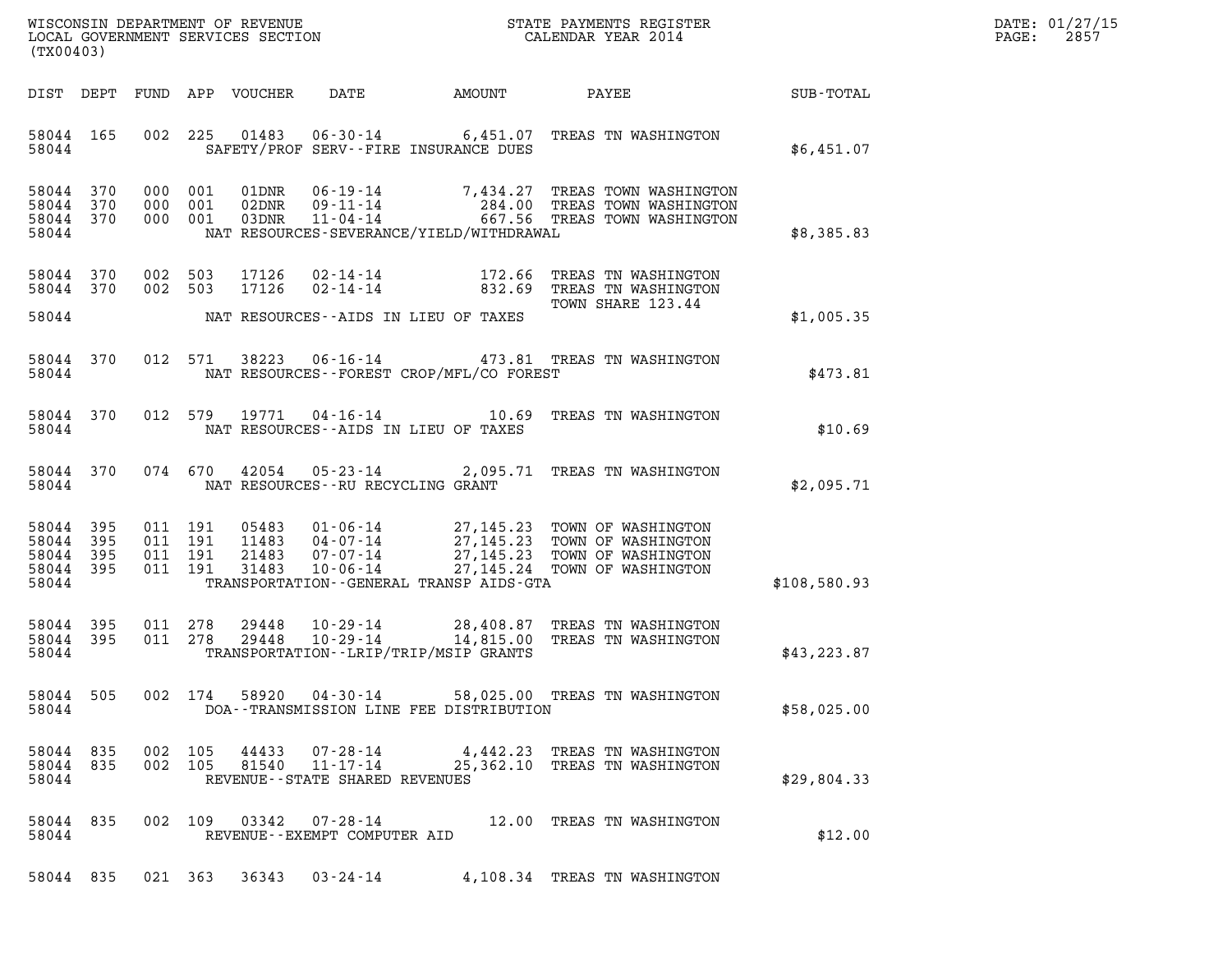| DATE: | 01/27/15 |
|-------|----------|
| PAGE: | 2857     |

| (TX00403)                                     |                   |         |                                          |                                  |                                                                 |                                          |                                                                                                                                       |              | DATE: 01/27/15<br>2857<br>$\mathtt{PAGE}$ : |
|-----------------------------------------------|-------------------|---------|------------------------------------------|----------------------------------|-----------------------------------------------------------------|------------------------------------------|---------------------------------------------------------------------------------------------------------------------------------------|--------------|---------------------------------------------|
|                                               |                   |         |                                          | DIST DEPT FUND APP VOUCHER       | DATE                                                            | AMOUNT                                   | PAYEE                                                                                                                                 | SUB-TOTAL    |                                             |
| 58044 165<br>58044                            |                   |         | 002 225                                  | 01483                            |                                                                 | SAFETY/PROF SERV--FIRE INSURANCE DUES    | 06-30-14 6,451.07 TREAS TN WASHINGTON                                                                                                 | \$6,451.07   |                                             |
| 58044 370<br>58044<br>58044 370<br>58044      | 370               | 000 001 | 000 001<br>000 001                       | 01DNR<br>02DNR<br>03DNR          | 09-11-14<br>$11 - 04 - 14$                                      | NAT RESOURCES-SEVERANCE/YIELD/WITHDRAWAL | 06-19-14 7,434.27 TREAS TOWN WASHINGTON<br>284.00 TREAS TOWN WASHINGTON<br>667.56 TREAS TOWN WASHINGTON                               | \$8,385.83   |                                             |
| 58044 370<br>58044 370                        |                   | 002 503 | 002 503                                  | 17126<br>17126                   | 02-14-14<br>$02 - 14 - 14$                                      |                                          | 172.66 TREAS TN WASHINGTON<br>832.69 TREAS TN WASHINGTON                                                                              |              |                                             |
| 58044                                         |                   |         |                                          |                                  |                                                                 | NAT RESOURCES--AIDS IN LIEU OF TAXES     | TOWN SHARE 123.44                                                                                                                     | \$1,005.35   |                                             |
| 58044 370<br>58044                            |                   |         | 012 571                                  | 38223                            |                                                                 | NAT RESOURCES--FOREST CROP/MFL/CO FOREST | 06-16-14  473.81 TREAS TN WASHINGTON                                                                                                  | \$473.81     |                                             |
| 58044 370<br>58044                            |                   |         | 012 579                                  | 19771                            |                                                                 | NAT RESOURCES -- AIDS IN LIEU OF TAXES   | 04-16-14 10.69 TREAS TN WASHINGTON                                                                                                    | \$10.69      |                                             |
| 58044 370<br>58044                            |                   |         |                                          | 074 670 42054                    | NAT RESOURCES--RU RECYCLING GRANT                               |                                          | 05-23-14 2,095.71 TREAS TN WASHINGTON                                                                                                 | \$2,095.71   |                                             |
| 58044 395<br>58044<br>58044<br>58044<br>58044 | 395<br>395<br>395 |         | 011 191<br>011 191<br>011 191<br>011 191 | 05483<br>11483<br>21483<br>31483 | 04-07-14<br>07-07-14<br>$10 - 06 - 14$                          | TRANSPORTATION--GENERAL TRANSP AIDS-GTA  | 01-06-14 27,145.23 TOWN OF WASHINGTON<br>27,145.23 TOWN OF WASHINGTON<br>27,145.23 TOWN OF WASHINGTON<br>27,145.24 TOWN OF WASHINGTON | \$108,580.93 |                                             |
| 58044 395<br>58044 395<br>58044               |                   |         | 011 278<br>011 278                       | 29448<br>29448                   | 10-29-14<br>10-29-14                                            | TRANSPORTATION - - LRIP/TRIP/MSIP GRANTS | 28,408.87 TREAS TN WASHINGTON<br>14,815.00 TREAS TN WASHINGTON                                                                        | \$43, 223.87 |                                             |
| 58044                                         | 58044 505         |         |                                          |                                  |                                                                 | DOA--TRANSMISSION LINE FEE DISTRIBUTION  | 002 174 58920 04-30-14 58,025.00 TREAS TN WASHINGTON                                                                                  | \$58,025.00  |                                             |
| 58044 835<br>58044 835<br>58044               |                   |         | 002 105<br>002 105                       | 44433<br>81540                   | 07-28-14<br>$11 - 17 - 14$<br>REVENUE - - STATE SHARED REVENUES |                                          | 4,442.23 TREAS TN WASHINGTON<br>25,362.10 TREAS TN WASHINGTON                                                                         | \$29,804.33  |                                             |
| 58044 835<br>58044                            |                   |         |                                          |                                  | REVENUE - - EXEMPT COMPUTER AID                                 |                                          | 002 109 03342 07-28-14 12.00 TREAS TN WASHINGTON                                                                                      | \$12.00      |                                             |

58044 835 021 363 36343 03-24-14 4,108.34 TREAS TN WASHINGTON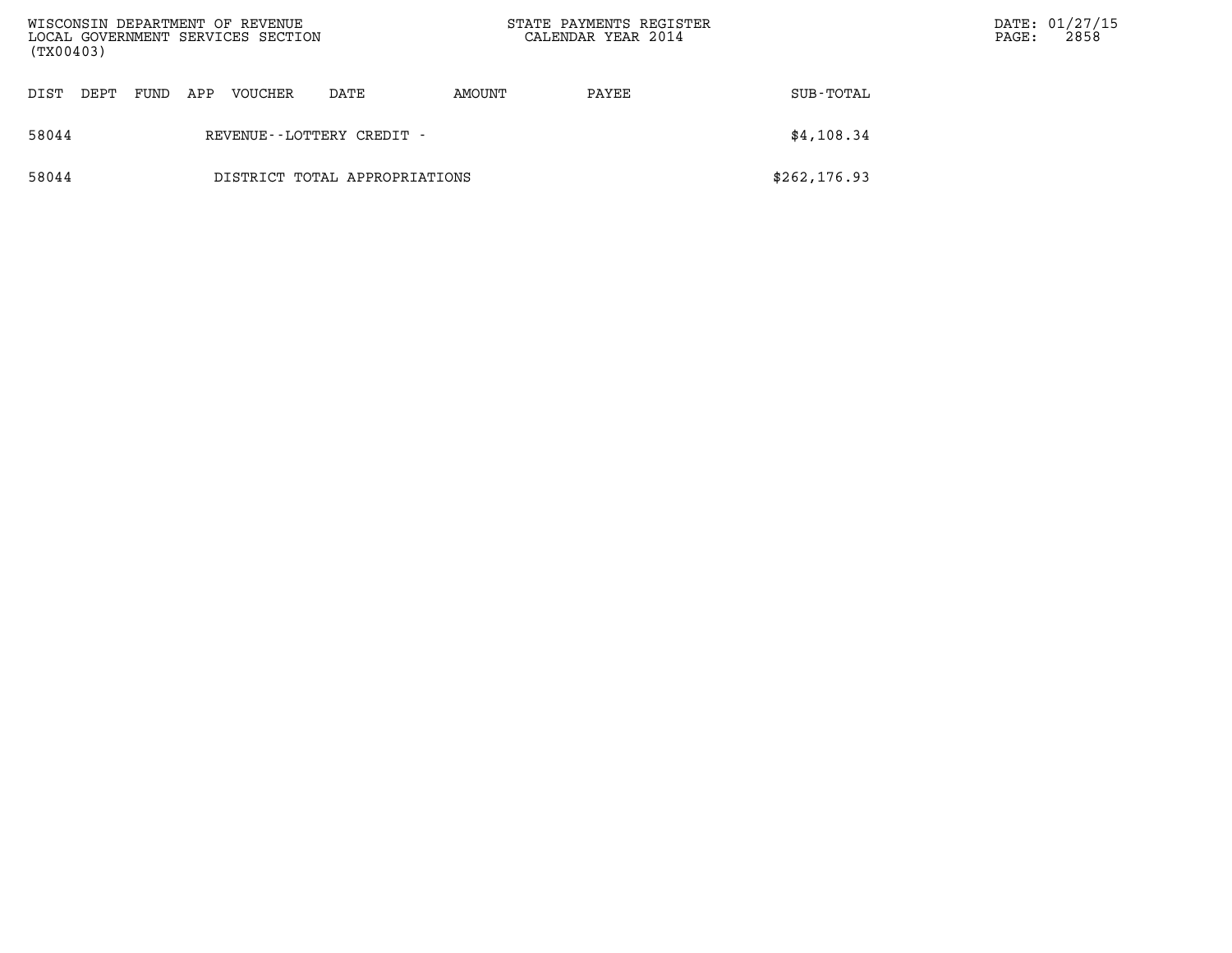| WISCONSIN DEPARTMENT OF REVENUE<br>LOCAL GOVERNMENT SERVICES SECTION<br>(TX00403) |      |      |     |                |                               | STATE PAYMENTS REGISTER<br>CALENDAR YEAR 2014 |       |               | PAGE: | DATE: 01/27/15<br>2858 |
|-----------------------------------------------------------------------------------|------|------|-----|----------------|-------------------------------|-----------------------------------------------|-------|---------------|-------|------------------------|
| DIST                                                                              | DEPT | FUND | APP | <b>VOUCHER</b> | DATE                          | AMOUNT                                        | PAYEE | SUB-TOTAL     |       |                        |
| 58044                                                                             |      |      |     |                | REVENUE - - LOTTERY CREDIT -  |                                               |       | \$4,108.34    |       |                        |
| 58044                                                                             |      |      |     |                | DISTRICT TOTAL APPROPRIATIONS |                                               |       | \$262, 176.93 |       |                        |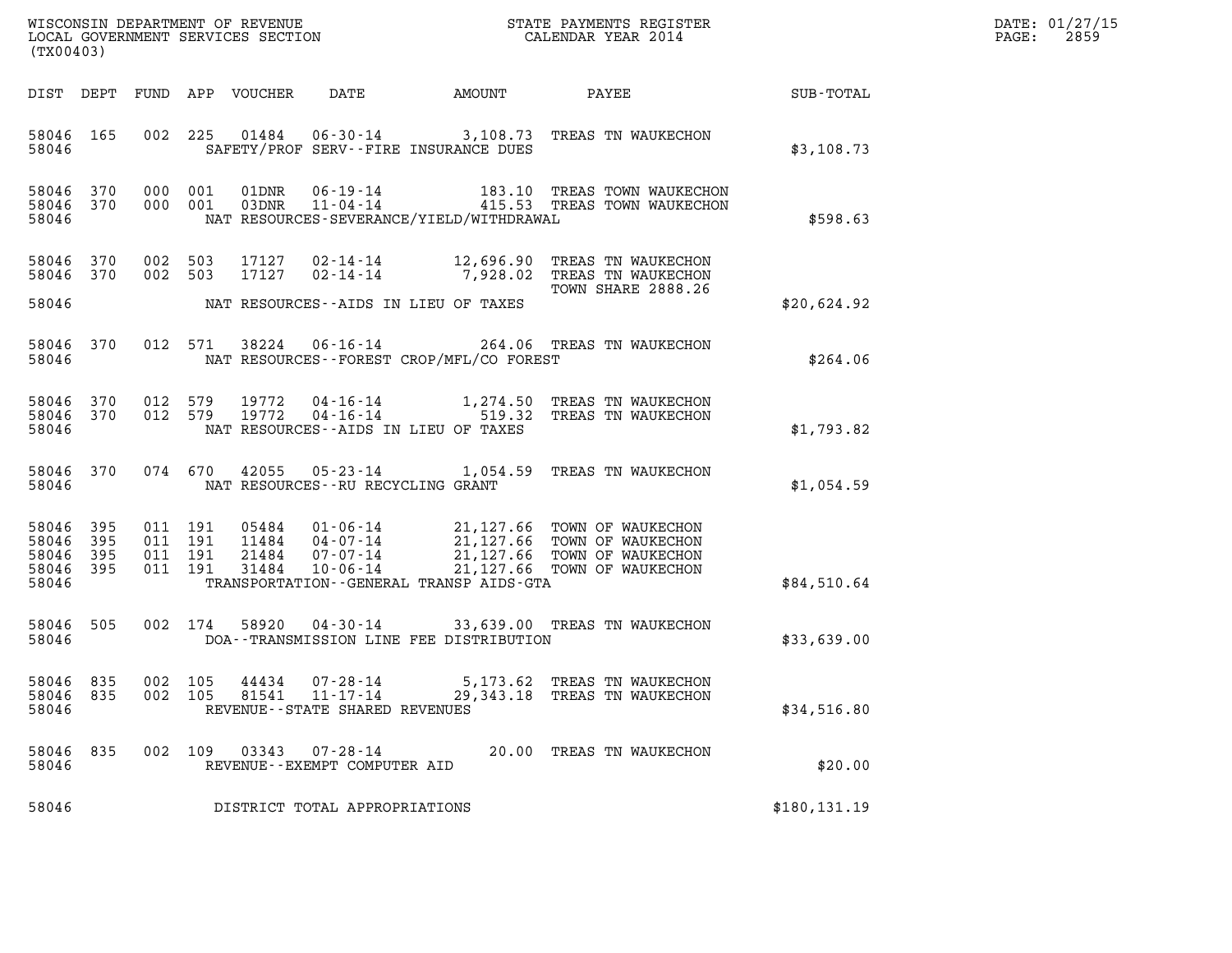| DATE: | 01/27/15 |
|-------|----------|
| PAGE: | 2859     |

| (TX00403)                                             |                        |                                          |         |                            |                                                                       |                                          |                                                                                                                                                               |               | DATE: 01/27/15<br>2859<br>$\mathtt{PAGE:}$ |
|-------------------------------------------------------|------------------------|------------------------------------------|---------|----------------------------|-----------------------------------------------------------------------|------------------------------------------|---------------------------------------------------------------------------------------------------------------------------------------------------------------|---------------|--------------------------------------------|
|                                                       |                        |                                          |         | DIST DEPT FUND APP VOUCHER | DATE                                                                  | AMOUNT                                   | PAYEE                                                                                                                                                         | SUB-TOTAL     |                                            |
| 58046 165<br>58046                                    |                        |                                          | 002 225 |                            |                                                                       | SAFETY/PROF SERV--FIRE INSURANCE DUES    | 01484  06-30-14  3,108.73  TREAS TN WAUKECHON                                                                                                                 | \$3,108.73    |                                            |
| 58046                                                 | 58046 370<br>58046 370 | 000 001<br>000 001                       |         |                            |                                                                       | NAT RESOURCES-SEVERANCE/YIELD/WITHDRAWAL | 01DNR  06-19-14   183.10 TREAS TOWN WAUKECHON<br>03DNR  11-04-14   415.53 TREAS TOWN WAUKECHON                                                                | \$598.63      |                                            |
| 58046 370<br>58046 370                                |                        | 002 503<br>002 503                       |         | 17127<br>17127             | 02-14-14                                                              |                                          | 02-14-14 12,696.90 TREAS TN WAUKECHON<br>7,928.02 TREAS TN WAUKECHON<br>TOWN SHARE 2888.26                                                                    |               |                                            |
| 58046                                                 |                        |                                          |         |                            |                                                                       | NAT RESOURCES--AIDS IN LIEU OF TAXES     |                                                                                                                                                               | \$20,624.92   |                                            |
| 58046                                                 | 58046 370              |                                          | 012 571 | 38224                      |                                                                       | NAT RESOURCES--FOREST CROP/MFL/CO FOREST | 06-16-14 264.06 TREAS TN WAUKECHON                                                                                                                            | \$264.06      |                                            |
| 58046 370<br>58046 370<br>58046                       |                        | 012 579<br>012 579                       |         |                            | 19772   04 - 16 - 14                                                  | NAT RESOURCES--AIDS IN LIEU OF TAXES     | 19772  04-16-14   1,274.50   TREAS TN WAUKECHON<br>519.32 TREAS TN WAUKECHON                                                                                  | \$1,793.82    |                                            |
| 58046                                                 | 58046 370              |                                          | 074 670 |                            | $42055$ $05 - 23 - 14$<br>NAT RESOURCES--RU RECYCLING GRANT           |                                          | 1,054.59 TREAS TN WAUKECHON                                                                                                                                   | \$1,054.59    |                                            |
| 58046 395<br>58046<br>58046 395<br>58046 395<br>58046 | 395                    | 011 191<br>011 191<br>011 191<br>011 191 |         | 21484<br>31484             | 07-07-14<br>$10 - 06 - 14$                                            | TRANSPORTATION--GENERAL TRANSP AIDS-GTA  | 05484  01-06-14  21,127.66  TOWN OF WAUKECHON<br>11484  04-07-14  21,127.66  TOWN OF WAUKECHON<br>21,127.66 TOWN OF WAUKECHON<br>21, 127.66 TOWN OF WAUKECHON | \$84,510.64   |                                            |
| 58046<br>58046                                        | 505                    | 002 174                                  |         | 58920                      |                                                                       | DOA--TRANSMISSION LINE FEE DISTRIBUTION  | 04-30-14 33,639.00 TREAS TN WAUKECHON                                                                                                                         | \$33,639.00   |                                            |
| 58046 835<br>58046<br>58046                           | 835                    | 002<br>002 105                           | 105     | 44434<br>81541             | $07 - 28 - 14$<br>$11 - 17 - 14$<br>REVENUE - - STATE SHARED REVENUES | 5,173.62<br>29,343.18                    | TREAS TN WAUKECHON<br>TREAS TN WAUKECHON                                                                                                                      | \$34,516.80   |                                            |
| 58046<br>58046                                        | 835                    |                                          | 002 109 | 03343                      | 07-28-14<br>REVENUE--EXEMPT COMPUTER AID                              |                                          | 20.00 TREAS TN WAUKECHON                                                                                                                                      | \$20.00       |                                            |
| 58046                                                 |                        |                                          |         |                            | DISTRICT TOTAL APPROPRIATIONS                                         |                                          |                                                                                                                                                               | \$180, 131.19 |                                            |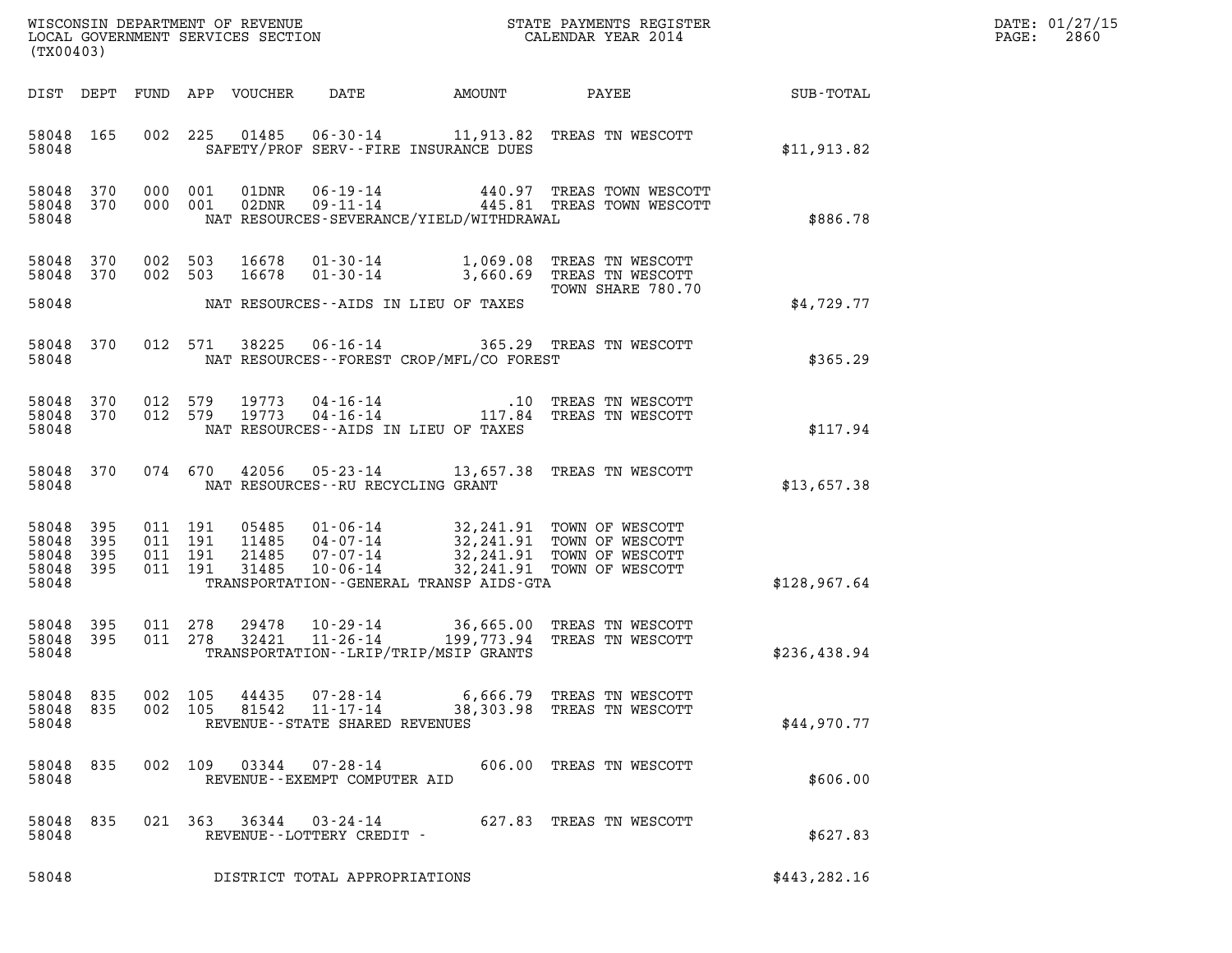| DATE: | 01/27/15 |
|-------|----------|
| PAGE: | 2860     |

| (TX00403)                                     |                                                           |                                                                                                                                                                                                                                                           |              | DATE: 01/27/15<br>2860<br>PAGE: |
|-----------------------------------------------|-----------------------------------------------------------|-----------------------------------------------------------------------------------------------------------------------------------------------------------------------------------------------------------------------------------------------------------|--------------|---------------------------------|
| DIST DEPT                                     |                                                           | FUND APP VOUCHER<br>DATE<br>AMOUNT<br>PAYEE                                                                                                                                                                                                               | SUB-TOTAL    |                                 |
| 58048 165<br>58048                            | 002                                                       | 225<br>01485  06-30-14   11,913.82   TREAS TN WESCOTT<br>SAFETY/PROF SERV--FIRE INSURANCE DUES                                                                                                                                                            | \$11,913.82  |                                 |
| 58048 370<br>58048 370<br>58048               | 000 001<br>000 001                                        | 01DNR<br>06-19-14   440.97 TREAS TOWN WESCOTT<br>09-11-14   445.81 TREAS TOWN WESCOTT<br>02DNR<br>NAT RESOURCES-SEVERANCE/YIELD/WITHDRAWAL                                                                                                                | \$886.78     |                                 |
| 58048<br>58048 370                            | 002 503<br>370<br>002 503                                 | 16678<br>TREAS TN WESCOTT<br>01-30-14<br>1,069.08<br>16678<br>$01 - 30 - 14$<br>3,660.69 TREAS TN WESCOTT                                                                                                                                                 |              |                                 |
| 58048                                         |                                                           | TOWN SHARE 780.70<br>NAT RESOURCES--AIDS IN LIEU OF TAXES                                                                                                                                                                                                 | \$4,729.77   |                                 |
| 58048<br>58048                                | 370                                                       | 012 571<br>38225<br>$06 - 16 - 14$<br>365.29 TREAS TN WESCOTT<br>NAT RESOURCES--FOREST CROP/MFL/CO FOREST                                                                                                                                                 | \$365.29     |                                 |
| 58048<br>58048 370<br>58048                   | 370<br>012 579<br>012 579                                 | 19773<br>$04 - 16 - 14$<br>.10 TREAS TN WESCOTT<br>19773<br>$04 - 16 - 14$<br>117.84 TREAS TN WESCOTT<br>NAT RESOURCES -- AIDS IN LIEU OF TAXES                                                                                                           | \$117.94     |                                 |
| 58048 370<br>58048                            |                                                           | 074 670<br>42056<br>05-23-14 13,657.38 TREAS TN WESCOTT<br>NAT RESOURCES--RU RECYCLING GRANT                                                                                                                                                              | \$13,657.38  |                                 |
| 58048<br>58048<br>58048<br>58048 395<br>58048 | 395<br>011 191<br>395<br>011 191<br>395<br>011<br>011 191 | 05485 01-06-14<br>32,241.91 TOWN OF WESCOTT<br>11485   04-07-14<br>32, 241.91 TOWN OF WESCOTT<br>191<br>21485<br>07-07-14<br>32,241.91 TOWN OF WESCOTT<br>31485<br>$10 - 06 - 14$<br>32,241.91 TOWN OF WESCOTT<br>TRANSPORTATION--GENERAL TRANSP AIDS-GTA | \$128,967.64 |                                 |
| 58048<br>58048 395<br>58048                   | 395<br>011 278<br>011 278                                 | 29478<br>10-29-14 36,665.00 TREAS TN WESCOTT<br>$11 - 26 - 14$<br>32421<br>199,773.94 TREAS TN WESCOTT<br>TRANSPORTATION - - LRIP/TRIP/MSIP GRANTS                                                                                                        | \$236,438.94 |                                 |
| 58048 835<br>58048<br>58048                   | 002<br>835<br>002 105                                     | 105<br>44435<br>07-28-14<br>6,666.79 TREAS TN WESCOTT<br>81542<br>11-17-14<br>38,303.98<br>TREAS TN WESCOTT<br>REVENUE - - STATE SHARED REVENUES                                                                                                          | \$44,970.77  |                                 |
| 58048<br>58048                                | 835                                                       | 002 109<br>03344<br>07-28-14<br>606.00 TREAS TN WESCOTT<br>REVENUE - - EXEMPT COMPUTER AID                                                                                                                                                                | \$606.00     |                                 |
| 58048<br>58048                                | 835                                                       | 021 363<br>36344<br>03-24-14<br>627.83 TREAS TN WESCOTT<br>REVENUE--LOTTERY CREDIT -                                                                                                                                                                      | \$627.83     |                                 |
| 58048                                         |                                                           | DISTRICT TOTAL APPROPRIATIONS                                                                                                                                                                                                                             | \$443,282.16 |                                 |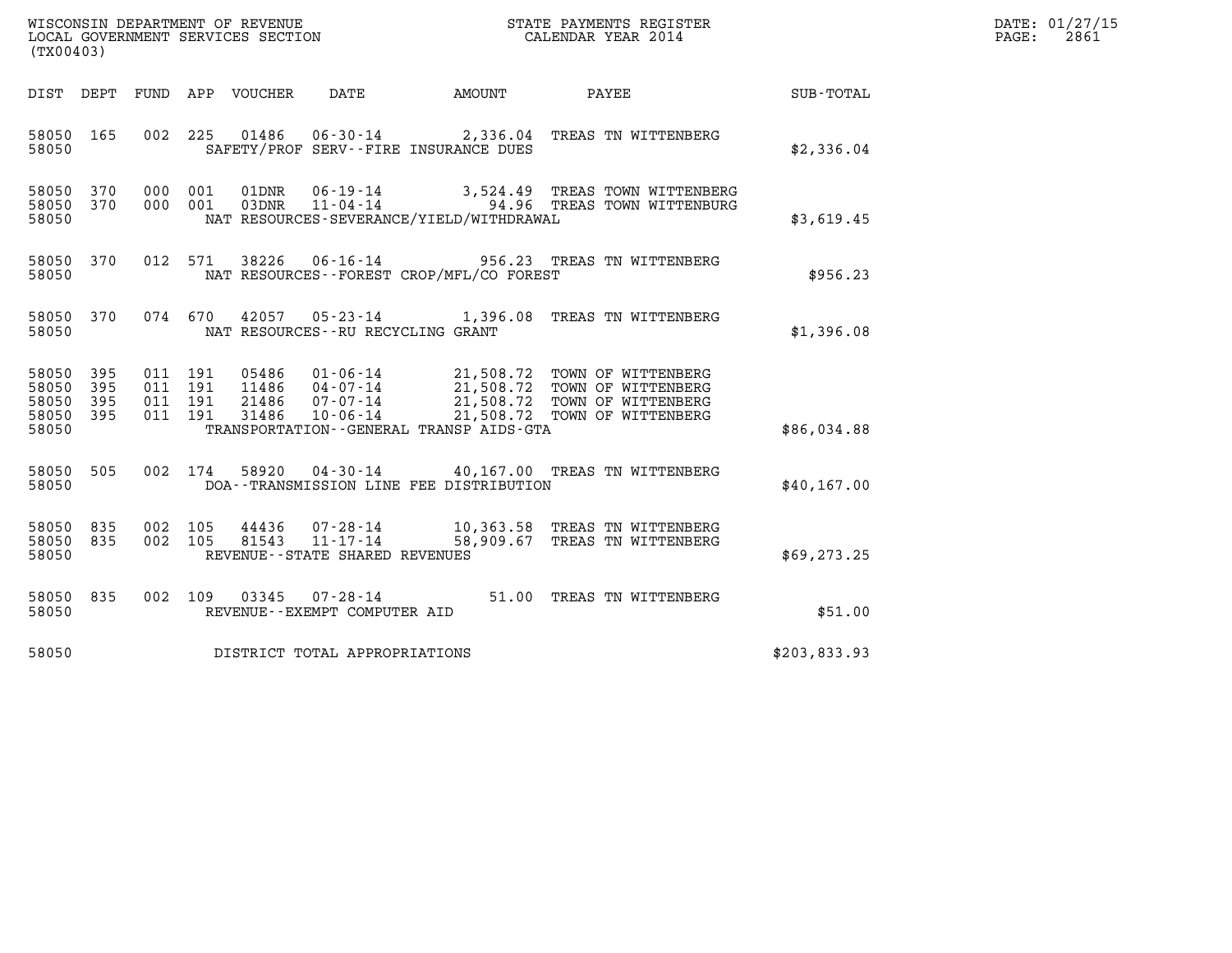| DATE: | 01/27/15 |
|-------|----------|
| PAGE: | 2861     |

| (TX00403)                                     |                   |                                          | WISCONSIN DEPARTMENT OF REVENUE<br>LOCAL GOVERNMENT SERVICES SECTION |                                                     |                                              | STATE PAYMENTS REGISTER<br>CALENDAR YEAR 2014                                                                                                                                      |              | DATE: 01/27/15<br>2861<br>$\mathtt{PAGE:}$ |
|-----------------------------------------------|-------------------|------------------------------------------|----------------------------------------------------------------------|-----------------------------------------------------|----------------------------------------------|------------------------------------------------------------------------------------------------------------------------------------------------------------------------------------|--------------|--------------------------------------------|
| DIST DEPT                                     |                   |                                          | FUND APP VOUCHER                                                     | DATE                                                | AMOUNT                                       | PAYEE                                                                                                                                                                              | SUB-TOTAL    |                                            |
| 58050 165<br>58050                            |                   | 002 225                                  |                                                                      |                                                     | SAFETY/PROF SERV--FIRE INSURANCE DUES        | 01486  06-30-14  2,336.04  TREAS TN WITTENBERG                                                                                                                                     | \$2,336.04   |                                            |
| 58050 370<br>58050 370<br>58050               |                   | 000 001<br>000                           | 001                                                                  |                                                     | NAT RESOURCES-SEVERANCE/YIELD/WITHDRAWAL     |                                                                                                                                                                                    | \$3,619.45   |                                            |
| 58050 370<br>58050                            |                   |                                          | 012 571<br>38226                                                     |                                                     | NAT RESOURCES--FOREST CROP/MFL/CO FOREST     | 06-16-14 956.23 TREAS TN WITTENBERG                                                                                                                                                | \$956.23     |                                            |
| 58050 370<br>58050                            |                   | 074 670                                  | 42057                                                                | NAT RESOURCES -- RU RECYCLING GRANT                 |                                              | 05-23-14 1,396.08 TREAS TN WITTENBERG                                                                                                                                              | \$1,396.08   |                                            |
| 58050<br>58050<br>58050<br>58050 395<br>58050 | 395<br>395<br>395 | 011 191<br>011 191<br>011 191<br>011 191 | 31486                                                                | $10 - 06 - 14$                                      | TRANSPORTATION - - GENERAL TRANSP AIDS - GTA | 05486  01-06-14  21,508.72  TOWN OF WITTENBERG<br>11486  04-07-14  21,508.72  TOWN OF WITTENBERG<br>21486  07-07-14  21,508.72  TOWN OF WITTENBERG<br>21,508.72 TOWN OF WITTENBERG | \$86,034.88  |                                            |
| 58050<br>58050                                | 505               |                                          | 002 174<br>58920                                                     |                                                     | DOA--TRANSMISSION LINE FEE DISTRIBUTION      | 04-30-14 40,167.00 TREAS TN WITTENBERG                                                                                                                                             | \$40,167.00  |                                            |
| 58050<br>58050 835<br>58050                   | 835               | 002 105<br>002 105                       | 44436<br>81543                                                       | $11 - 17 - 14$<br>REVENUE - - STATE SHARED REVENUES |                                              | 07-28-14 10,363.58 TREAS TN WITTENBERG<br>58,909.67 TREAS TN WITTENBERG                                                                                                            | \$69, 273.25 |                                            |
| 58050 835<br>58050                            |                   |                                          | 002 109<br>03345                                                     | 07-28-14<br>REVENUE--EXEMPT COMPUTER AID            |                                              | 51.00 TREAS TN WITTENBERG                                                                                                                                                          | \$51.00      |                                            |
| 58050                                         |                   |                                          | DISTRICT TOTAL APPROPRIATIONS                                        |                                                     |                                              |                                                                                                                                                                                    | \$203,833.93 |                                            |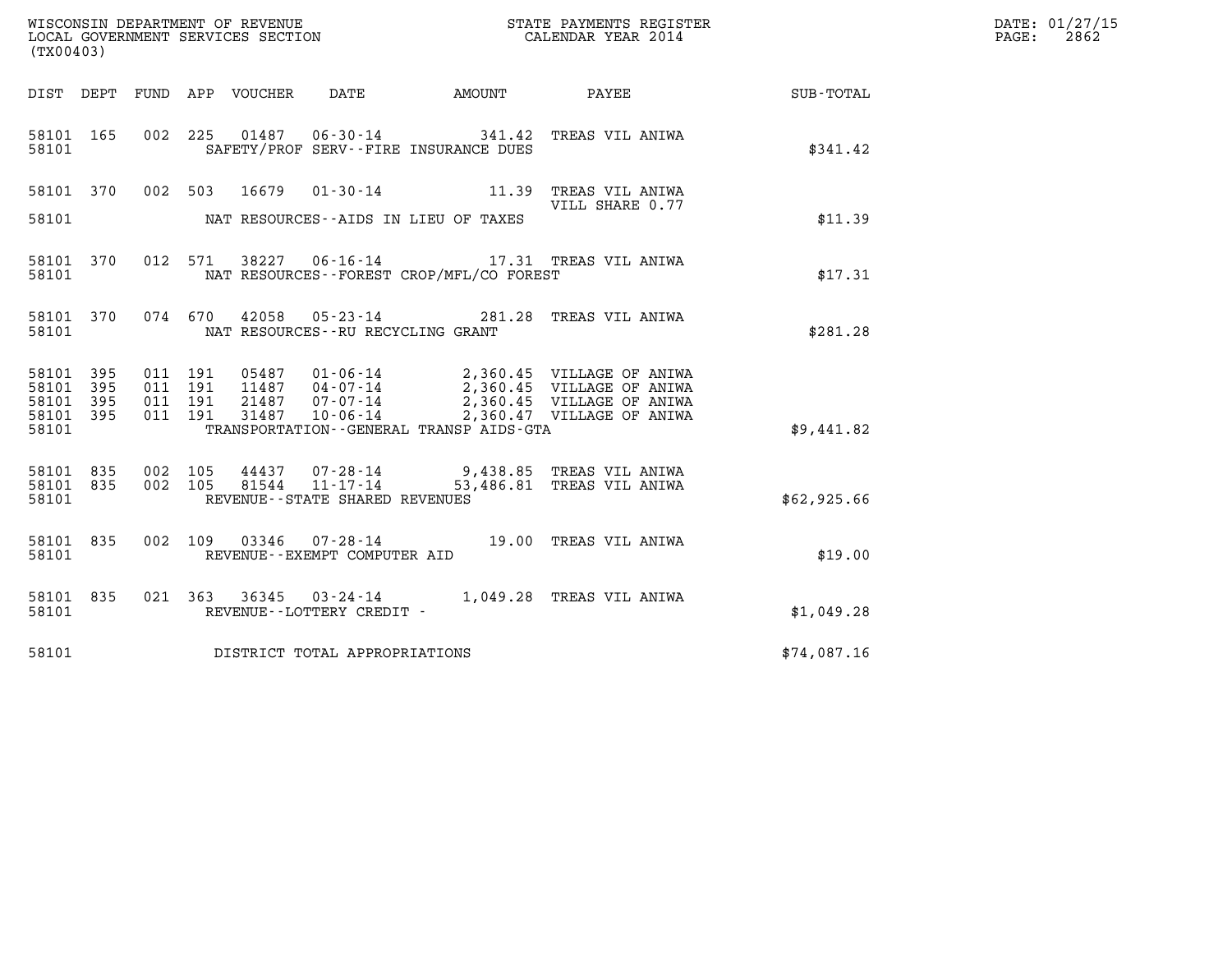| WISCONSIN DEPARTMENT OF REVENUE   | STATE PAYMENTS REGISTER | DATE: 01/27/15 |
|-----------------------------------|-------------------------|----------------|
| LOCAL GOVERNMENT SERVICES SECTION | CALENDAR YEAR 2014      | 2862<br>PAGE:  |

| (TX00403)                                                 | WISCONSIN DEPARTMENT OF REVENUE<br>LOCAL GOVERNMENT SERVICES SECTION TERMS OF CALENDAR YEAR 2014                                                                                                                                                         |                 |             | DATE: 01/27/15<br>$\mathtt{PAGE:}$<br>2862 |
|-----------------------------------------------------------|----------------------------------------------------------------------------------------------------------------------------------------------------------------------------------------------------------------------------------------------------------|-----------------|-------------|--------------------------------------------|
|                                                           |                                                                                                                                                                                                                                                          |                 |             |                                            |
| 58101                                                     | 58101 165 002 225 01487 06-30-14 341.42 TREAS VIL ANIWA<br>SAFETY/PROF SERV--FIRE INSURANCE DUES                                                                                                                                                         |                 | \$341.42    |                                            |
|                                                           | 58101 370 002 503 16679 01-30-14 11.39 TREAS VIL ANIWA<br>58101 NAT RESOURCES--AIDS IN LIEU OF TAXES                                                                                                                                                     | VILL SHARE 0.77 | \$11.39     |                                            |
| 58101                                                     | 58101 370 012 571 38227 06-16-14 17.31 TREAS VIL ANIWA<br>\$17.31 TREAS VIL ANIWA                                                                                                                                                                        |                 |             |                                            |
|                                                           | 58101 370 074 670 42058 05-23-14 281.28 TREAS VIL ANIWA<br>58101 NAT RESOURCES--RU RECYCLING GRANT                                                                                                                                                       |                 | \$281.28    |                                            |
| 58101 395<br>58101 395<br>58101 395<br>58101 395<br>58101 | 011 191 05487 01-06-14 2,360.45 VILLAGE OF ANIWA<br>011 191 11487 04-07-14 2,360.45 VILLAGE OF ANIWA<br>011 191 21487 07-07-14 2,360.45 VILLAGE OF ANIWA<br>011 191 31487 10-06-14 2,360.47 VILLAGE OF ANIWA<br>TRANSPORTATION - GENERAL TRANSP AIDS-GTA |                 | \$9,441.82  |                                            |
| 58101 835<br>58101 835                                    | 002 105 44437 07-28-14 9,438.85 TREAS VIL ANIWA<br>002 105 81544 11-17-14 53,486.81 TREAS VIL ANIWA<br>58101 REVENUE - - STATE SHARED REVENUES                                                                                                           |                 | \$62,925.66 |                                            |
|                                                           | 58101 835 002 109 03346 07-28-14 19.00 TREAS VIL ANIWA<br>58101 REVENUE--EXEMPT COMPUTER AID                                                                                                                                                             |                 | \$19.00     |                                            |
| 58101                                                     | 58101 835 021 363 36345 03-24-14 1,049.28 TREAS VIL ANIWA<br>REVENUE--LOTTERY CREDIT -                                                                                                                                                                   |                 | \$1,049.28  |                                            |
|                                                           | 58101 DISTRICT TOTAL APPROPRIATIONS                                                                                                                                                                                                                      |                 | \$74,087.16 |                                            |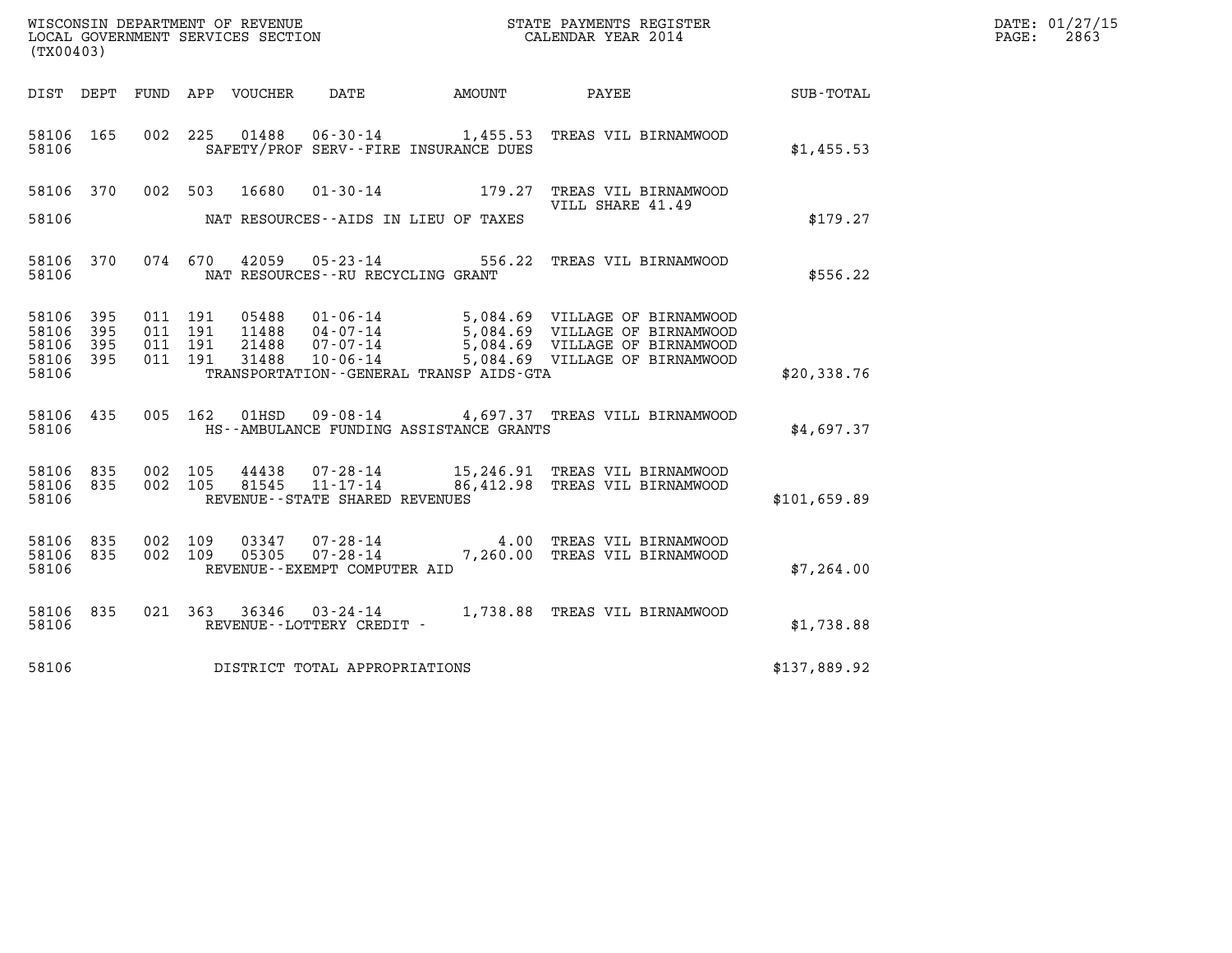| WISCONSIN DEPARTMENT OF REVENUE<br>LOCAL GOVERNMENT SERVICES SECTION | STATE PAYMENTS REGISTER<br>CALENDAR YEAR 2014 | DATE: 01/27/15<br>2863<br>PAGE: |
|----------------------------------------------------------------------|-----------------------------------------------|---------------------------------|

| (TX00403)                        |                          |                          |                          |                                  |                                                                       |                                                                  |                                                                                                                                      |              |  |
|----------------------------------|--------------------------|--------------------------|--------------------------|----------------------------------|-----------------------------------------------------------------------|------------------------------------------------------------------|--------------------------------------------------------------------------------------------------------------------------------------|--------------|--|
| DIST                             | DEPT                     | FUND                     | APP                      | VOUCHER                          | DATE                                                                  | AMOUNT                                                           | PAYEE                                                                                                                                | SUB-TOTAL    |  |
| 58106<br>58106                   | 165                      | 002                      | 225                      | 01488                            |                                                                       | $06 - 30 - 14$ 1,455.53<br>SAFETY/PROF SERV--FIRE INSURANCE DUES | TREAS VIL BIRNAMWOOD                                                                                                                 | \$1,455.53   |  |
| 58106                            | 370                      | 002                      | 503                      | 16680                            | $01 - 30 - 14$                                                        | 179.27                                                           | TREAS VIL BIRNAMWOOD<br>VILL SHARE 41.49                                                                                             |              |  |
| 58106                            |                          |                          |                          |                                  |                                                                       | NAT RESOURCES -- AIDS IN LIEU OF TAXES                           |                                                                                                                                      | \$179.27     |  |
| 58106<br>58106                   | 370                      | 074                      | 670                      | 42059                            | $05 - 23 - 14$<br>NAT RESOURCES - - RU RECYCLING GRANT                | 556.22                                                           | TREAS VIL BIRNAMWOOD                                                                                                                 | \$556.22     |  |
| 58106<br>58106<br>58106<br>58106 | 395<br>395<br>395<br>395 | 011<br>011<br>011<br>011 | 191<br>191<br>191<br>191 | 05488<br>11488<br>21488<br>31488 | $01 - 06 - 14$<br>04-07-14<br>$07 - 07 - 14$<br>$10 - 06 - 14$        |                                                                  | 5,084.69 VILLAGE OF BIRNAMWOOD<br>5,084.69 VILLAGE OF BIRNAMWOOD<br>5,084.69 VILLAGE OF BIRNAMWOOD<br>5,084.69 VILLAGE OF BIRNAMWOOD |              |  |
| 58106                            |                          |                          |                          |                                  |                                                                       | TRANSPORTATION--GENERAL TRANSP AIDS-GTA                          |                                                                                                                                      | \$20,338.76  |  |
| 58106<br>58106                   | 435                      | 005                      | 162                      | 01HSD                            | 09-08-14                                                              | HS--AMBULANCE FUNDING ASSISTANCE GRANTS                          | 4,697.37 TREAS VILL BIRNAMWOOD                                                                                                       | \$4,697.37   |  |
| 58106<br>58106<br>58106          | 835<br>835               | 002<br>002               | 105<br>105               | 44438<br>81545                   | $07 - 28 - 14$<br>$11 - 17 - 14$<br>REVENUE - - STATE SHARED REVENUES |                                                                  | 15,246.91 TREAS VIL BIRNAMWOOD<br>86,412.98 TREAS VIL BIRNAMWOOD                                                                     | \$101,659.89 |  |
| 58106<br>58106<br>58106          | 835<br>835               | 002<br>002               | 109<br>109               | 03347<br>05305                   | 07-28-14<br>$07 - 28 - 14$<br>REVENUE--EXEMPT COMPUTER AID            | 7,260.00                                                         | 4.00 TREAS VIL BIRNAMWOOD<br>TREAS VIL BIRNAMWOOD                                                                                    | \$7,264.00   |  |
| 58106<br>58106                   | 835                      | 021                      | 363                      | 36346                            | $03 - 24 - 14$<br>REVENUE - - LOTTERY CREDIT -                        | 1,738.88                                                         | TREAS VIL BIRNAMWOOD                                                                                                                 | \$1,738.88   |  |
| 58106                            |                          |                          |                          |                                  | DISTRICT TOTAL APPROPRIATIONS                                         |                                                                  |                                                                                                                                      | \$137,889.92 |  |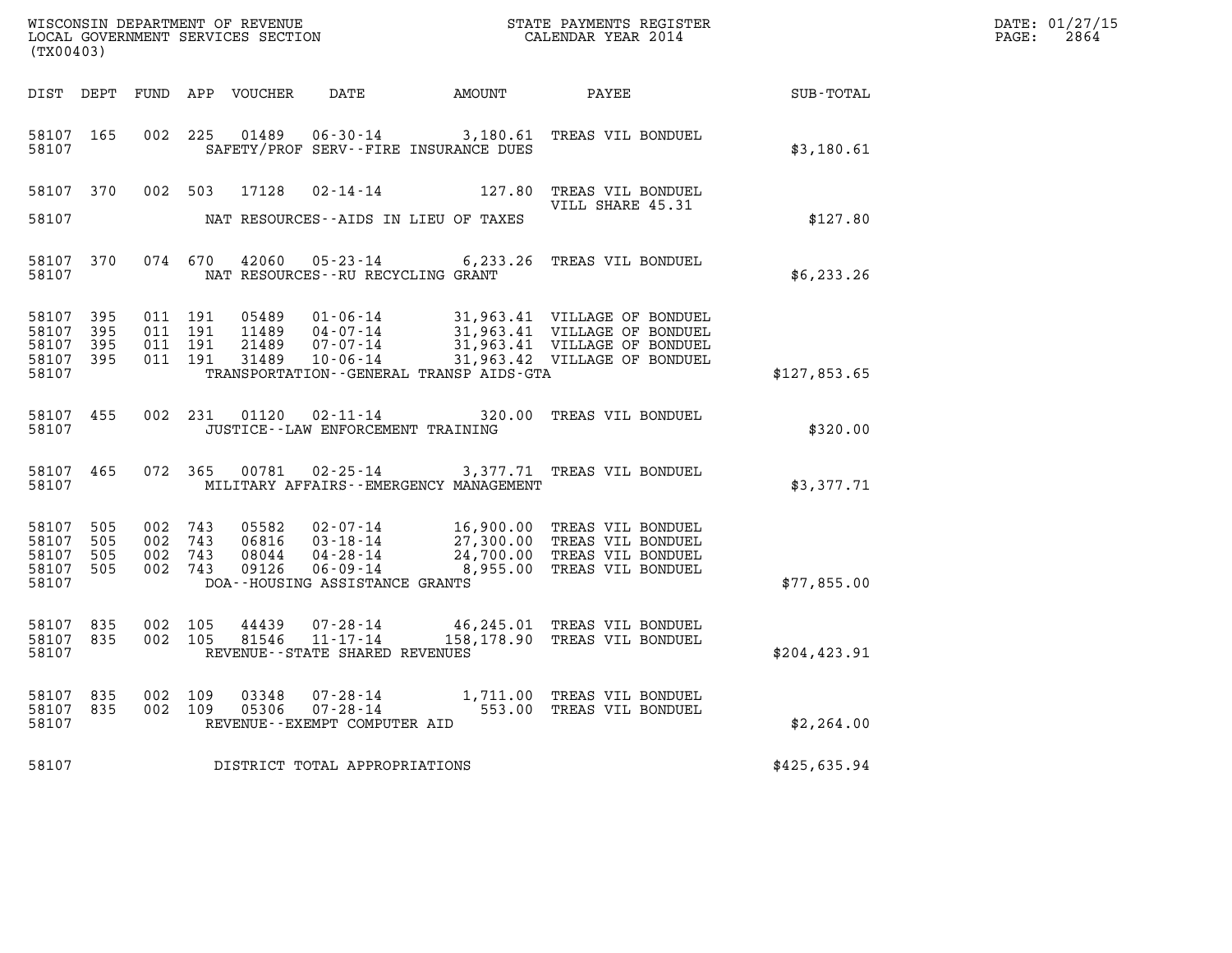| (TX00403)                                             |              |                                          |         |                                  |                                                                    | $\tt WISCONSIM DEPARTMENT OF REVENUE$ $\tt WISCONSIMENT$ SERVICES SECTION $\tt WISCONERNMENT$ SERVICES SECTION $\tt CALENDAR$ YEAR 2014                          |               | DATE: 01/27/15<br>$\mathtt{PAGE:}$<br>2864 |
|-------------------------------------------------------|--------------|------------------------------------------|---------|----------------------------------|--------------------------------------------------------------------|------------------------------------------------------------------------------------------------------------------------------------------------------------------|---------------|--------------------------------------------|
|                                                       |              |                                          |         | DIST DEPT FUND APP VOUCHER       |                                                                    | DATE AMOUNT PAYEE SUB-TOTAL                                                                                                                                      |               |                                            |
| 58107 165<br>58107                                    |              | 002 225                                  |         | 01489                            | SAFETY/PROF SERV--FIRE INSURANCE DUES                              | 06-30-14 3,180.61 TREAS VIL BONDUEL                                                                                                                              | \$3,180.61    |                                            |
| 58107 370                                             |              |                                          |         | 002 503 17128                    |                                                                    | 02-14-14 127.80 TREAS VIL BONDUEL<br>VILL SHARE 45.31                                                                                                            |               |                                            |
| 58107                                                 |              |                                          |         |                                  | NAT RESOURCES--AIDS IN LIEU OF TAXES                               |                                                                                                                                                                  | \$127.80      |                                            |
| 58107 370<br>58107                                    |              |                                          | 074 670 |                                  | NAT RESOURCES - - RU RECYCLING GRANT                               | 42060  05-23-14  6,233.26  TREAS VIL BONDUEL                                                                                                                     | \$6,233.26    |                                            |
| 58107 395<br>58107<br>58107<br>58107 395<br>58107     | - 395<br>395 | 011 191<br>011 191<br>011 191<br>011 191 |         | 05489<br>11489<br>21489<br>31489 | TRANSPORTATION--GENERAL TRANSP AIDS-GTA                            | 01-06-14 31,963.41 VILLAGE OF BONDUEL<br>04-07-14 31,963.41 VILLAGE OF BONDUEL<br>07-07-14 31,963.41 VILLAGE OF BONDUEL<br>10-06-14 31,963.42 VILLAGE OF BONDUEL | \$127,853.65  |                                            |
| 58107 455<br>58107                                    |              |                                          | 002 231 | 01120                            | JUSTICE - - LAW ENFORCEMENT TRAINING                               | 02-11-14 320.00 TREAS VIL BONDUEL                                                                                                                                | \$320.00      |                                            |
| 58107 465<br>58107                                    |              |                                          |         |                                  | MILITARY AFFAIRS - - EMERGENCY MANAGEMENT                          | 072 365 00781 02-25-14 3,377.71 TREAS VIL BONDUEL                                                                                                                | \$3,377.71    |                                            |
| 58107 505<br>58107<br>58107 505<br>58107 505<br>58107 | 505          | 002 743<br>002<br>002 743<br>002 743     | 743     | 05582<br>06816<br>09126          | 08044 04-28-14<br>$06 - 09 - 14$<br>DOA--HOUSING ASSISTANCE GRANTS | 02-07-14 16,900.00 TREAS VIL BONDUEL<br>03-18-14 27,300.00 TREAS VIL BONDUEL<br>24,700.00 TREAS VIL BONDUEL<br>8,955.00 TREAS VIL BONDUEL                        | \$77,855.00   |                                            |
| 58107 835<br>58107 835<br>58107                       |              | 002 105<br>002 105                       |         | 44439<br>81546                   | 07-28-14<br>$11 - 17 - 14$<br>REVENUE - - STATE SHARED REVENUES    | 46,245.01 TREAS VIL BONDUEL<br>158,178.90 TREAS VIL BONDUEL                                                                                                      | \$204, 423.91 |                                            |
| 58107 835<br>58107 835<br>58107                       |              | 002 109<br>002 109                       |         | 03348<br>05306                   | REVENUE--EXEMPT COMPUTER AID                                       | 07-28-14 1,711.00 TREAS VIL BONDUEL<br>07-28-14 553.00 TREAS VIL BONDUEL                                                                                         | \$2,264.00    |                                            |
| 58107                                                 |              |                                          |         |                                  | DISTRICT TOTAL APPROPRIATIONS                                      | \$425,635.94                                                                                                                                                     |               |                                            |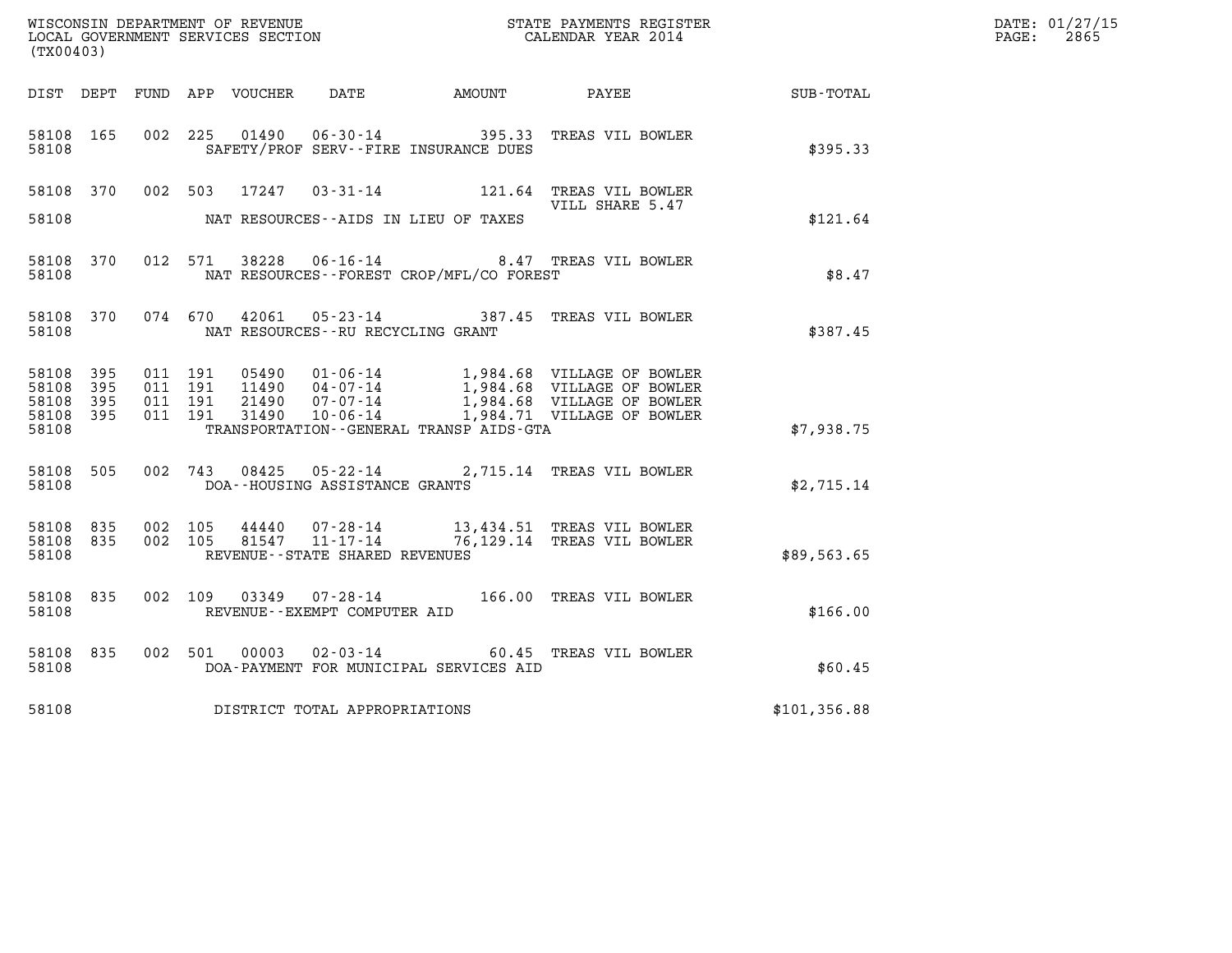| DATE: | 01/27/15 |
|-------|----------|
| PAGE: | 2865     |

|                                     | WISCONSIN DEPARTMENT OF REVENUE<br>LOCAL GOVERNMENT SERVICES SECTION<br>CALENDAR YEAR 2014<br>(TX00403) |  |  |  |                                     |                                          |                                                                                                                                                                                                                                                                                                                                                     |              | DATE: 01/27/15<br>$\mathtt{PAGE:}$<br>2865 |
|-------------------------------------|---------------------------------------------------------------------------------------------------------|--|--|--|-------------------------------------|------------------------------------------|-----------------------------------------------------------------------------------------------------------------------------------------------------------------------------------------------------------------------------------------------------------------------------------------------------------------------------------------------------|--------------|--------------------------------------------|
|                                     |                                                                                                         |  |  |  |                                     |                                          | DIST DEPT FUND APP VOUCHER DATE AMOUNT PAYEE SUB-TOTAL                                                                                                                                                                                                                                                                                              |              |                                            |
| 58108 165<br>58108                  |                                                                                                         |  |  |  |                                     | SAFETY/PROF SERV--FIRE INSURANCE DUES    | 002 225 01490 06-30-14 395.33 TREAS VIL BOWLER                                                                                                                                                                                                                                                                                                      | \$395.33     |                                            |
| 58108 370                           |                                                                                                         |  |  |  |                                     |                                          | 002 503 17247 03-31-14 121.64 TREAS VIL BOWLER<br>VILL SHARE 5.47                                                                                                                                                                                                                                                                                   |              |                                            |
| 58108                               |                                                                                                         |  |  |  |                                     | NAT RESOURCES--AIDS IN LIEU OF TAXES     |                                                                                                                                                                                                                                                                                                                                                     | \$121.64     |                                            |
| 58108 370<br>58108                  |                                                                                                         |  |  |  |                                     | NAT RESOURCES--FOREST CROP/MFL/CO FOREST | 012 571 38228 06-16-14 8.47 TREAS VIL BOWLER                                                                                                                                                                                                                                                                                                        | \$8.47       |                                            |
| 58108                               |                                                                                                         |  |  |  |                                     | NAT RESOURCES--RU RECYCLING GRANT        | 58108 370 074 670 42061 05-23-14 387.45 TREAS VIL BOWLER                                                                                                                                                                                                                                                                                            | \$387.45     |                                            |
| 58108 395<br>58108 395<br>58108 395 |                                                                                                         |  |  |  |                                     |                                          | $\begin{array}{cccc} 011 & 191 & 05490 & 01\cdot 06\cdot 14 & 1,984\cdot 68 & \text{VILLAGE OF BOWLER} \\ 011 & 191 & 11490 & 04\cdot 07\cdot 14 & 1,984\cdot 68 & \text{VILLAGE OF BOWLER} \\ 011 & 191 & 21490 & 07\cdot 07\cdot 14 & 1,984\cdot 68 & \text{VILLAGE OF BOWLER} \\ 011 & 191 & 31490 & 10\cdot 06\cdot 14 & 1,984\cdot 71 & \text$ |              |                                            |
| 58108 395<br>58108                  |                                                                                                         |  |  |  |                                     | TRANSPORTATION--GENERAL TRANSP AIDS-GTA  |                                                                                                                                                                                                                                                                                                                                                     | \$7,938.75   |                                            |
| 58108 505<br>58108                  |                                                                                                         |  |  |  | DOA--HOUSING ASSISTANCE GRANTS      |                                          | 002 743 08425 05-22-14 2,715.14 TREAS VIL BOWLER                                                                                                                                                                                                                                                                                                    | \$2,715.14   |                                            |
| 58108 835<br>58108 835<br>58108     |                                                                                                         |  |  |  | REVENUE--STATE SHARED REVENUES      |                                          | 002 105 44440 07-28-14 13,434.51 TREAS VIL BOWLER<br>002 105 81547 11-17-14 76,129.14 TREAS VIL BOWLER                                                                                                                                                                                                                                              | \$89,563.65  |                                            |
| 58108 835<br>58108                  |                                                                                                         |  |  |  | REVENUE--EXEMPT COMPUTER AID        |                                          | 002 109 03349 07-28-14 166.00 TREAS VIL BOWLER                                                                                                                                                                                                                                                                                                      | \$166.00     |                                            |
| 58108<br>58108                      | 835                                                                                                     |  |  |  | 002 501 00003 02-03-14              | DOA-PAYMENT FOR MUNICIPAL SERVICES AID   | 60.45 TREAS VIL BOWLER                                                                                                                                                                                                                                                                                                                              | \$60.45      |                                            |
|                                     |                                                                                                         |  |  |  | 58108 DISTRICT TOTAL APPROPRIATIONS |                                          |                                                                                                                                                                                                                                                                                                                                                     | \$101,356.88 |                                            |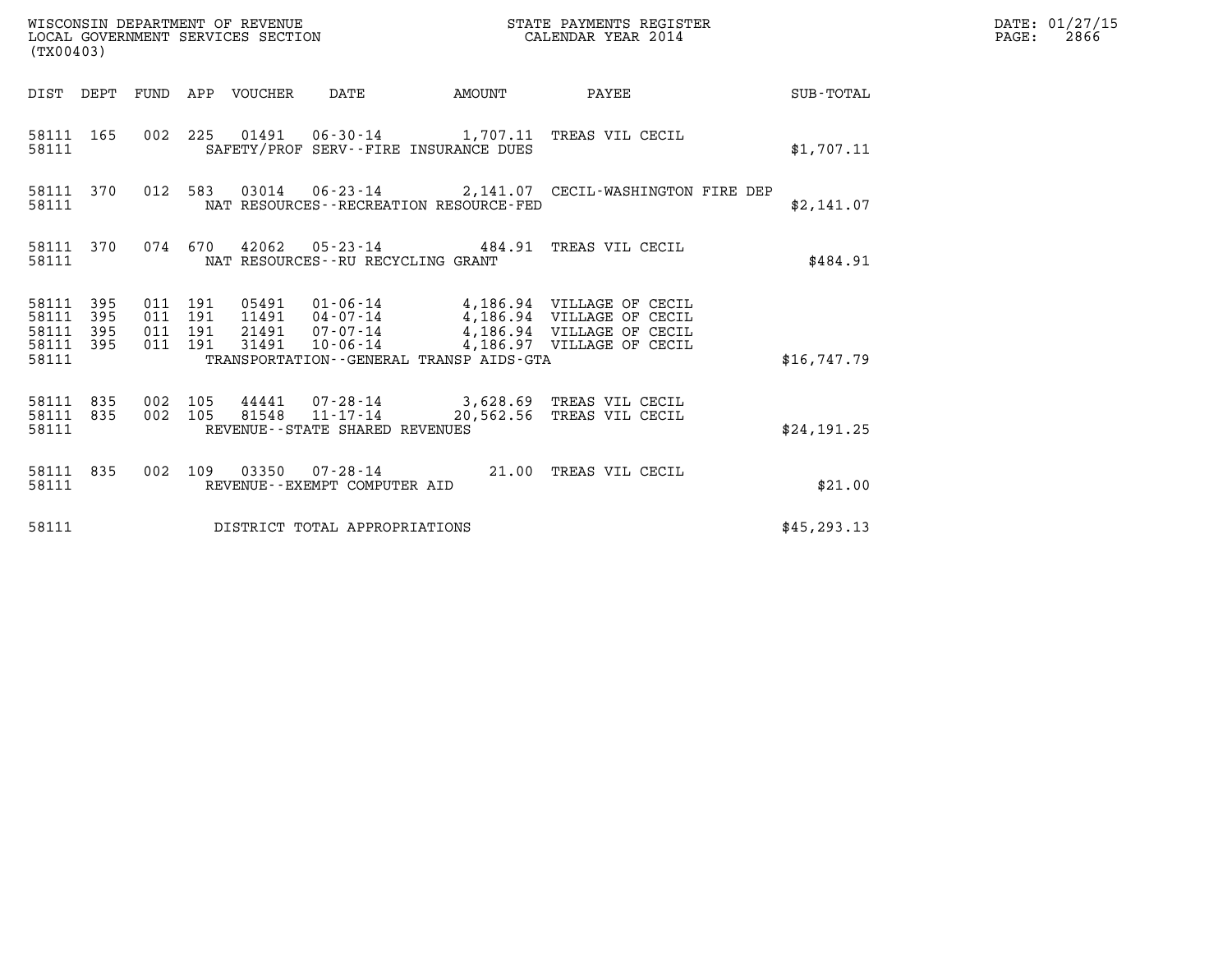| WISCONSIN DEPARTMENT OF REVENUE<br>LOCAL GOVERNMENT SERVICES SECTION<br>(TX00403) |            |                                          |  |                                 |                                                   | STATE PAYMENTS REGISTER<br>CALENDAR YEAR 2014 |                                                                                                                                                                              |                 | DATE: 01/27/15<br>$\mathtt{PAGE:}$<br>2866 |
|-----------------------------------------------------------------------------------|------------|------------------------------------------|--|---------------------------------|---------------------------------------------------|-----------------------------------------------|------------------------------------------------------------------------------------------------------------------------------------------------------------------------------|-----------------|--------------------------------------------|
|                                                                                   |            |                                          |  | DIST DEPT FUND APP VOUCHER DATE |                                                   | AMOUNT                                        |                                                                                                                                                                              | PAYEE SUB-TOTAL |                                            |
| 58111                                                                             | 58111 165  |                                          |  |                                 |                                                   | SAFETY/PROF SERV--FIRE INSURANCE DUES         | 002 225 01491 06-30-14 1,707.11 TREAS VIL CECIL                                                                                                                              | \$1,707.11      |                                            |
| 58111                                                                             | 58111 370  |                                          |  |                                 |                                                   | NAT RESOURCES - - RECREATION RESOURCE - FED   | 012 583 03014 06-23-14 2,141.07 CECIL-WASHINGTON FIRE DEP                                                                                                                    | \$2,141.07      |                                            |
| 58111                                                                             | 58111 370  |                                          |  |                                 | NAT RESOURCES - - RU RECYCLING GRANT              |                                               | 074 670 42062 05-23-14 484.91 TREAS VIL CECIL                                                                                                                                | \$484.91        |                                            |
| 58111 395<br>58111<br>58111<br>58111 395<br>58111                                 | 395<br>395 | 011 191<br>011 191<br>011 191<br>011 191 |  | 31491                           |                                                   | TRANSPORTATION--GENERAL TRANSP AIDS-GTA       | 05491  01-06-14  4,186.94  VILLAGE OF CECIL<br>11491  04-07-14  4,186.94  VILLAGE OF CECIL<br>21491 07-07-14 4,186.94 VILLAGE OF CECIL<br>10-06-14 4,186.97 VILLAGE OF CECIL | \$16,747.79     |                                            |
| 58111 835<br>58111 835<br>58111                                                   |            | 002 105<br>002 105                       |  |                                 | 81548  11-17-14<br>REVENUE--STATE SHARED REVENUES |                                               | 44441 07-28-14 3,628.69 TREAS VIL CECIL<br>20,562.56 TREAS VIL CECIL                                                                                                         | \$24,191.25     |                                            |
| 58111                                                                             | 58111 835  |                                          |  |                                 | REVENUE--EXEMPT COMPUTER AID                      |                                               | 002 109 03350 07-28-14 21.00 TREAS VIL CECIL                                                                                                                                 | \$21.00         |                                            |
| 58111                                                                             |            |                                          |  |                                 | DISTRICT TOTAL APPROPRIATIONS                     |                                               |                                                                                                                                                                              | \$45, 293.13    |                                            |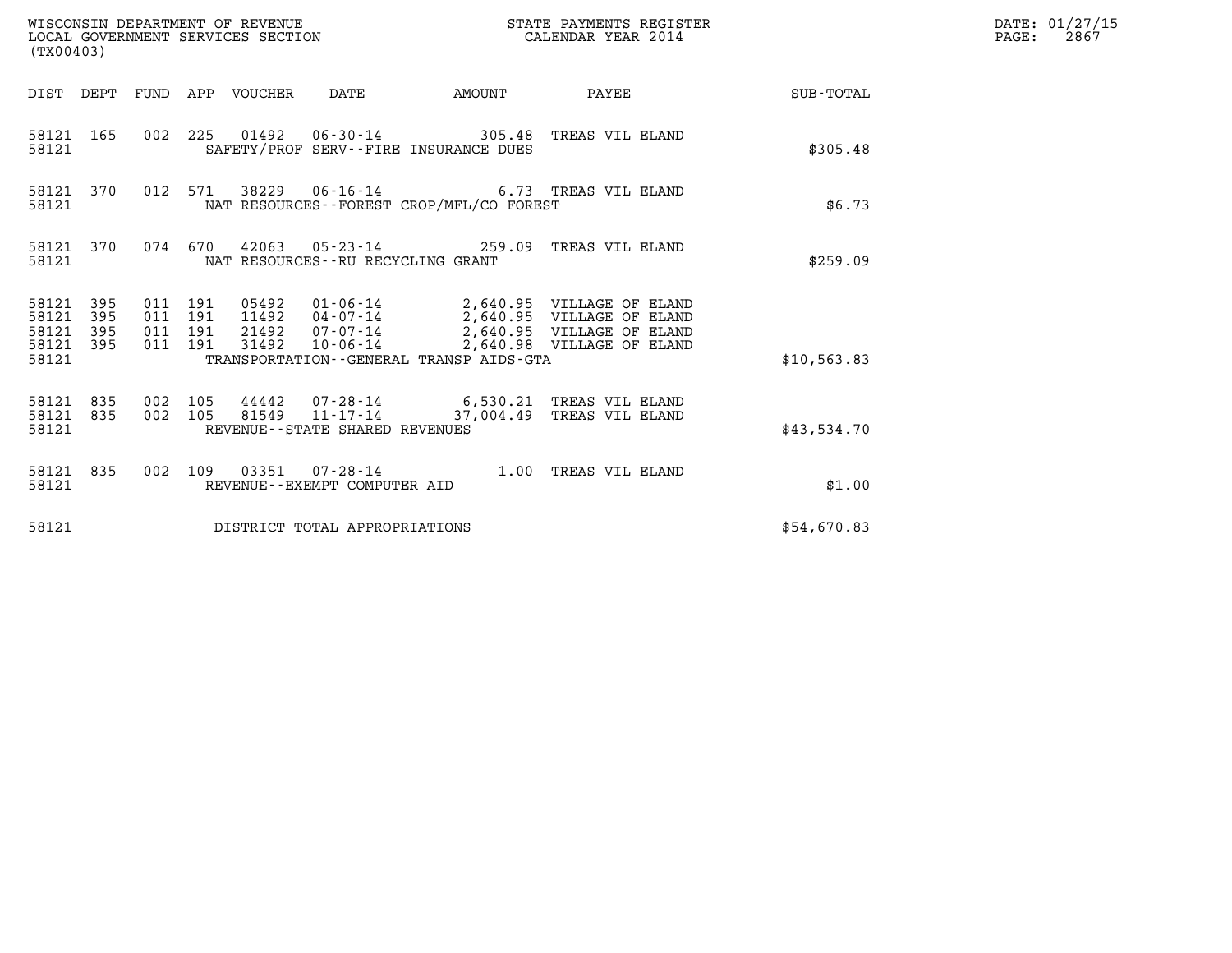| (TX00403)                                         |            |                                          |  |       |                                   |                                          |                                                                                                     |                                                    | DATE: 01/27/15<br>$\mathtt{PAGE:}$<br>2867 |
|---------------------------------------------------|------------|------------------------------------------|--|-------|-----------------------------------|------------------------------------------|-----------------------------------------------------------------------------------------------------|----------------------------------------------------|--------------------------------------------|
|                                                   |            |                                          |  |       |                                   |                                          |                                                                                                     | DIST DEPT FUND APP VOUCHER DATE AMOUNT PAYEE TOTAL |                                            |
| 58121 165<br>58121                                |            |                                          |  |       |                                   | SAFETY/PROF SERV--FIRE INSURANCE DUES    | 002 225 01492 06-30-14 305.48 TREAS VIL ELAND                                                       | \$305.48                                           |                                            |
| 58121                                             | 58121 370  |                                          |  |       |                                   | NAT RESOURCES--FOREST CROP/MFL/CO FOREST | 012 571 38229 06-16-14 6.73 TREAS VIL ELAND                                                         | \$6.73                                             |                                            |
| 58121                                             |            |                                          |  |       | NAT RESOURCES--RU RECYCLING GRANT |                                          | 58121 370 074 670 42063 05-23-14 259.09 TREAS VIL ELAND                                             | \$259.09                                           |                                            |
| 58121 395<br>58121<br>58121<br>58121 395<br>58121 | 395<br>395 | 011 191<br>011 191<br>011 191<br>011 191 |  | 31492 |                                   | TRANSPORTATION--GENERAL TRANSP AIDS-GTA  | 10-06-14 2,640.98 VILLAGE OF ELAND                                                                  | \$10,563.83                                        |                                            |
| 58121 835<br>58121                                | 58121 835  | 002 105                                  |  |       | REVENUE--STATE SHARED REVENUES    |                                          | 002 105 44442 07-28-14 6,530.21 TREAS VIL ELAND<br>002 105 81549 11-17-14 37,004.49 TREAS VIL ELAND | \$43,534.70                                        |                                            |
| 58121                                             | 58121 835  |                                          |  |       | REVENUE--EXEMPT COMPUTER AID      |                                          | 002 109 03351 07-28-14 1.00 TREAS VIL ELAND                                                         | \$1.00                                             |                                            |
| 58121                                             |            |                                          |  |       | DISTRICT TOTAL APPROPRIATIONS     |                                          |                                                                                                     | \$54,670.83                                        |                                            |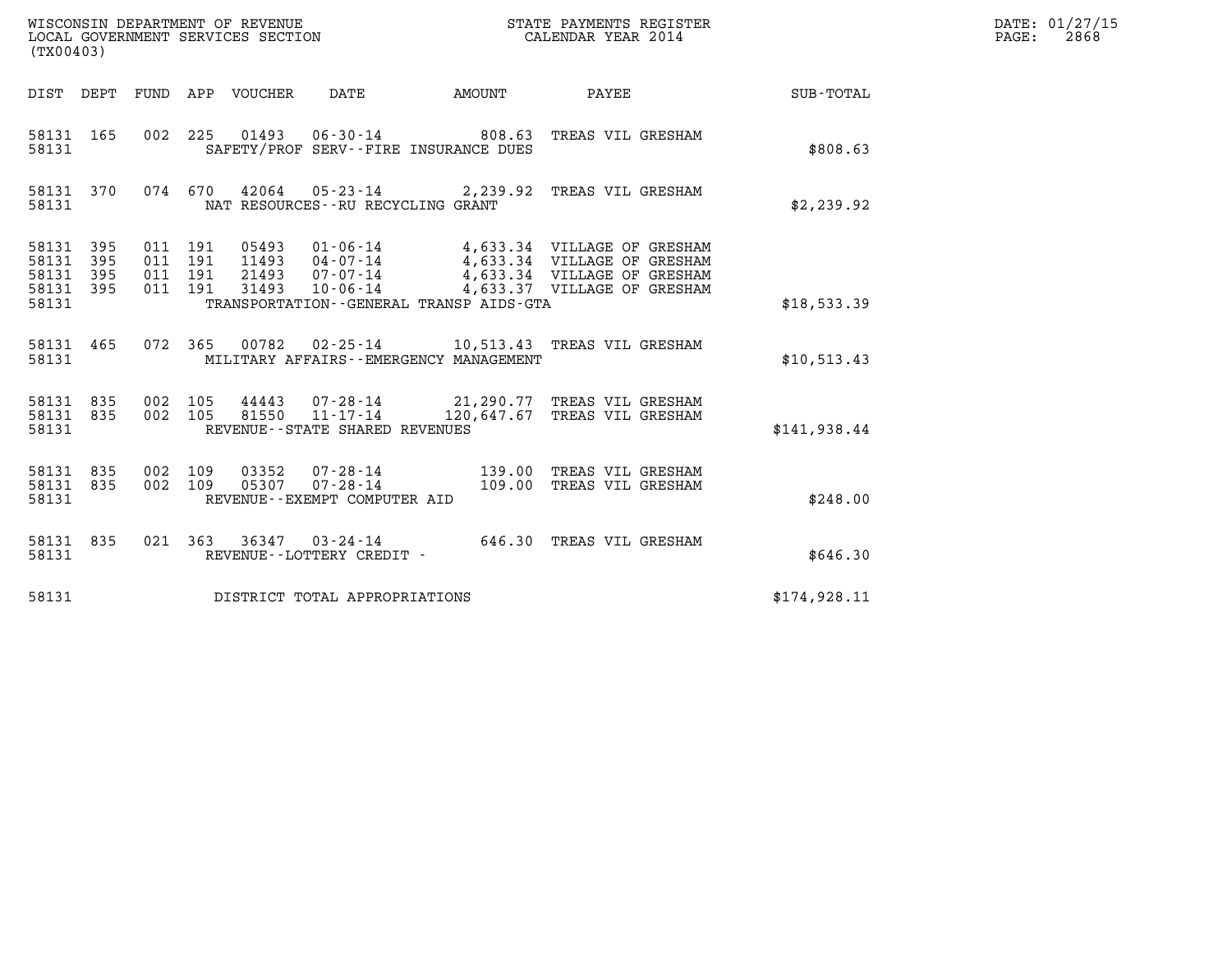| (TX00403)                                         |                               |                                          |         |                                  |                                                                                   |              |                                                                                                                                                                        |                  | DATE: 01/27/15<br>2868<br>$\mathtt{PAGE:}$ |
|---------------------------------------------------|-------------------------------|------------------------------------------|---------|----------------------------------|-----------------------------------------------------------------------------------|--------------|------------------------------------------------------------------------------------------------------------------------------------------------------------------------|------------------|--------------------------------------------|
|                                                   |                               |                                          |         | DIST DEPT FUND APP VOUCHER DATE  |                                                                                   | AMOUNT PAYEE |                                                                                                                                                                        | <b>SUB-TOTAL</b> |                                            |
| 58131 165<br>58131                                |                               |                                          |         |                                  | 002 225 01493 06-30-14 808.63<br>SAFETY/PROF SERV--FIRE INSURANCE DUES            |              | TREAS VIL GRESHAM                                                                                                                                                      | \$808.63         |                                            |
| 58131 370<br>58131                                |                               |                                          | 074 670 |                                  | NAT RESOURCES - - RU RECYCLING GRANT                                              |              | 42064  05-23-14  2,239.92  TREAS VIL GRESHAM                                                                                                                           | \$2,239.92       |                                            |
| 58131 395<br>58131<br>58131<br>58131 395<br>58131 | 395<br>395                    | 011 191<br>011 191<br>011 191<br>011 191 |         | 05493<br>11493<br>21493<br>31493 | TRANSPORTATION--GENERAL TRANSP AIDS-GTA                                           |              | 01-06-14 4,633.34 VILLAGE OF GRESHAM<br>04-07-14 4,633.34 VILLAGE OF GRESHAM<br>07-07-14      4,633.34 VILLAGE OF GRESHAM<br>10-06-14      4,633.37 VILLAGE OF GRESHAM | \$18,533.39      |                                            |
| 58131 465<br>58131                                |                               |                                          | 072 365 |                                  | MILITARY AFFAIRS - - EMERGENCY MANAGEMENT                                         |              | 00782  02-25-14    10,513.43    TREAS VIL GRESHAM                                                                                                                      | \$10,513.43      |                                            |
| 58131 835<br>58131 835<br>58131                   |                               | 002 105<br>002 105                       |         | 44443<br>81550                   | $11 - 17 - 14$<br>REVENUE - - STATE SHARED REVENUES                               |              | 07-28-14 21,290.77 TREAS VIL GRESHAM<br>120,647.67 TREAS VIL GRESHAM                                                                                                   | \$141,938.44     |                                            |
| 58131 835<br>58131 835<br>58131                   |                               | 002 109<br>002 109                       |         |                                  | 03352        07-28-14<br>05307        07-28-14<br>REVENUE - - EXEMPT COMPUTER AID |              | 139.00 TREAS VIL GRESHAM<br>109.00 TREAS VIL GRESHAM                                                                                                                   | \$248.00         |                                            |
| 58131 835<br>58131                                |                               |                                          |         |                                  | REVENUE--LOTTERY CREDIT -                                                         |              | 021 363 36347 03-24-14 646.30 TREAS VIL GRESHAM                                                                                                                        | \$646.30         |                                            |
| 58131                                             | DISTRICT TOTAL APPROPRIATIONS |                                          |         |                                  |                                                                                   |              |                                                                                                                                                                        |                  |                                            |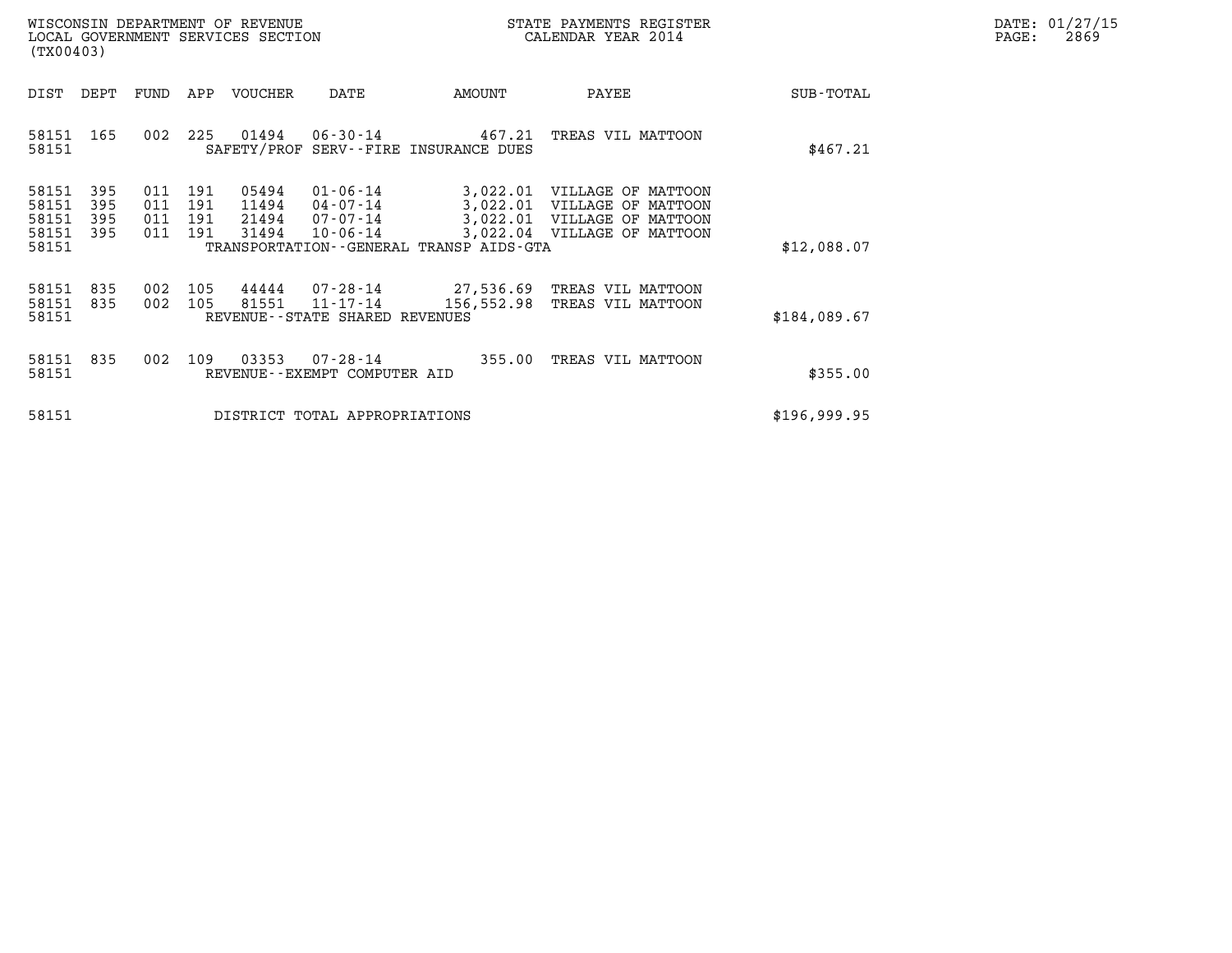| DATE:             | 01/27/15 |
|-------------------|----------|
| $\mathtt{PAGE}$ : | 2869     |

| WISCONSIN DEPARTMENT OF REVENUE<br>LOCAL GOVERNMENT SERVICES SECTION<br>(TX00403) |                |                          |                          |                          |                                  |                                                          |                                                                    | STATE PAYMENTS REGISTER<br>CALENDAR YEAR 2014                                                                            |              | DATE: 01/27/15<br>$\mathtt{PAGE}$ :<br>2869 |
|-----------------------------------------------------------------------------------|----------------|--------------------------|--------------------------|--------------------------|----------------------------------|----------------------------------------------------------|--------------------------------------------------------------------|--------------------------------------------------------------------------------------------------------------------------|--------------|---------------------------------------------|
| DIST                                                                              |                | DEPT                     | FUND                     |                          | APP VOUCHER                      | DATE                                                     | AMOUNT                                                             | PAYEE                                                                                                                    | SUB-TOTAL    |                                             |
| 58151                                                                             |                | 58151 165                | 002                      |                          |                                  |                                                          | 225 01494 06-30-14 467.21<br>SAFETY/PROF SERV--FIRE INSURANCE DUES | TREAS VIL MATTOON                                                                                                        | \$467.21     |                                             |
| 58151<br>58151<br>58151<br>58151<br>58151                                         |                | 395<br>395<br>395<br>395 | 011<br>011<br>011<br>011 | 191<br>191<br>191<br>191 | 05494<br>11494<br>21494<br>31494 | $01 - 06 - 14$<br>04-07-14<br>07-07-14<br>$10 - 06 - 14$ | TRANSPORTATION--GENERAL TRANSP AIDS-GTA                            | 3,022.01 VILLAGE OF MATTOON<br>3,022.01 VILLAGE OF MATTOON<br>3,022.01 VILLAGE OF MATTOON<br>3,022.04 VILLAGE OF MATTOON | \$12,088.07  |                                             |
| 58151                                                                             | 58151<br>58151 | 835<br>835               | 002<br>002               | 105<br>105               | 81551                            | 11-17-14<br>REVENUE--STATE SHARED REVENUES               | 156,552.98                                                         | 44444  07-28-14  27,536.69  TREAS VIL MATTOON<br>TREAS VIL MATTOON                                                       | \$184,089.67 |                                             |
| 58151                                                                             | 58151          | 835                      | 002                      | 109                      | 03353                            | 07-28-14<br>REVENUE--EXEMPT COMPUTER AID                 | 355.00                                                             | TREAS VIL MATTOON                                                                                                        | \$355.00     |                                             |
| 58151                                                                             |                |                          |                          |                          |                                  | DISTRICT TOTAL APPROPRIATIONS                            |                                                                    |                                                                                                                          | \$196,999.95 |                                             |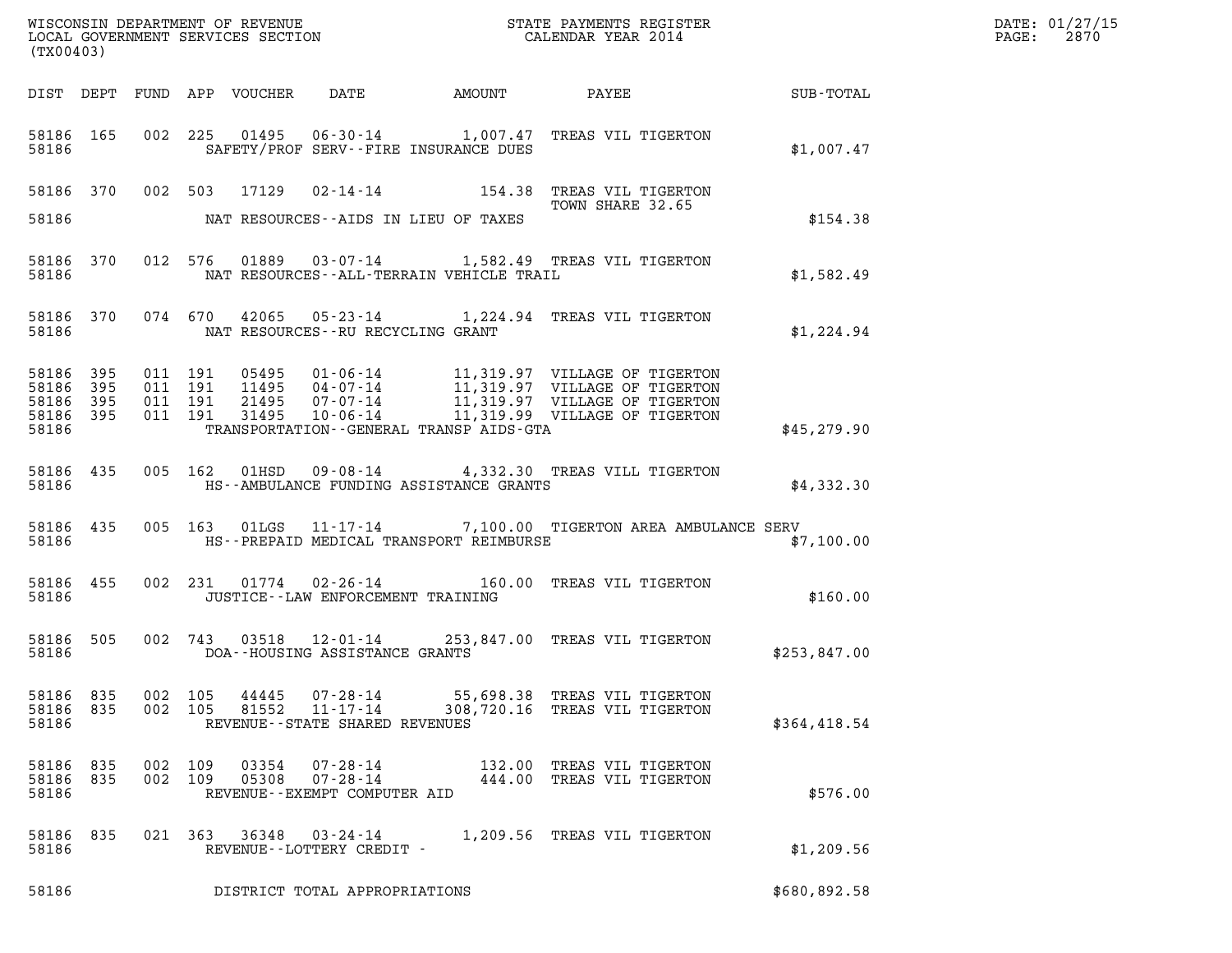| (TX00403)                                         |            |  |                                          |                |                                                              |                                                                                                                                                                                                                                                     |                                                               |              | DATE: 01/27/15<br>2870<br>$\mathtt{PAGE:}$ |
|---------------------------------------------------|------------|--|------------------------------------------|----------------|--------------------------------------------------------------|-----------------------------------------------------------------------------------------------------------------------------------------------------------------------------------------------------------------------------------------------------|---------------------------------------------------------------|--------------|--------------------------------------------|
|                                                   |            |  |                                          |                |                                                              |                                                                                                                                                                                                                                                     |                                                               |              |                                            |
| 58186                                             | 58186 165  |  |                                          |                |                                                              | 002 225 01495 06-30-14 1,007.47 TREAS VIL TIGERTON<br>SAFETY/PROF SERV--FIRE INSURANCE DUES                                                                                                                                                         |                                                               | \$1,007.47   |                                            |
|                                                   |            |  |                                          |                |                                                              | 58186 370 002 503 17129 02-14-14 154.38 TREAS VIL TIGERTON<br>TOWN SHARE 32.65                                                                                                                                                                      | TOWN SHARE 32.65                                              |              |                                            |
|                                                   |            |  |                                          |                |                                                              | 58186 MAT RESOURCES--AIDS IN LIEU OF TAXES                                                                                                                                                                                                          |                                                               | \$154.38     |                                            |
| 58186                                             |            |  |                                          |                |                                                              | 58186 370 012 576 01889 03-07-14 1,582.49 TREAS VIL TIGERTON<br>NAT RESOURCES--ALL-TERRAIN VEHICLE TRAIL                                                                                                                                            |                                                               | \$1,582.49   |                                            |
|                                                   |            |  |                                          |                | 58186 MAT RESOURCES--RU RECYCLING GRANT                      | 58186 370 074 670 42065 05-23-14 1,224.94 TREAS VIL TIGERTON                                                                                                                                                                                        |                                                               | \$1,224.94   |                                            |
| 58186<br>58186 395<br>58186<br>58186 395<br>58186 | 395<br>395 |  | 011 191<br>011 191<br>011 191<br>011 191 |                |                                                              | 05495  01-06-14  11,319.97  VILLAGE OF TIGERTON<br>11495  04-07-14  11,319.97  VILLAGE OF TIGERTON<br>21495  07-07-14  11,319.97  VILLAGE OF TIGERTON<br>31495  10-06-14  11,319.99  VILLAGE OF TIGERTON<br>TRANSPORTATION--GENERAL TRANSP AIDS-GTA |                                                               | \$45,279.90  |                                            |
| 58186 435<br>58186                                |            |  |                                          |                |                                                              | 005 162 01HSD 09-08-14 4,332.30 TREAS VILL TIGERTON<br>HS--AMBULANCE FUNDING ASSISTANCE GRANTS                                                                                                                                                      |                                                               | \$4,332.30   |                                            |
| 58186                                             | 58186 435  |  |                                          |                |                                                              | 005 163 01LGS 11-17-14 7,100.00 TIGERTON AREA AMBULANCE SERV<br>HS--PREPAID MEDICAL TRANSPORT REIMBURSE                                                                                                                                             |                                                               | \$7,100.00   |                                            |
| 58186                                             | 58186 455  |  |                                          |                | JUSTICE - - LAW ENFORCEMENT TRAINING                         | 002 231 01774 02-26-14 160.00 TREAS VIL TIGERTON                                                                                                                                                                                                    |                                                               | \$160.00     |                                            |
| 58186                                             | 58186 505  |  |                                          |                | DOA--HOUSING ASSISTANCE GRANTS                               | 002 743 03518 12-01-14 253,847.00 TREAS VIL TIGERTON                                                                                                                                                                                                |                                                               | \$253,847.00 |                                            |
| 58186 835<br>58186<br>58186                       | 835        |  | 002 105<br>002 105                       | 44445<br>81552 | 07-28-14<br>$11 - 17 - 14$<br>REVENUE--STATE SHARED REVENUES |                                                                                                                                                                                                                                                     | 55,698.38 TREAS VIL TIGERTON<br>308,720.16 TREAS VIL TIGERTON | \$364,418.54 |                                            |
| 58186 835<br>58186 835<br>58186                   |            |  | 002 109<br>002 109                       | 03354<br>05308 | 07-28-14<br>$07 - 28 - 14$<br>REVENUE--EXEMPT COMPUTER AID   |                                                                                                                                                                                                                                                     | 132.00 TREAS VIL TIGERTON<br>444.00 TREAS VIL TIGERTON        | \$576.00     |                                            |
| 58186 835<br>58186                                |            |  | 021 363                                  | 36348          | 03-24-14<br>REVENUE--LOTTERY CREDIT -                        |                                                                                                                                                                                                                                                     | 1,209.56 TREAS VIL TIGERTON                                   | \$1,209.56   |                                            |
| 58186                                             |            |  |                                          |                | DISTRICT TOTAL APPROPRIATIONS                                |                                                                                                                                                                                                                                                     |                                                               | \$680,892.58 |                                            |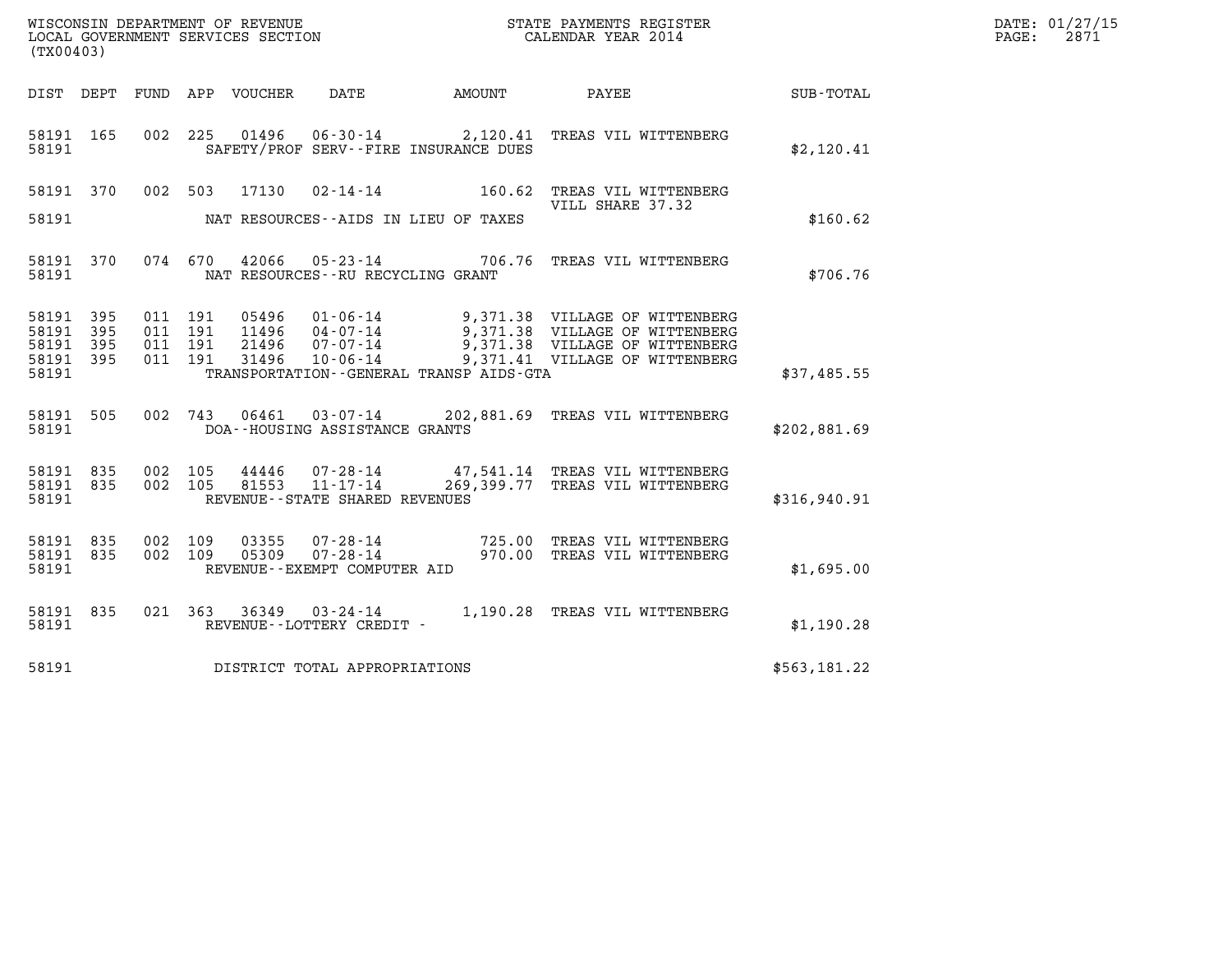| (TX00403)                                    |                        |                               |                    |                |                                   |                                              |                                                                                                                                                                                                                 |              | DATE: 01/27/15<br>$\mathtt{PAGE:}$<br>2871 |
|----------------------------------------------|------------------------|-------------------------------|--------------------|----------------|-----------------------------------|----------------------------------------------|-----------------------------------------------------------------------------------------------------------------------------------------------------------------------------------------------------------------|--------------|--------------------------------------------|
|                                              |                        |                               |                    |                |                                   |                                              |                                                                                                                                                                                                                 |              |                                            |
| 58191 165<br>58191                           |                        |                               |                    |                |                                   | SAFETY/PROF SERV--FIRE INSURANCE DUES        | 002 225 01496 06-30-14 2,120.41 TREAS VIL WITTENBERG                                                                                                                                                            | \$2,120.41   |                                            |
| 58191                                        | 58191 370              |                               |                    |                |                                   | NAT RESOURCES--AIDS IN LIEU OF TAXES         | 002 503 17130 02-14-14 160.62 TREAS VIL WITTENBERG<br>VILL SHARE 37.32                                                                                                                                          | \$160.62     |                                            |
| 58191                                        | 58191 370              |                               |                    |                | NAT RESOURCES--RU RECYCLING GRANT |                                              | 074 670 42066 05-23-14 706.76 TREAS VIL WITTENBERG                                                                                                                                                              | \$706.76     |                                            |
| 58191 395<br>58191 395<br>58191 395<br>58191 | 58191 395              | 011 191<br>011 191<br>011 191 | 011 191            |                |                                   | TRANSPORTATION - - GENERAL TRANSP AIDS - GTA | 05496  01-06-14  9,371.38  VILLAGE OF WITTENBERG<br>04-07-14<br>21496 07-07-14 9,371.38 VILLAGE OF WITTENBERG<br>21496 07-07-14 9,371.38 VILLAGE OF WITTENBERG<br>31496 10-06-14 9,371.41 VILLAGE OF WITTENBERG | \$37,485.55  |                                            |
| 58191                                        | 58191 505              |                               |                    |                | DOA--HOUSING ASSISTANCE GRANTS    |                                              | 002 743 06461 03-07-14 202,881.69 TREAS VIL WITTENBERG                                                                                                                                                          | \$202,881.69 |                                            |
| 58191                                        | 58191 835<br>58191 835 | 002 105                       | 002 105            |                | REVENUE--STATE SHARED REVENUES    |                                              | 44446  07-28-14  47,541.14 TREAS VIL WITTENBERG<br>81553  11-17-14  269,399.77 TREAS VIL WITTENBERG<br>269,399.77 TREAS VIL WITTENBERG                                                                          | \$316,940.91 |                                            |
| 58191 835<br>58191 835<br>58191              |                        |                               | 002 109<br>002 109 | 03355<br>05309 | REVENUE--EXEMPT COMPUTER AID      |                                              | 07-28-14 725.00 TREAS VIL WITTENBERG<br>07-28-14 970.00 TREAS VIL WITTENBERG                                                                                                                                    | \$1,695.00   |                                            |
| 58191                                        | 58191 835              |                               |                    |                |                                   |                                              |                                                                                                                                                                                                                 | \$1,190.28   |                                            |
| 58191                                        |                        |                               |                    |                | DISTRICT TOTAL APPROPRIATIONS     |                                              |                                                                                                                                                                                                                 | \$563,181.22 |                                            |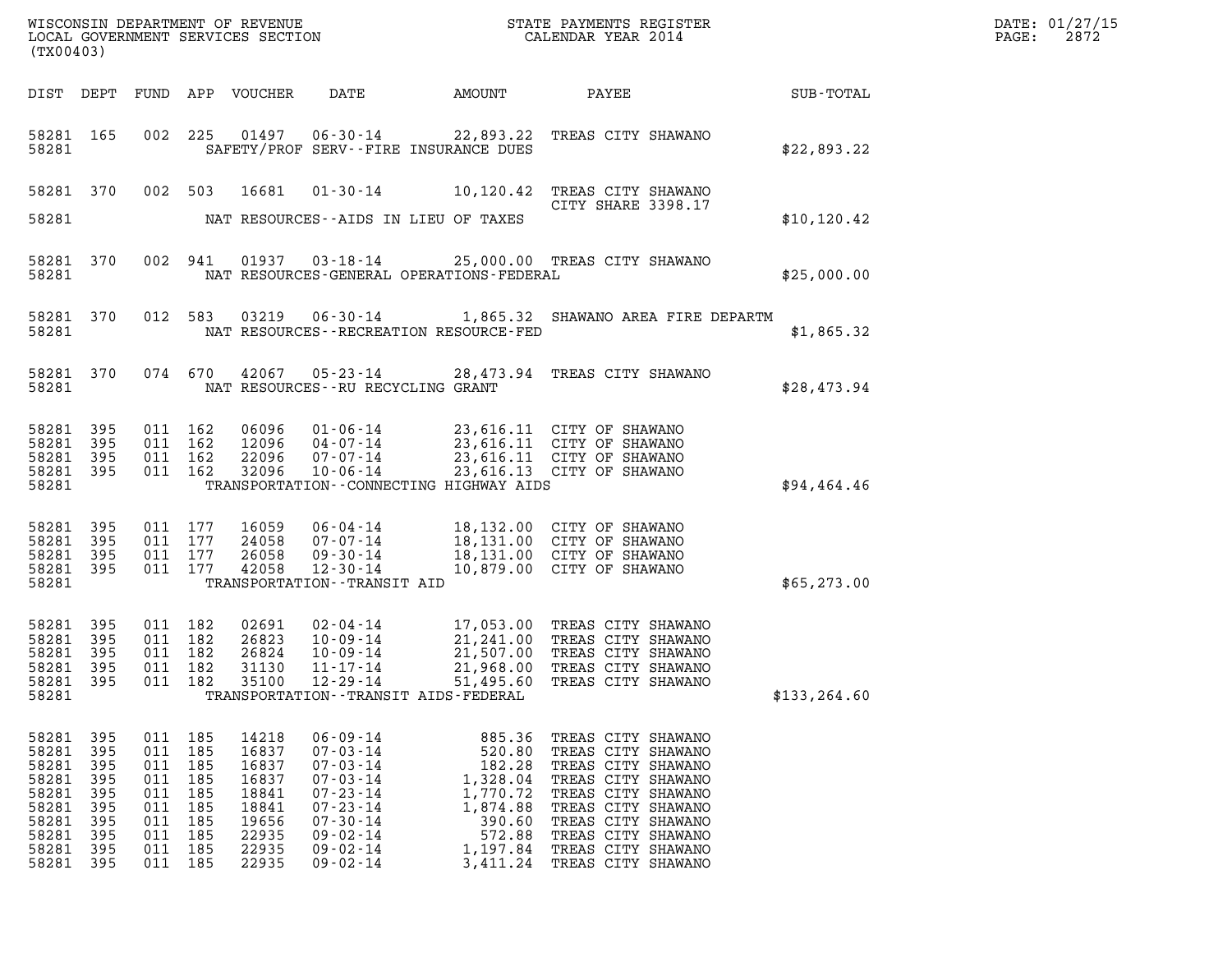| DATE: | 01/27/15 |
|-------|----------|
| PAGE: | 2872     |

| (TX00403)                                                                              |                                                                    |                                                                                            |                          |                                                                                        |                                                                                                                                                                                  |                                                                                                            |                                                                                                                                                                                                                          |               | DATE: 01/27/15<br>2872<br>$\mathtt{PAGE:}$ |
|----------------------------------------------------------------------------------------|--------------------------------------------------------------------|--------------------------------------------------------------------------------------------|--------------------------|----------------------------------------------------------------------------------------|----------------------------------------------------------------------------------------------------------------------------------------------------------------------------------|------------------------------------------------------------------------------------------------------------|--------------------------------------------------------------------------------------------------------------------------------------------------------------------------------------------------------------------------|---------------|--------------------------------------------|
|                                                                                        |                                                                    |                                                                                            |                          | DIST DEPT FUND APP VOUCHER                                                             | DATE                                                                                                                                                                             | AMOUNT                                                                                                     | PAYEE<br><b>SUB-TOTAL</b>                                                                                                                                                                                                |               |                                            |
| 58281 165<br>58281                                                                     |                                                                    |                                                                                            |                          |                                                                                        | SAFETY/PROF SERV--FIRE INSURANCE DUES                                                                                                                                            |                                                                                                            | 002 225 01497 06-30-14 22,893.22 TREAS CITY SHAWANO                                                                                                                                                                      | \$22,893.22   |                                            |
|                                                                                        | 58281 370                                                          | 002 503                                                                                    |                          | 16681                                                                                  |                                                                                                                                                                                  |                                                                                                            | 01-30-14 10,120.42 TREAS CITY SHAWANO<br>CITY SHARE 3398.17                                                                                                                                                              |               |                                            |
| 58281                                                                                  |                                                                    |                                                                                            |                          |                                                                                        | NAT RESOURCES--AIDS IN LIEU OF TAXES                                                                                                                                             |                                                                                                            |                                                                                                                                                                                                                          | \$10, 120.42  |                                            |
| 58281 370<br>58281                                                                     |                                                                    |                                                                                            | 002 941                  |                                                                                        | NAT RESOURCES-GENERAL OPERATIONS-FEDERAL                                                                                                                                         |                                                                                                            | 01937  03-18-14  25,000.00  TREAS CITY SHAWANO                                                                                                                                                                           | \$25,000.00   |                                            |
| 58281 370<br>58281                                                                     |                                                                    |                                                                                            |                          |                                                                                        | NAT RESOURCES--RECREATION RESOURCE-FED                                                                                                                                           |                                                                                                            | 012 583 03219 06-30-14 1,865.32 SHAWANO AREA FIRE DEPARTM                                                                                                                                                                | \$1,865.32    |                                            |
| 58281                                                                                  | 58281 370                                                          |                                                                                            |                          |                                                                                        | NAT RESOURCES--RU RECYCLING GRANT                                                                                                                                                |                                                                                                            | 074 670 42067 05-23-14 28,473.94 TREAS CITY SHAWANO                                                                                                                                                                      | \$28,473.94   |                                            |
| 58281 395<br>58281 395                                                                 |                                                                    | 011 162<br>011 162                                                                         |                          | 06096<br>12096                                                                         |                                                                                                                                                                                  |                                                                                                            | 01-06-14 23,616.11 CITY OF SHAWANO<br>04-07-14 23,616.11 CITY OF SHAWANO<br>07-07-14 23,616.11 CITY OF SHAWANO                                                                                                           |               |                                            |
| 58281<br>58281 395<br>58281                                                            | 395                                                                | 011 162                                                                                    | 011 162                  | 22096<br>32096                                                                         | 10-06-14<br>TRANSPORTATION--CONNECTING HIGHWAY AIDS                                                                                                                              |                                                                                                            | 23,616.13 CITY OF SHAWANO                                                                                                                                                                                                | \$94,464.46   |                                            |
|                                                                                        |                                                                    |                                                                                            |                          |                                                                                        |                                                                                                                                                                                  |                                                                                                            |                                                                                                                                                                                                                          |               |                                            |
| 58281 395<br>58281<br>58281 395                                                        | 395                                                                | 011 177<br>011 177<br>011 177                                                              |                          | 16059<br>24058<br>26058                                                                | $06 - 04 - 14$                                                                                                                                                                   |                                                                                                            | 18,132.00 CITY OF SHAWANO<br>07-07-14 18,131.00 CITY OF SHAWANO<br>09-30-14 18,131.00 CITY OF SHAWANO                                                                                                                    |               |                                            |
| 58281 395<br>58281                                                                     |                                                                    | 011 177                                                                                    |                          | 42058                                                                                  | $12 - 30 - 14$<br>TRANSPORTATION - - TRANSIT AID                                                                                                                                 |                                                                                                            | 10,879.00 CITY OF SHAWANO                                                                                                                                                                                                | \$65,273.00   |                                            |
| 58281 395<br>58281<br>58281<br>58281<br>58281                                          | 395<br>395<br>395<br>395                                           | 011 182<br>011 182<br>011 182<br>011 182<br>011 182                                        |                          | 02691<br>26823<br>26824<br>31130<br>35100                                              | $11 - 17 - 14$<br>12-29-14                                                                                                                                                       | 51,495.60                                                                                                  | 02-04-14 17,053.00 TREAS CITY SHAWANO<br>10-09-14 21,241.00 TREAS CITY SHAWANO<br>10-09-14 21,507.00 TREAS CITY SHAWANO<br>21,968.00 TREAS CITY SHAWANO<br>TREAS CITY SHAWANO                                            |               |                                            |
| 58281                                                                                  |                                                                    |                                                                                            |                          |                                                                                        | TRANSPORTATION - - TRANSIT AIDS - FEDERAL                                                                                                                                        |                                                                                                            |                                                                                                                                                                                                                          | \$133, 264.60 |                                            |
| 58281<br>58281<br>58281<br>58281<br>58281<br>58281<br>58281<br>58281<br>58281<br>58281 | 395<br>395<br>395<br>395<br>395<br>395<br>395<br>395<br>395<br>395 | 011 185<br>011 185<br>011 185<br>011 185<br>011<br>011<br>011<br>011<br>011 185<br>011 185 | 185<br>185<br>185<br>185 | 14218<br>16837<br>16837<br>16837<br>18841<br>18841<br>19656<br>22935<br>22935<br>22935 | $06 - 09 - 14$<br>$07 - 03 - 14$<br>$07 - 03 - 14$<br>$07 - 03 - 14$<br>$07 - 23 - 14$<br>$07 - 23 - 14$<br>$07 - 30 - 14$<br>$09 - 02 - 14$<br>$09 - 02 - 14$<br>$09 - 02 - 14$ | 885.36<br>520.80<br>182.28<br>1,328.04<br>1,770.72<br>1,874.88<br>390.60<br>572.88<br>1,197.84<br>3,411.24 | TREAS CITY SHAWANO<br>TREAS CITY SHAWANO<br>TREAS CITY SHAWANO<br>TREAS CITY SHAWANO<br>TREAS CITY SHAWANO<br>TREAS CITY SHAWANO<br>TREAS CITY SHAWANO<br>TREAS CITY SHAWANO<br>TREAS CITY SHAWANO<br>TREAS CITY SHAWANO |               |                                            |